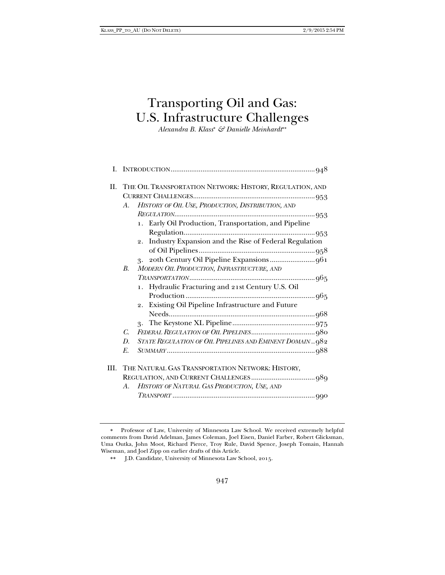# Transporting Oil and Gas: U.S. Infrastructure Challenges

*Alexandra B. Klass & Danielle Meinhardt*

|      |                                                  | II. THE OIL TRANSPORTATION NETWORK: HISTORY, REGULATION, AND |  |  |
|------|--------------------------------------------------|--------------------------------------------------------------|--|--|
|      |                                                  |                                                              |  |  |
|      | A.                                               | HISTORY OF OIL USE, PRODUCTION, DISTRIBUTION, AND            |  |  |
|      |                                                  |                                                              |  |  |
|      |                                                  | 1. Early Oil Production, Transportation, and Pipeline        |  |  |
|      |                                                  |                                                              |  |  |
|      |                                                  | 2. Industry Expansion and the Rise of Federal Regulation     |  |  |
|      |                                                  |                                                              |  |  |
|      |                                                  |                                                              |  |  |
|      | $B_{\cdot}$                                      | MODERN OIL PRODUCTION, INFRASTRUCTURE, AND                   |  |  |
|      |                                                  |                                                              |  |  |
|      |                                                  | 1. Hydraulic Fracturing and 21st Century U.S. Oil            |  |  |
|      |                                                  |                                                              |  |  |
|      |                                                  | 2. Existing Oil Pipeline Infrastructure and Future           |  |  |
|      |                                                  |                                                              |  |  |
|      |                                                  |                                                              |  |  |
|      | C.                                               |                                                              |  |  |
|      | D.                                               | STATE REGULATION OF OIL PIPELINES AND EMINENT DOMAIN982      |  |  |
|      | E.                                               |                                                              |  |  |
|      |                                                  |                                                              |  |  |
| III. | THE NATURAL GAS TRANSPORTATION NETWORK: HISTORY, |                                                              |  |  |
|      |                                                  |                                                              |  |  |
|      |                                                  | A. HISTORY OF NATURAL GAS PRODUCTION, USE, AND               |  |  |
|      |                                                  |                                                              |  |  |

 Professor of Law, University of Minnesota Law School. We received extremely helpful comments from David Adelman, James Coleman, Joel Eisen, Daniel Farber, Robert Glicksman, Uma Outka, John Moot, Richard Pierce, Troy Rule, David Spence, Joseph Tomain, Hannah Wiseman, and Joel Zipp on earlier drafts of this Article.

 J.D. Candidate, University of Minnesota Law School, 2015.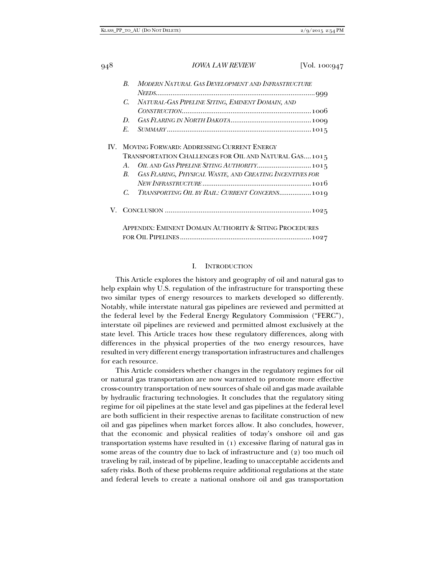| 948 |                                                        | <i><b>IOWA LAW REVIEW</b></i>                            | [Vol. 100:947 |  |  |
|-----|--------------------------------------------------------|----------------------------------------------------------|---------------|--|--|
|     | $\boldsymbol{B}$                                       | MODERN NATURAL GAS DEVELOPMENT AND INFRASTRUCTURE        |               |  |  |
|     |                                                        |                                                          |               |  |  |
|     | C.                                                     | NATURAL-GAS PIPELINE SITING, EMINENT DOMAIN, AND         |               |  |  |
|     |                                                        |                                                          |               |  |  |
|     | D.                                                     |                                                          |               |  |  |
|     | E.                                                     |                                                          |               |  |  |
| IV. | MOVING FORWARD: ADDRESSING CURRENT ENERGY              |                                                          |               |  |  |
|     |                                                        | TRANSPORTATION CHALLENGES FOR OIL AND NATURAL GAS1015    |               |  |  |
|     | $A_{\cdot}$                                            | OIL AND GAS PIPELINE SITING AUTHORITY 1015               |               |  |  |
|     | В.                                                     | GAS FLARING, PHYSICAL WASTE, AND CREATING INCENTIVES FOR |               |  |  |
|     |                                                        |                                                          |               |  |  |
|     | C.                                                     | TRANSPORTING OIL BY RAIL: CURRENT CONCERNS 1019          |               |  |  |
| V.  |                                                        |                                                          |               |  |  |
|     | APPENDIX: EMINENT DOMAIN AUTHORITY & SITING PROCEDURES |                                                          |               |  |  |
|     |                                                        |                                                          |               |  |  |

#### I. INTRODUCTION

This Article explores the history and geography of oil and natural gas to help explain why U.S. regulation of the infrastructure for transporting these two similar types of energy resources to markets developed so differently. Notably, while interstate natural gas pipelines are reviewed and permitted at the federal level by the Federal Energy Regulatory Commission ("FERC"), interstate oil pipelines are reviewed and permitted almost exclusively at the state level. This Article traces how these regulatory differences, along with differences in the physical properties of the two energy resources, have resulted in very different energy transportation infrastructures and challenges for each resource.

This Article considers whether changes in the regulatory regimes for oil or natural gas transportation are now warranted to promote more effective cross-country transportation of new sources of shale oil and gas made available by hydraulic fracturing technologies. It concludes that the regulatory siting regime for oil pipelines at the state level and gas pipelines at the federal level are both sufficient in their respective arenas to facilitate construction of new oil and gas pipelines when market forces allow. It also concludes, however, that the economic and physical realities of today's onshore oil and gas transportation systems have resulted in (1) excessive flaring of natural gas in some areas of the country due to lack of infrastructure and (2) too much oil traveling by rail, instead of by pipeline, leading to unacceptable accidents and safety risks. Both of these problems require additional regulations at the state and federal levels to create a national onshore oil and gas transportation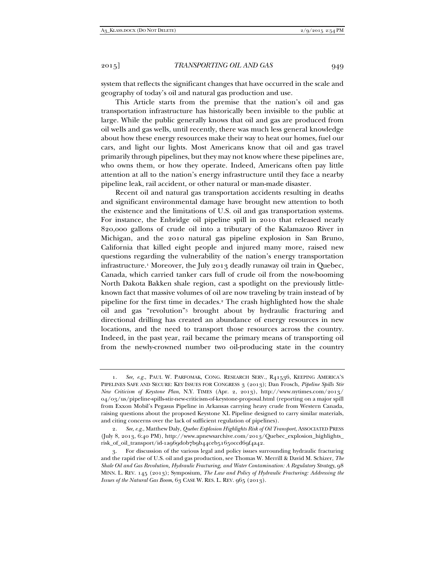system that reflects the significant changes that have occurred in the scale and geography of today's oil and natural gas production and use.

This Article starts from the premise that the nation's oil and gas transportation infrastructure has historically been invisible to the public at large. While the public generally knows that oil and gas are produced from oil wells and gas wells, until recently, there was much less general knowledge about how these energy resources make their way to heat our homes, fuel our cars, and light our lights. Most Americans know that oil and gas travel primarily through pipelines, but they may not know where these pipelines are, who owns them, or how they operate. Indeed, Americans often pay little attention at all to the nation's energy infrastructure until they face a nearby pipeline leak, rail accident, or other natural or man-made disaster.

Recent oil and natural gas transportation accidents resulting in deaths and significant environmental damage have brought new attention to both the existence and the limitations of U.S. oil and gas transportation systems. For instance, the Enbridge oil pipeline spill in 2010 that released nearly 820,000 gallons of crude oil into a tributary of the Kalamazoo River in Michigan, and the 2010 natural gas pipeline explosion in San Bruno, California that killed eight people and injured many more, raised new questions regarding the vulnerability of the nation's energy transportation infrastructure.1 Moreover, the July 2013 deadly runaway oil train in Quebec, Canada, which carried tanker cars full of crude oil from the now-booming North Dakota Bakken shale region, cast a spotlight on the previously littleknown fact that massive volumes of oil are now traveling by train instead of by pipeline for the first time in decades.2 The crash highlighted how the shale oil and gas "revolution"3 brought about by hydraulic fracturing and directional drilling has created an abundance of energy resources in new locations, and the need to transport those resources across the country. Indeed, in the past year, rail became the primary means of transporting oil from the newly-crowned number two oil-producing state in the country

 <sup>1.</sup> *See, e.g.*, PAUL W. PARFOMAK, CONG. RESEARCH SERV., R41536, KEEPING AMERICA'S PIPELINES SAFE AND SECURE: KEY ISSUES FOR CONGRESS 3 (2013); Dan Frosch, *Pipeline Spills Stir New Criticism of Keystone Plan*, N.Y. TIMES (Apr. 2, 2013), http://www.nytimes.com/2013/ 04/03/us/pipeline-spills-stir-new-criticism-of-keystone-proposal.html (reporting on a major spill from Exxon Mobil's Pegasus Pipeline in Arkansas carrying heavy crude from Western Canada, raising questions about the proposed Keystone XL Pipeline designed to carry similar materials, and citing concerns over the lack of sufficient regulation of pipelines).

 <sup>2.</sup> *See, e.g.*, Matthew Daly, *Quebec Explosion Highlights Risk of Oil Transport*, ASSOCIATED PRESS (July 8, 2013, 6:40 PM), http://www.apnewsarchive.com/2013/Quebec\_explosion\_highlights\_ risk\_of\_oil\_transport/id-1a969d0b7b9b44ceb51650ccd69f4a42.

 <sup>3.</sup> For discussion of the various legal and policy issues surrounding hydraulic fracturing and the rapid rise of U.S. oil and gas production, see Thomas W. Merrill & David M. Schizer, *The Shale Oil and Gas Revolution, Hydraulic Fracturing, and Water Contamination: A Regulatory Strategy*, 98 MINN. L. REV. 145 (2013); Symposium, *The Law and Policy of Hydraulic Fracturing: Addressing the Issues of the Natural Gas Boom*, 63 CASE W. RES. L. REV. 965 (2013).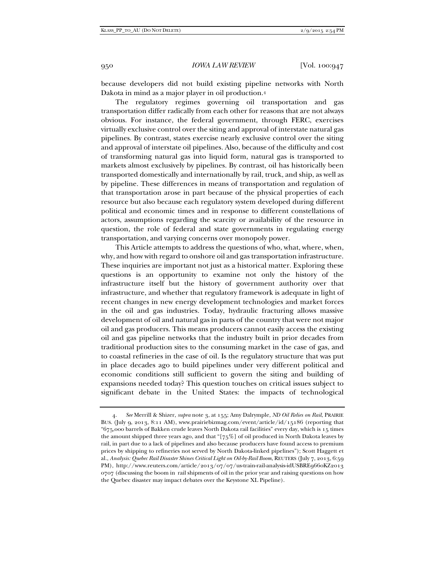because developers did not build existing pipeline networks with North Dakota in mind as a major player in oil production.4

The regulatory regimes governing oil transportation and gas transportation differ radically from each other for reasons that are not always obvious. For instance, the federal government, through FERC, exercises virtually exclusive control over the siting and approval of interstate natural gas pipelines. By contrast, states exercise nearly exclusive control over the siting and approval of interstate oil pipelines. Also, because of the difficulty and cost of transforming natural gas into liquid form, natural gas is transported to markets almost exclusively by pipelines. By contrast, oil has historically been transported domestically and internationally by rail, truck, and ship, as well as by pipeline. These differences in means of transportation and regulation of that transportation arose in part because of the physical properties of each resource but also because each regulatory system developed during different political and economic times and in response to different constellations of actors, assumptions regarding the scarcity or availability of the resource in question, the role of federal and state governments in regulating energy transportation, and varying concerns over monopoly power.

This Article attempts to address the questions of who, what, where, when, why, and how with regard to onshore oil and gas transportation infrastructure. These inquiries are important not just as a historical matter. Exploring these questions is an opportunity to examine not only the history of the infrastructure itself but the history of government authority over that infrastructure, and whether that regulatory framework is adequate in light of recent changes in new energy development technologies and market forces in the oil and gas industries. Today, hydraulic fracturing allows massive development of oil and natural gas in parts of the country that were not major oil and gas producers. This means producers cannot easily access the existing oil and gas pipeline networks that the industry built in prior decades from traditional production sites to the consuming market in the case of gas, and to coastal refineries in the case of oil. Is the regulatory structure that was put in place decades ago to build pipelines under very different political and economic conditions still sufficient to govern the siting and building of expansions needed today? This question touches on critical issues subject to significant debate in the United States: the impacts of technological

 <sup>4.</sup> *See* Merrill & Shizer, *supra* note 3, at 155; Amy Dalrymple, *ND Oil Relies on Rail*, PRAIRIE BUS. (July 9, 2013, 8:11 AM), www.prairiebizmag.com/event/article/id/15186 (reporting that "675,000 barrels of Bakken crude leaves North Dakota rail facilities" every day, which is 15 times the amount shipped three years ago, and that "[75%] of oil produced in North Dakota leaves by rail, in part due to a lack of pipelines and also because producers have found access to premium prices by shipping to refineries not served by North Dakota-linked pipelines"); Scott Haggett et al., *Analysis: Quebec Rail Disaster Shines Critical Light on Oil-by-Rail Boom*, REUTERS (July 7, 2013, 6:59 PM), http://www.reuters.com/article/2013/07/07/us-train-rail-analysis-idUSBRE9660KZ2013 0707 (discussing the boom in rail shipments of oil in the prior year and raising questions on how the Quebec disaster may impact debates over the Keystone XL Pipeline).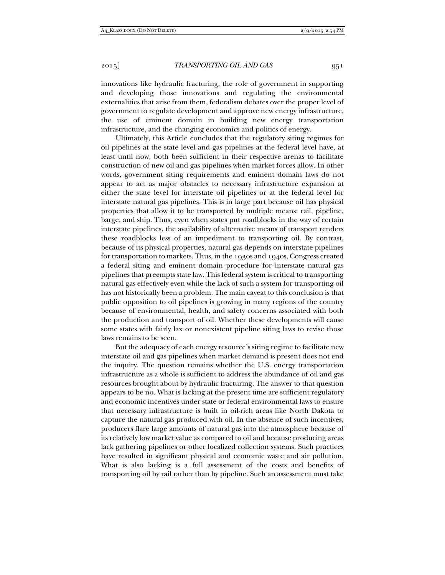innovations like hydraulic fracturing, the role of government in supporting and developing those innovations and regulating the environmental externalities that arise from them, federalism debates over the proper level of government to regulate development and approve new energy infrastructure, the use of eminent domain in building new energy transportation infrastructure, and the changing economics and politics of energy.

Ultimately, this Article concludes that the regulatory siting regimes for oil pipelines at the state level and gas pipelines at the federal level have, at least until now, both been sufficient in their respective arenas to facilitate construction of new oil and gas pipelines when market forces allow. In other words, government siting requirements and eminent domain laws do not appear to act as major obstacles to necessary infrastructure expansion at either the state level for interstate oil pipelines or at the federal level for interstate natural gas pipelines. This is in large part because oil has physical properties that allow it to be transported by multiple means: rail, pipeline, barge, and ship. Thus, even when states put roadblocks in the way of certain interstate pipelines, the availability of alternative means of transport renders these roadblocks less of an impediment to transporting oil. By contrast, because of its physical properties, natural gas depends on interstate pipelines for transportation to markets. Thus, in the 1930s and 1940s, Congress created a federal siting and eminent domain procedure for interstate natural gas pipelines that preempts state law. This federal system is critical to transporting natural gas effectively even while the lack of such a system for transporting oil has not historically been a problem. The main caveat to this conclusion is that public opposition to oil pipelines is growing in many regions of the country because of environmental, health, and safety concerns associated with both the production and transport of oil. Whether these developments will cause some states with fairly lax or nonexistent pipeline siting laws to revise those laws remains to be seen.

But the adequacy of each energy resource's siting regime to facilitate new interstate oil and gas pipelines when market demand is present does not end the inquiry. The question remains whether the U.S. energy transportation infrastructure as a whole is sufficient to address the abundance of oil and gas resources brought about by hydraulic fracturing. The answer to that question appears to be no. What is lacking at the present time are sufficient regulatory and economic incentives under state or federal environmental laws to ensure that necessary infrastructure is built in oil-rich areas like North Dakota to capture the natural gas produced with oil. In the absence of such incentives, producers flare large amounts of natural gas into the atmosphere because of its relatively low market value as compared to oil and because producing areas lack gathering pipelines or other localized collection systems. Such practices have resulted in significant physical and economic waste and air pollution. What is also lacking is a full assessment of the costs and benefits of transporting oil by rail rather than by pipeline. Such an assessment must take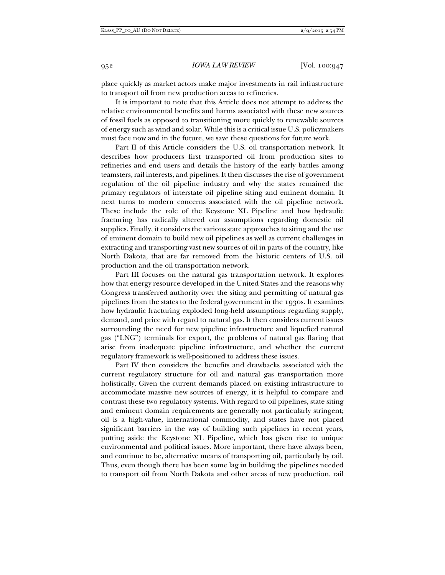place quickly as market actors make major investments in rail infrastructure to transport oil from new production areas to refineries.

It is important to note that this Article does not attempt to address the relative environmental benefits and harms associated with these new sources of fossil fuels as opposed to transitioning more quickly to renewable sources of energy such as wind and solar. While this is a critical issue U.S. policymakers must face now and in the future, we save these questions for future work.

Part II of this Article considers the U.S. oil transportation network. It describes how producers first transported oil from production sites to refineries and end users and details the history of the early battles among teamsters, rail interests, and pipelines. It then discusses the rise of government regulation of the oil pipeline industry and why the states remained the primary regulators of interstate oil pipeline siting and eminent domain. It next turns to modern concerns associated with the oil pipeline network. These include the role of the Keystone XL Pipeline and how hydraulic fracturing has radically altered our assumptions regarding domestic oil supplies. Finally, it considers the various state approaches to siting and the use of eminent domain to build new oil pipelines as well as current challenges in extracting and transporting vast new sources of oil in parts of the country, like North Dakota, that are far removed from the historic centers of U.S. oil production and the oil transportation network.

Part III focuses on the natural gas transportation network. It explores how that energy resource developed in the United States and the reasons why Congress transferred authority over the siting and permitting of natural gas pipelines from the states to the federal government in the 1930s. It examines how hydraulic fracturing exploded long-held assumptions regarding supply, demand, and price with regard to natural gas. It then considers current issues surrounding the need for new pipeline infrastructure and liquefied natural gas ("LNG") terminals for export, the problems of natural gas flaring that arise from inadequate pipeline infrastructure, and whether the current regulatory framework is well-positioned to address these issues.

Part IV then considers the benefits and drawbacks associated with the current regulatory structure for oil and natural gas transportation more holistically. Given the current demands placed on existing infrastructure to accommodate massive new sources of energy, it is helpful to compare and contrast these two regulatory systems. With regard to oil pipelines, state siting and eminent domain requirements are generally not particularly stringent; oil is a high-value, international commodity, and states have not placed significant barriers in the way of building such pipelines in recent years, putting aside the Keystone XL Pipeline, which has given rise to unique environmental and political issues. More important, there have always been, and continue to be, alternative means of transporting oil, particularly by rail. Thus, even though there has been some lag in building the pipelines needed to transport oil from North Dakota and other areas of new production, rail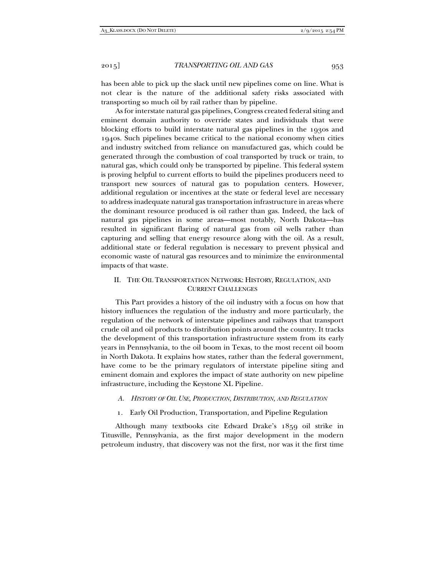has been able to pick up the slack until new pipelines come on line. What is not clear is the nature of the additional safety risks associated with transporting so much oil by rail rather than by pipeline.

As for interstate natural gas pipelines, Congress created federal siting and eminent domain authority to override states and individuals that were blocking efforts to build interstate natural gas pipelines in the 1930s and 1940s. Such pipelines became critical to the national economy when cities and industry switched from reliance on manufactured gas, which could be generated through the combustion of coal transported by truck or train, to natural gas, which could only be transported by pipeline. This federal system is proving helpful to current efforts to build the pipelines producers need to transport new sources of natural gas to population centers. However, additional regulation or incentives at the state or federal level are necessary to address inadequate natural gas transportation infrastructure in areas where the dominant resource produced is oil rather than gas. Indeed, the lack of natural gas pipelines in some areas—most notably, North Dakota—has resulted in significant flaring of natural gas from oil wells rather than capturing and selling that energy resource along with the oil. As a result, additional state or federal regulation is necessary to prevent physical and economic waste of natural gas resources and to minimize the environmental impacts of that waste.

# II. THE OIL TRANSPORTATION NETWORK: HISTORY, REGULATION, AND CURRENT CHALLENGES

This Part provides a history of the oil industry with a focus on how that history influences the regulation of the industry and more particularly, the regulation of the network of interstate pipelines and railways that transport crude oil and oil products to distribution points around the country. It tracks the development of this transportation infrastructure system from its early years in Pennsylvania, to the oil boom in Texas, to the most recent oil boom in North Dakota. It explains how states, rather than the federal government, have come to be the primary regulators of interstate pipeline siting and eminent domain and explores the impact of state authority on new pipeline infrastructure, including the Keystone XL Pipeline.

- *A. HISTORY OF OIL USE, PRODUCTION, DISTRIBUTION, AND REGULATION*
- 1. Early Oil Production, Transportation, and Pipeline Regulation

Although many textbooks cite Edward Drake's 1859 oil strike in Titusville, Pennsylvania, as the first major development in the modern petroleum industry, that discovery was not the first, nor was it the first time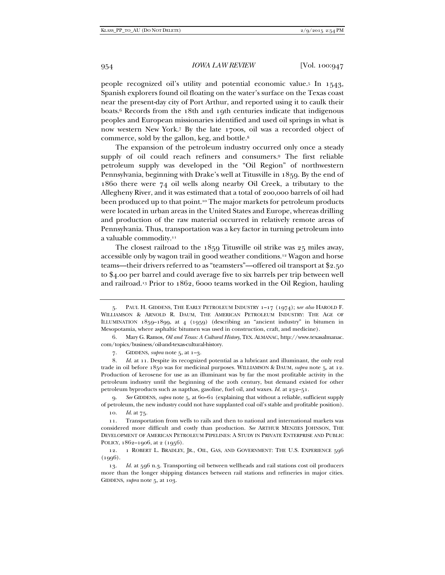people recognized oil's utility and potential economic value.5 In 1543, Spanish explorers found oil floating on the water's surface on the Texas coast near the present-day city of Port Arthur, and reported using it to caulk their boats.6 Records from the 18th and 19th centuries indicate that indigenous peoples and European missionaries identified and used oil springs in what is now western New York.7 By the late 1700s, oil was a recorded object of commerce, sold by the gallon, keg, and bottle.8

The expansion of the petroleum industry occurred only once a steady supply of oil could reach refiners and consumers.9 The first reliable petroleum supply was developed in the "Oil Region" of northwestern Pennsylvania, beginning with Drake's well at Titusville in 1859. By the end of 1860 there were 74 oil wells along nearby Oil Creek, a tributary to the Allegheny River, and it was estimated that a total of 200,000 barrels of oil had been produced up to that point.10 The major markets for petroleum products were located in urban areas in the United States and Europe, whereas drilling and production of the raw material occurred in relatively remote areas of Pennsylvania. Thus, transportation was a key factor in turning petroleum into a valuable commodity.11

The closest railroad to the 1859 Titusville oil strike was 25 miles away, accessible only by wagon trail in good weather conditions.12 Wagon and horse teams—their drivers referred to as "teamsters"—offered oil transport at \$2.50 to \$4.00 per barrel and could average five to six barrels per trip between well and railroad.13 Prior to 1862, 6000 teams worked in the Oil Region, hauling

 6. Mary G. Ramos, *Oil and Texas: A Cultural History*, TEX. ALMANAC, http://www.texasalmanac. com/topics/business/oil-and-texas-cultural-history.

7. GIDDENS, *supra* note 5, at 1–3.

 8. *Id.* at 11. Despite its recognized potential as a lubricant and illuminant, the only real trade in oil before 1850 was for medicinal purposes. WILLIAMSON & DAUM, *supra* note 5, at 12. Production of kerosene for use as an illuminant was by far the most profitable activity in the petroleum industry until the beginning of the 20th century, but demand existed for other petroleum byproducts such as napthas, gasoline, fuel oil, and waxes. *Id.* at 232–51.

 9. *See* GIDDENS, *supra* note 5, at 60–61 (explaining that without a reliable, sufficient supply of petroleum, the new industry could not have supplanted coal oil's stable and profitable position).

10. *Id.* at 75.

 11. Transportation from wells to rails and then to national and international markets was considered more difficult and costly than production. *See* ARTHUR MENZIES JOHNSON, THE DEVELOPMENT OF AMERICAN PETROLEUM PIPELINES: A STUDY IN PRIVATE ENTERPRISE AND PUBLIC POLICY, 1862-1906, at 2 (1956).

 12. 1 ROBERT L. BRADLEY, JR., OIL, GAS, AND GOVERNMENT: THE U.S. EXPERIENCE 596  $(1996)$ .

 13. *Id.* at 596 n.3. Transporting oil between wellheads and rail stations cost oil producers more than the longer shipping distances between rail stations and refineries in major cities. GIDDENS, *supra* note 5, at 103.

 <sup>5.</sup> PAUL H. GIDDENS, THE EARLY PETROLEUM INDUSTRY 1–17 (1974); s*ee also* HAROLD F. WILLIAMSON & ARNOLD R. DAUM, THE AMERICAN PETROLEUM INDUSTRY: THE AGE OF ILLUMINATION 1859–1899, at 4 (1959) (describing an "ancient industry" in bitumen in Mesopotamia, where asphaltic bitumen was used in construction, craft, and medicine).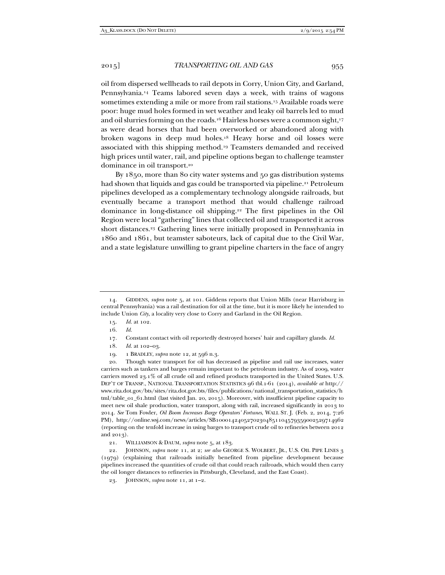oil from dispersed wellheads to rail depots in Corry, Union City, and Garland, Pennsylvania.14 Teams labored seven days a week, with trains of wagons sometimes extending a mile or more from rail stations.15 Available roads were poor: huge mud holes formed in wet weather and leaky oil barrels led to mud and oil slurries forming on the roads.16 Hairless horses were a common sight,17 as were dead horses that had been overworked or abandoned along with broken wagons in deep mud holes.18 Heavy horse and oil losses were associated with this shipping method.19 Teamsters demanded and received high prices until water, rail, and pipeline options began to challenge teamster dominance in oil transport.20

By 1850, more than 80 city water systems and 50 gas distribution systems had shown that liquids and gas could be transported via pipeline.<sup>21</sup> Petroleum pipelines developed as a complementary technology alongside railroads, but eventually became a transport method that would challenge railroad dominance in long-distance oil shipping.22 The first pipelines in the Oil Region were local "gathering" lines that collected oil and transported it across short distances.23 Gathering lines were initially proposed in Pennsylvania in 1860 and 1861, but teamster saboteurs, lack of capital due to the Civil War, and a state legislature unwilling to grant pipeline charters in the face of angry

- 16. *Id.*
- 17. Constant contact with oil reportedly destroyed horses' hair and capillary glands. *Id.*
- 18. *Id.* at 102–03.
- 19. 1 BRADLEY, *supra* note 12, at 596 n.3.

 <sup>14.</sup> GIDDENS, *supra* note 5, at 101. Giddens reports that Union Mills (near Harrisburg in central Pennsylvania) was a rail destination for oil at the time, but it is more likely he intended to include Union *City*, a locality very close to Corry and Garland in the Oil Region.

 <sup>15.</sup> *Id.* at 102.

 <sup>20.</sup> Though water transport for oil has decreased as pipeline and rail use increases, water carriers such as tankers and barges remain important to the petroleum industry. As of 2009, water carriers moved 23.1% of all crude oil and refined products transported in the United States. U.S. DEP'T OF TRANSP., NATIONAL TRANSPORTATION STATISTICS 96 tbl.1-61 (2014), *available at* http:// www.rita.dot.gov/bts/sites/rita.dot.gov.bts/files/publications/national\_transportation\_statistics/h tml/table\_01\_61.html (last visited Jan. 20, 2015). Moreover, with insufficient pipeline capacity to meet new oil shale production, water transport, along with rail, increased significantly in 2013 to 2014. *See* Tom Fowler, *Oil Boom Increases Barge Operators' Fortunes*, WALL ST. J. (Feb. 2, 2014, 7:26 PM), http://online.wsj.com/news/articles/SB10001424052702304851104579359002529714962 (reporting on the tenfold increase in using barges to transport crude oil to refineries between 2012 and 2013).

 <sup>21.</sup> WILLIAMSON & DAUM, *supra* note 5, at 183.

 <sup>22.</sup> JOHNSON, *supra* note 11, at 2; *see also* GEORGE S. WOLBERT, JR., U.S. OIL PIPE LINES 3 (1979) (explaining that railroads initially benefited from pipeline development because pipelines increased the quantities of crude oil that could reach railroads, which would then carry the oil longer distances to refineries in Pittsburgh, Cleveland, and the East Coast).

 <sup>23.</sup> JOHNSON, *supra* note 11, at 1–2.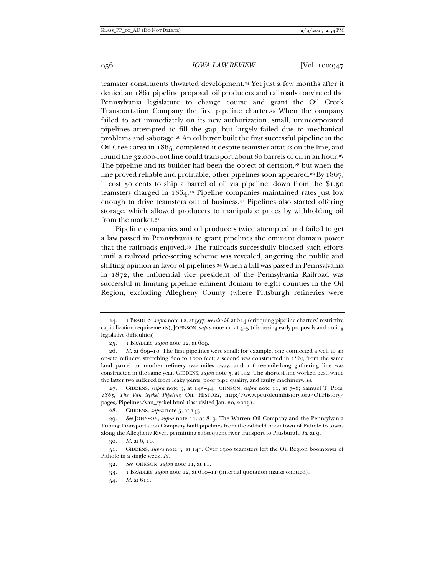teamster constituents thwarted development.24 Yet just a few months after it denied an 1861 pipeline proposal, oil producers and railroads convinced the Pennsylvania legislature to change course and grant the Oil Creek Transportation Company the first pipeline charter.25 When the company failed to act immediately on its new authorization, small, unincorporated pipelines attempted to fill the gap, but largely failed due to mechanical problems and sabotage.26 An oil buyer built the first successful pipeline in the Oil Creek area in 1865, completed it despite teamster attacks on the line, and found the 32,000-foot line could transport about 80 barrels of oil in an hour.27 The pipeline and its builder had been the object of derision, $28$  but when the line proved reliable and profitable, other pipelines soon appeared.29 By 1867, it cost 50 cents to ship a barrel of oil via pipeline, down from the \$1.50 teamsters charged in 1864.30 Pipeline companies maintained rates just low enough to drive teamsters out of business.31 Pipelines also started offering storage, which allowed producers to manipulate prices by withholding oil from the market.32

Pipeline companies and oil producers twice attempted and failed to get a law passed in Pennsylvania to grant pipelines the eminent domain power that the railroads enjoyed.33 The railroads successfully blocked such efforts until a railroad price-setting scheme was revealed, angering the public and shifting opinion in favor of pipelines.34 When a bill was passed in Pennsylvania in 1872, the influential vice president of the Pennsylvania Railroad was successful in limiting pipeline eminent domain to eight counties in the Oil Region, excluding Allegheny County (where Pittsburgh refineries were

 27. GIDDENS, *supra* note 5, at 143–44; JOHNSON, *supra* note 11, at 7–8; Samuel T. Pees, *1865, The Van Syckel Pipeline*, OIL HISTORY, http://www.petroleumhistory.org/OilHistory/ pages/Pipelines/van\_syckel.html (last visited Jan. 20, 2015).

 <sup>24. 1</sup> BRADLEY,*supra* note 12, at 597; *see also id.* at 624 (critiquing pipeline charters' restrictive capitalization requirements); JOHNSON, *supra* note 11, at 4–5 (discussing early proposals and noting legislative difficulties).

 <sup>25. 1</sup> BRADLEY, *supra* note 12, at 609.

 <sup>26.</sup> *Id.* at 609–10. The first pipelines were small; for example, one connected a well to an on-site refinery, stretching 800 to 1000 feet; a second was constructed in 1863 from the same land parcel to another refinery two miles away; and a three-mile-long gathering line was constructed in the same year. GIDDENS, *supra* note 5, at 142. The shortest line worked best, while the latter two suffered from leaky joints, poor pipe quality, and faulty machinery. *Id.*

 <sup>28.</sup> GIDDENS, *supra* note 5, at 143.

 <sup>29.</sup> *See* JOHNSON, *supra* note 11, at 8–9. The Warren Oil Company and the Pennsylvania Tubing Transportation Company built pipelines from the oil-field boomtown of Pithole to towns along the Allegheny River, permitting subsequent river transport to Pittsburgh. *Id*. at 9.

 <sup>30.</sup> *Id.* at 6, 10.

 <sup>31.</sup> GIDDENS, *supra* note 5, at 145. Over 1500 teamsters left the Oil Region boomtown of Pithole in a single week. *Id.* 

 <sup>32.</sup> *See* JOHNSON, *supra* note 11, at 11.

 <sup>33. 1</sup> BRADLEY, *supra* note 12, at 610–11 (internal quotation marks omitted).

 <sup>34.</sup> *Id.* at 611.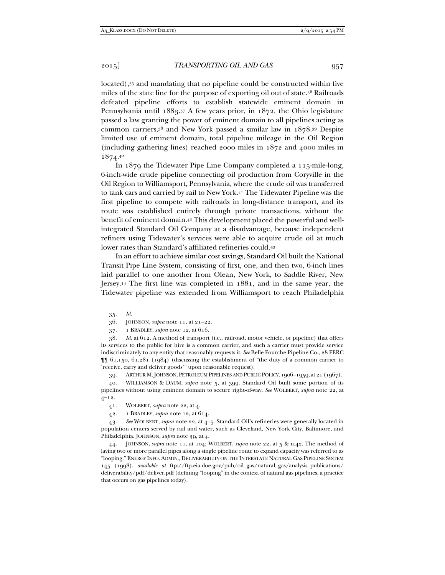located),<sup>35</sup> and mandating that no pipeline could be constructed within five miles of the state line for the purpose of exporting oil out of state.36 Railroads defeated pipeline efforts to establish statewide eminent domain in Pennsylvania until 1883.37 A few years prior, in 1872, the Ohio legislature passed a law granting the power of eminent domain to all pipelines acting as common carriers,38 and New York passed a similar law in 1878.39 Despite limited use of eminent domain, total pipeline mileage in the Oil Region (including gathering lines) reached 2000 miles in 1872 and 4000 miles in 1874.40

In 1879 the Tidewater Pipe Line Company completed a 115-mile-long, 6-inch-wide crude pipeline connecting oil production from Coryville in the Oil Region to Williamsport, Pennsylvania, where the crude oil was transferred to tank cars and carried by rail to New York.41 The Tidewater Pipeline was the first pipeline to compete with railroads in long-distance transport, and its route was established entirely through private transactions, without the benefit of eminent domain.<sup>42</sup> This development placed the powerful and wellintegrated Standard Oil Company at a disadvantage, because independent refiners using Tidewater's services were able to acquire crude oil at much lower rates than Standard's affiliated refineries could.43

In an effort to achieve similar cost savings, Standard Oil built the National Transit Pipe Line System, consisting of first, one, and then two, 6-inch lines laid parallel to one another from Olean, New York, to Saddle River, New Jersey.44 The first line was completed in 1881, and in the same year, the Tidewater pipeline was extended from Williamsport to reach Philadelphia

39. ARTHUR M.JOHNSON, PETROLEUM PIPELINES AND PUBLIC POLICY, 1906–1959, at 21 (1967).

 40. WILLIAMSON & DAUM, *supra* note 5, at 399. Standard Oil built some portion of its pipelines without using eminent domain to secure right-of-way. *See* WOLBERT, *supra* note 22, at 4–12.

JOHNSON, *supra* note 11, at 104; WOLBERT, *supra* note 22, at 5 & n.42. The method of laying two or more parallel pipes along a single pipeline route to expand capacity was referred to as "looping." ENERGY INFO.ADMIN., DELIVERABILITY ON THE INTERSTATE NATURAL GAS PIPELINE SYSTEM 145 (1998), *available at* ftp://ftp.eia.doe.gov/pub/oil\_gas/natural\_gas/analysis\_publications/ deliverability/pdf/deliver.pdf (defining "looping" in the context of natural gas pipelines, a practice that occurs on gas pipelines today).

 <sup>35.</sup> *Id.*

 <sup>36.</sup> JOHNSON, *supra* note 11, at 21–22.

 <sup>37. 1</sup> BRADLEY, *supra* note 12, at 616.

 <sup>38.</sup> *Id.* at 612. A method of transport (i.e., railroad, motor vehicle, or pipeline) that offers its services to the public for hire is a common carrier, and such a carrier must provide service indiscriminately to any entity that reasonably requests it. *See* Belle Fourche Pipeline Co., 28 FERC ¶¶ 61,150, 61,281 (1984) (discussing the establishment of "the duty of a common carrier to 'receive, carry and deliver goods'" upon reasonable request).

 <sup>41.</sup> WOLBERT, *supra* note 22, at 4.

 <sup>42. 1</sup> BRADLEY, *supra* note 12, at 614.

 <sup>43.</sup> *See* WOLBERT, *supra* note 22, at 4–5. Standard Oil's refineries were generally located in population centers served by rail and water, such as Cleveland, New York City, Baltimore, and Philadelphia. JOHNSON, *supra* note 39, at 4.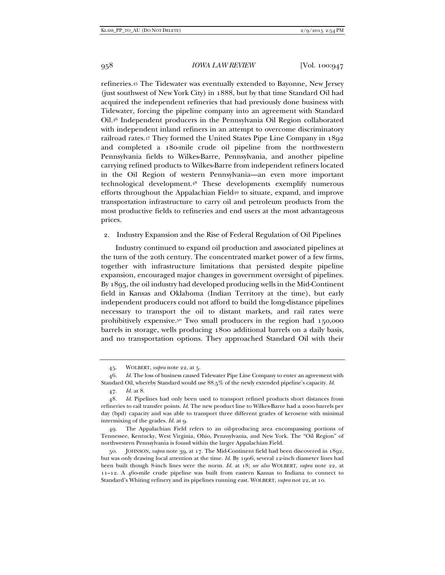refineries.45 The Tidewater was eventually extended to Bayonne, New Jersey (just southwest of New York City) in 1888, but by that time Standard Oil had acquired the independent refineries that had previously done business with Tidewater, forcing the pipeline company into an agreement with Standard Oil.46 Independent producers in the Pennsylvania Oil Region collaborated with independent inland refiners in an attempt to overcome discriminatory railroad rates.47 They formed the United States Pipe Line Company in 1892 and completed a 180-mile crude oil pipeline from the northwestern Pennsylvania fields to Wilkes-Barre, Pennsylvania, and another pipeline carrying refined products to Wilkes-Barre from independent refiners located in the Oil Region of western Pennsylvania—an even more important technological development.48 These developments exemplify numerous efforts throughout the Appalachian Field49 to situate, expand, and improve transportation infrastructure to carry oil and petroleum products from the most productive fields to refineries and end users at the most advantageous prices.

### 2. Industry Expansion and the Rise of Federal Regulation of Oil Pipelines

Industry continued to expand oil production and associated pipelines at the turn of the 20th century. The concentrated market power of a few firms, together with infrastructure limitations that persisted despite pipeline expansion, encouraged major changes in government oversight of pipelines. By 1895, the oil industry had developed producing wells in the Mid-Continent field in Kansas and Oklahoma (Indian Territory at the time), but early independent producers could not afford to build the long-distance pipelines necessary to transport the oil to distant markets, and rail rates were prohibitively expensive.50 Two small producers in the region had 150,000 barrels in storage, wells producing 1800 additional barrels on a daily basis, and no transportation options. They approached Standard Oil with their

 <sup>45.</sup> WOLBERT, *supra* note 22, at 5.

 <sup>46.</sup> *Id.* The loss of business caused Tidewater Pipe Line Company to enter an agreement with Standard Oil, whereby Standard would use 88.5% of the newly extended pipeline's capacity. *Id.* 

 <sup>47.</sup> *Id.* at 8.

 <sup>48.</sup> *Id.* Pipelines had only been used to transport refined products short distances from refineries to rail transfer points. *Id.* The new product line to Wilkes-Barre had a 2000 barrels per day (bpd) capacity and was able to transport three different grades of kerosene with minimal intermixing of the grades. *Id.* at 9.

 <sup>49.</sup> The Appalachian Field refers to an oil-producing area encompassing portions of Tennessee, Kentucky, West Virginia, Ohio, Pennsylvania, and New York. The "Oil Region" of northwestern Pennsylvania is found within the larger Appalachian Field.

 <sup>50.</sup> JOHNSON, *supra* note 39, at 17. The Mid-Continent field had been discovered in 1892, but was only drawing local attention at the time. *Id.* By 1906, several 12-inch diameter lines had been built though 8-inch lines were the norm. *Id.* at 18; *see also* WOLBERT, *supra* note 22, at 11–12. A 460-mile crude pipeline was built from eastern Kansas to Indiana to connect to Standard's Whiting refinery and its pipelines running east. WOLBERT, *supra* not 22, at 10.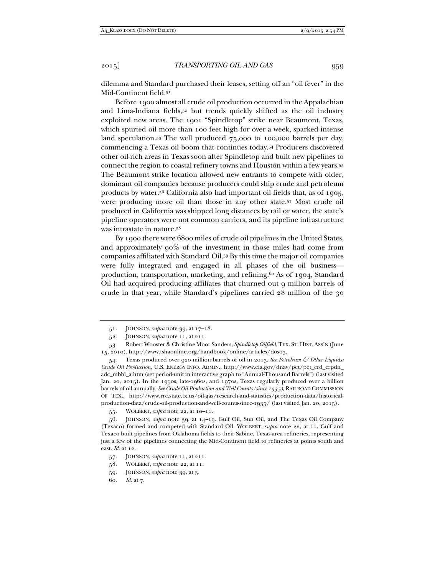dilemma and Standard purchased their leases, setting off an "oil fever" in the Mid-Continent field.51

Before 1900 almost all crude oil production occurred in the Appalachian and Lima-Indiana fields,<sup>52</sup> but trends quickly shifted as the oil industry exploited new areas. The 1901 "Spindletop" strike near Beaumont, Texas, which spurted oil more than 100 feet high for over a week, sparked intense land speculation.53 The well produced 75,000 to 100,000 barrels per day, commencing a Texas oil boom that continues today.54 Producers discovered other oil-rich areas in Texas soon after Spindletop and built new pipelines to connect the region to coastal refinery towns and Houston within a few years.55 The Beaumont strike location allowed new entrants to compete with older, dominant oil companies because producers could ship crude and petroleum products by water.56 California also had important oil fields that, as of 1905, were producing more oil than those in any other state.57 Most crude oil produced in California was shipped long distances by rail or water, the state's pipeline operators were not common carriers, and its pipeline infrastructure was intrastate in nature.58

By 1900 there were 6800 miles of crude oil pipelines in the United States, and approximately 90% of the investment in those miles had come from companies affiliated with Standard Oil.59 By this time the major oil companies were fully integrated and engaged in all phases of the oil business production, transportation, marketing, and refining.<sup>60</sup> As of 1904, Standard Oil had acquired producing affiliates that churned out 9 million barrels of crude in that year, while Standard's pipelines carried 28 million of the 30

 <sup>51.</sup> JOHNSON, *supra* note 39, at 17–18.

 <sup>52.</sup> JOHNSON, *supra* note 11, at 211.

 <sup>53.</sup> Robert Wooster & Christine Moor Sanders, *Spindletop Oilfield*, TEX. ST. HIST.ASS'N (June 15, 2010), http://www.tshaonline.org/handbook/online/articles/dos03.

 <sup>54.</sup> Texas produced over 920 million barrels of oil in 2013. *See Petroleum & Other Liquids: Crude Oil Production*, U.S. ENERGY INFO. ADMIN., http://www.eia.gov/dnav/pet/pet\_crd\_crpdn\_ adc\_mbbl\_a.htm (set period-unit in interactive graph to "Annual-Thousand Barrels") (last visited Jan. 20, 2015). In the 1950s, late-1960s, and 1970s, Texas regularly produced over a billion barrels of oil annually. *See Crude Oil Production and Well Counts (since 1935)*, RAILROAD COMMISSION OF TEX., http://www.rrc.state.tx.us/oil-gas/research-and-statistics/production-data/historicalproduction-data/crude-oil-production-and-well-counts-since-1935/ (last visited Jan. 20, 2015).

 <sup>55.</sup> WOLBERT, *supra* note 22, at 10–11.

 <sup>56.</sup> JOHNSON, *supra* note 39, at 14–15. Gulf Oil, Sun Oil, and The Texas Oil Company (Texaco) formed and competed with Standard Oil. WOLBERT, *supra* note 22, at 11. Gulf and Texaco built pipelines from Oklahoma fields to their Sabine, Texas-area refineries, representing just a few of the pipelines connecting the Mid-Continent field to refineries at points south and east. *Id.* at 12.

 <sup>57.</sup> JOHNSON, *supra* note 11, at 211.

 <sup>58.</sup> WOLBERT, *supra* note 22, at 11.

 <sup>59.</sup> JOHNSON, *supra* note 39, at 3.

 <sup>60.</sup> *Id.* at 7.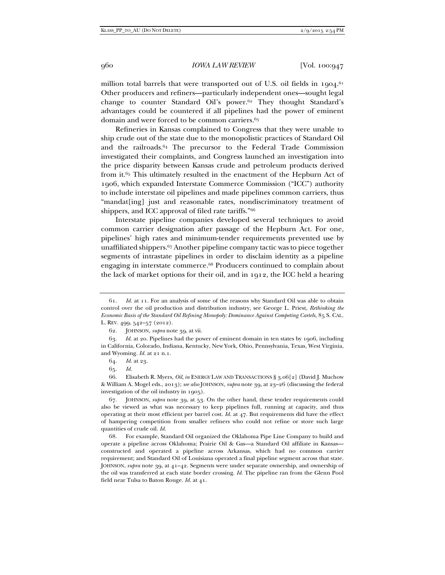million total barrels that were transported out of U.S. oil fields in  $1904$ .<sup>61</sup> Other producers and refiners—particularly independent ones—sought legal change to counter Standard Oil's power.62 They thought Standard's advantages could be countered if all pipelines had the power of eminent domain and were forced to be common carriers.<sup>63</sup>

Refineries in Kansas complained to Congress that they were unable to ship crude out of the state due to the monopolistic practices of Standard Oil and the railroads.64 The precursor to the Federal Trade Commission investigated their complaints, and Congress launched an investigation into the price disparity between Kansas crude and petroleum products derived from it.65 This ultimately resulted in the enactment of the Hepburn Act of 1906, which expanded Interstate Commerce Commission ("ICC") authority to include interstate oil pipelines and made pipelines common carriers, thus "mandat[ing] just and reasonable rates, nondiscriminatory treatment of shippers, and ICC approval of filed rate tariffs."66

Interstate pipeline companies developed several techniques to avoid common carrier designation after passage of the Hepburn Act. For one, pipelines' high rates and minimum-tender requirements prevented use by unaffiliated shippers.67 Another pipeline company tactic was to piece together segments of intrastate pipelines in order to disclaim identity as a pipeline engaging in interstate commerce.68 Producers continued to complain about the lack of market options for their oil, and in 1912, the ICC held a hearing

 <sup>61.</sup> *Id.* at 11. For an analysis of some of the reasons why Standard Oil was able to obtain control over the oil production and distribution industry, see George L. Priest, *Rethinking the Economic Basis of the Standard Oil Refining Monopoly: Dominance Against Competing Cartels*, 85 S. CAL. L. REV. 499, 542–57 (2012).

 <sup>62.</sup> JOHNSON, *supra* note 39, at vii.

 <sup>63.</sup> *Id.* at 20. Pipelines had the power of eminent domain in ten states by 1906, including in California, Colorado, Indiana, Kentucky, New York, Ohio, Pennsylvania, Texas, West Virginia, and Wyoming. *Id.* at 21 n.1.

 <sup>64.</sup> *Id.* at 23.

 <sup>65.</sup> *Id.* 

 <sup>66.</sup> Elisabeth R. Myers, *Oil*, *in* ENERGY LAW AND TRANSACTIONS § 3.06[2] (David J. Muchow & William A. Mogel eds., 2013); *see also* JOHNSON, *supra* note 39, at 23–26 (discussing the federal investigation of the oil industry in 1905).

 <sup>67.</sup> JOHNSON, *supra* note 39, at 53. On the other hand, these tender requirements could also be viewed as what was necessary to keep pipelines full, running at capacity, and thus operating at their most efficient per barrel cost. *Id.* at 47. But requirements did have the effect of hampering competition from smaller refiners who could not refine or store such large quantities of crude oil. *Id.*

 <sup>68.</sup> For example, Standard Oil organized the Oklahoma Pipe Line Company to build and operate a pipeline across Oklahoma; Prairie Oil & Gas—a Standard Oil affiliate in Kansas constructed and operated a pipeline across Arkansas, which had no common carrier requirement; and Standard Oil of Louisiana operated a final pipeline segment across that state. JOHNSON, *supra* note 39, at 41–42. Segments were under separate ownership, and ownership of the oil was transferred at each state border crossing. *Id.* The pipeline ran from the Glenn Pool field near Tulsa to Baton Rouge. *Id.* at 41.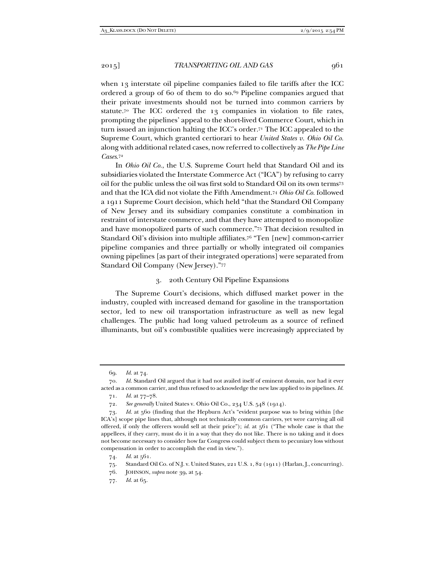when 13 interstate oil pipeline companies failed to file tariffs after the ICC ordered a group of 60 of them to do so.69 Pipeline companies argued that their private investments should not be turned into common carriers by statute.70 The ICC ordered the 13 companies in violation to file rates, prompting the pipelines' appeal to the short-lived Commerce Court, which in turn issued an injunction halting the ICC's order.71 The ICC appealed to the Supreme Court, which granted certiorari to hear *United States v. Ohio Oil Co.* along with additional related cases, now referred to collectively as *The Pipe Line Cases*.72

In *Ohio Oil Co.*, the U.S. Supreme Court held that Standard Oil and its subsidiaries violated the Interstate Commerce Act ("ICA") by refusing to carry oil for the public unless the oil was first sold to Standard Oil on its own terms73 and that the ICA did not violate the Fifth Amendment.74 *Ohio Oil Co.* followed a 1911 Supreme Court decision, which held "that the Standard Oil Company of New Jersey and its subsidiary companies constitute a combination in restraint of interstate commerce, and that they have attempted to monopolize and have monopolized parts of such commerce."75 That decision resulted in Standard Oil's division into multiple affiliates.76 "Ten [new] common-carrier pipeline companies and three partially or wholly integrated oil companies owning pipelines [as part of their integrated operations] were separated from Standard Oil Company (New Jersey)."77

## 3. 20th Century Oil Pipeline Expansions

The Supreme Court's decisions, which diffused market power in the industry, coupled with increased demand for gasoline in the transportation sector, led to new oil transportation infrastructure as well as new legal challenges. The public had long valued petroleum as a source of refined illuminants, but oil's combustible qualities were increasingly appreciated by

 <sup>69.</sup> *Id.* at 74.

 <sup>70.</sup> *Id.* Standard Oil argued that it had not availed itself of eminent domain, nor had it ever acted as a common carrier, and thus refused to acknowledge the new law applied to its pipelines. *Id.*

 <sup>71.</sup> *Id.* at 77–78.

 <sup>72.</sup> *See generally* United States v. Ohio Oil Co., 234 U.S. 548 (1914).

 <sup>73.</sup> *Id.* at 560 (finding that the Hepburn Act's "evident purpose was to bring within [the ICA's] scope pipe lines that, although not technically common carriers, yet were carrying all oil offered, if only the offerers would sell at their price"); *id.* at 561 ("The whole case is that the appellees, if they carry, must do it in a way that they do not like. There is no taking and it does not become necessary to consider how far Congress could subject them to pecuniary loss without compensation in order to accomplish the end in view.").

 <sup>74.</sup> *Id.* at 561.

 <sup>75.</sup> Standard Oil Co. of N.J. v. United States, 221 U.S. 1, 82 (1911) (Harlan, J., concurring).

 <sup>76.</sup> JOHNSON, *supra* note 39, at 54.

 <sup>77.</sup> *Id.* at 65.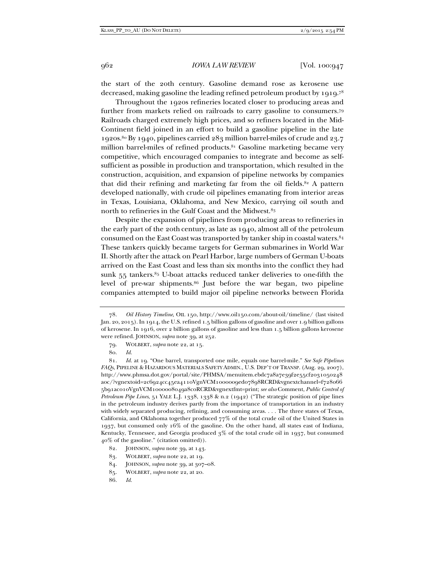the start of the 20th century. Gasoline demand rose as kerosene use decreased, making gasoline the leading refined petroleum product by 1919.78

Throughout the 1920s refineries located closer to producing areas and further from markets relied on railroads to carry gasoline to consumers.79 Railroads charged extremely high prices, and so refiners located in the Mid-Continent field joined in an effort to build a gasoline pipeline in the late 1920s.80 By 1940, pipelines carried 283 million barrel-miles of crude and 23.7 million barrel-miles of refined products.<sup>81</sup> Gasoline marketing became very competitive, which encouraged companies to integrate and become as selfsufficient as possible in production and transportation, which resulted in the construction, acquisition, and expansion of pipeline networks by companies that did their refining and marketing far from the oil fields. $82$  A pattern developed nationally, with crude oil pipelines emanating from interior areas in Texas, Louisiana, Oklahoma, and New Mexico, carrying oil south and north to refineries in the Gulf Coast and the Midwest.83

Despite the expansion of pipelines from producing areas to refineries in the early part of the 20th century, as late as 1940, almost all of the petroleum consumed on the East Coast was transported by tanker ship in coastal waters.84 These tankers quickly became targets for German submarines in World War II. Shortly after the attack on Pearl Harbor, large numbers of German U-boats arrived on the East Coast and less than six months into the conflict they had sunk  $55$  tankers. $85$  U-boat attacks reduced tanker deliveries to one-fifth the level of pre-war shipments.86 Just before the war began, two pipeline companies attempted to build major oil pipeline networks between Florida

 <sup>78.</sup> *Oil History Timeline*, OIL 150, http://www.oil150.com/about-oil/timeline/ (last visited Jan. 20, 2015). In 1914, the U.S. refined 1.5 billion gallons of gasoline and over 1.9 billion gallons of kerosene. In 1916, over 2 billion gallons of gasoline and less than 1.5 billion gallons kerosene were refined. JOHNSON, *supra* note 39, at 252.

 <sup>79.</sup> WOLBERT, *supra* note 22, at 15.

 <sup>80.</sup> *Id.* 

 <sup>81.</sup> *Id.* at 19. "One barrel, transported one mile, equals one barrel-mile." *See Safe Pipelines FAQs*, PIPELINE & HAZARDOUS MATERIALS SAFETY ADMIN., U.S. DEP'T OF TRANSP. (Aug. 29, 2007), http://www.phmsa.dot.gov/portal/site/PHMSA/menuitem.ebdc7a8a7e39f2e55cf2031050248 a0c/?vgnextoid=2c6924cc45ea4110VgnVCM1000009ed07898RCRD&vgnextchannel=f728066 5b91ac010VgnVCM1000008049a8c0RCRD&vgnextfmt=print; *see also* Comment, *Public Control of Petroleum Pipe Lines*, 51 YALE L.J. 1338, 1338 & n.2 (1942) ("The strategic position of pipe lines in the petroleum industry derives partly from the importance of transportation in an industry with widely separated producing, refining, and consuming areas. . . . The three states of Texas, California, and Oklahoma together produced 77% of the total crude oil of the United States in 1937, but consumed only 16% of the gasoline. On the other hand, all states east of Indiana, Kentucky, Tennessee, and Georgia produced 3% of the total crude oil in 1937, but consumed 40% of the gasoline." (citation omitted)).

 <sup>82.</sup> JOHNSON, *supra* note 39, at 143.

 <sup>83.</sup> WOLBERT, *supra* note 22, at 19.

 <sup>84.</sup> JOHNSON, *supra* note 39, at 307–08.

 <sup>85.</sup> WOLBERT, *supra* note 22, at 20.

 <sup>86.</sup> *Id.*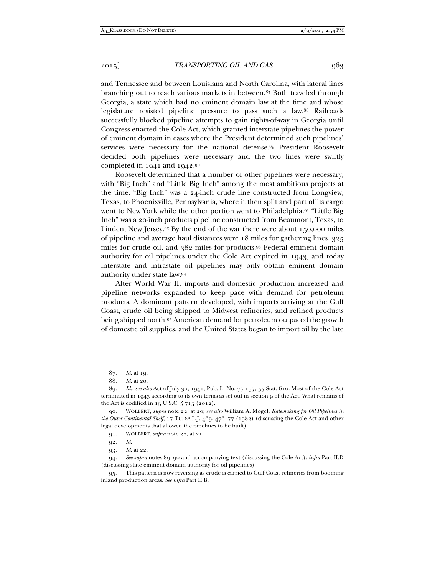and Tennessee and between Louisiana and North Carolina, with lateral lines branching out to reach various markets in between.<sup>87</sup> Both traveled through Georgia, a state which had no eminent domain law at the time and whose legislature resisted pipeline pressure to pass such a law.88 Railroads successfully blocked pipeline attempts to gain rights-of-way in Georgia until Congress enacted the Cole Act, which granted interstate pipelines the power of eminent domain in cases where the President determined such pipelines' services were necessary for the national defense.<sup>89</sup> President Roosevelt decided both pipelines were necessary and the two lines were swiftly completed in 1941 and 1942.90

Roosevelt determined that a number of other pipelines were necessary, with "Big Inch" and "Little Big Inch" among the most ambitious projects at the time. "Big Inch" was a 24-inch crude line constructed from Longview, Texas, to Phoenixville, Pennsylvania, where it then split and part of its cargo went to New York while the other portion went to Philadelphia.91 "Little Big Inch" was a 20-inch products pipeline constructed from Beaumont, Texas, to Linden, New Jersey.92 By the end of the war there were about 150,000 miles of pipeline and average haul distances were 18 miles for gathering lines, 325 miles for crude oil, and 382 miles for products.93 Federal eminent domain authority for oil pipelines under the Cole Act expired in 1943, and today interstate and intrastate oil pipelines may only obtain eminent domain authority under state law.94

After World War II, imports and domestic production increased and pipeline networks expanded to keep pace with demand for petroleum products. A dominant pattern developed, with imports arriving at the Gulf Coast, crude oil being shipped to Midwest refineries, and refined products being shipped north.95 American demand for petroleum outpaced the growth of domestic oil supplies, and the United States began to import oil by the late

 <sup>87.</sup> *Id.* at 19.

 <sup>88.</sup> *Id.* at 20.

 <sup>89.</sup> *Id.*; *see also* Act of July 30, 1941, Pub. L. No. 77-197, 55 Stat. 610. Most of the Cole Act terminated in 1943 according to its own terms as set out in section 9 of the Act. What remains of the Act is codified in 15 U.S.C. § 715 (2012).

 <sup>90.</sup> WOLBERT, *supra* note 22, at 20; *see also* William A. Mogel, *Ratemaking for Oil Pipelines in the Outer Continental Shelf*, 17 TULSA L.J. 469, 476–77 (1982) (discussing the Cole Act and other legal developments that allowed the pipelines to be built).

 <sup>91.</sup> WOLBERT, *supra* note 22, at 21.

 <sup>92.</sup> *Id.* 

 <sup>93.</sup> *Id.* at 22.

 <sup>94.</sup> *See supra* notes 89–90 and accompanying text (discussing the Cole Act); *infra* Part II.D (discussing state eminent domain authority for oil pipelines).

 <sup>95.</sup> This pattern is now reversing as crude is carried to Gulf Coast refineries from booming inland production areas. *See infra* Part II.B.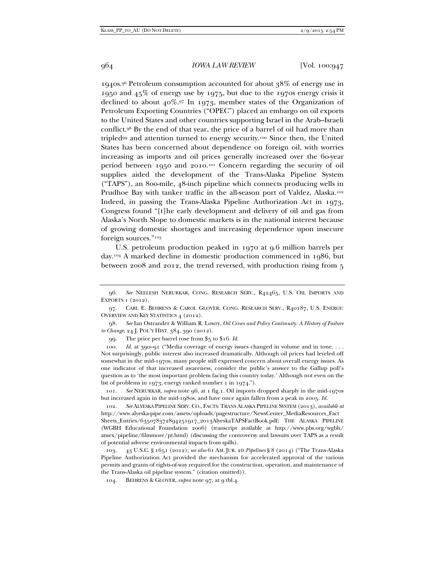1940s.96 Petroleum consumption accounted for about 38% of energy use in 1950 and 45% of energy use by 1975, but due to the 1970s energy crisis it declined to about  $40\%$ .97 In 1973, member states of the Organization of Petroleum Exporting Countries ("OPEC") placed an embargo on oil exports to the United States and other countries supporting Israel in the Arab–Israeli conflict.98 By the end of that year, the price of a barrel of oil had more than tripled99 and attention turned to energy security.100 Since then, the United States has been concerned about dependence on foreign oil, with worries increasing as imports and oil prices generally increased over the 60-year period between 1950 and 2010.101 Concern regarding the security of oil supplies aided the development of the Trans-Alaska Pipeline System ("TAPS"), an 800-mile, 48-inch pipeline which connects producing wells in Prudhoe Bay with tanker traffic in the all-season port of Valdez, Alaska.<sup>102</sup> Indeed, in passing the Trans-Alaska Pipeline Authorization Act in 1973, Congress found "[t]he early development and delivery of oil and gas from Alaska's North Slope to domestic markets is in the national interest because of growing domestic shortages and increasing dependence upon insecure foreign sources."103

U.S. petroleum production peaked in 1970 at 9.6 million barrels per day.104 A marked decline in domestic production commenced in 1986, but between 2008 and 2012, the trend reversed, with production rising from 5

99. The price per barrel rose from \$5 to \$16. *Id.* 

100. *Id.* at 390–91 ("Media coverage of energy issues changed in volume and in tone... Not surprisingly, public interest also increased dramatically. Although oil prices had leveled off somewhat in the mid-1970s, many people still expressed concern about overall energy issues. As one indicator of that increased awareness, consider the public's answer to the Gallup poll's question as to 'the most important problem facing this country today.' Although not even on the list of problems in 1973, energy ranked number 1 in 1974.").

 101. *See* NERURKAR, *supra* note 96, at 1 fig.1. Oil imports dropped sharply in the mid-1970s but increased again in the mid-1980s, and have once again fallen from a peak in 2005. *Id.* 

 102. *See* ALYESKA PIPELINE SERV. CO., FACTS: TRANS ALASKA PIPELINE SYSTEM (2013), *available at*  http://www.alyeska-pipe.com/assets/uploads/pagestructure/NewsCenter\_MediaResources\_Fact Sheets\_Entries/635078372894251917\_2013AlyeskaTAPSFactBook.pdf; THE ALASKA PIPELINE (WGBH Educational Foundation 2006) (transcript available at http://www.pbs.org/wgbh/ amex/pipeline/filmmore/pt.html) (discussing the controversy and lawsuits over TAPS as a result of potential adverse environmental impacts from spills).

 103. 43 U.S.C. § 1651 (2012); *see also* 61 AM. JUR. 2D *Pipelines* § 8 (2014) ("The Trans-Alaska Pipeline Authorization Act provided the mechanism for accelerated approval of the various permits and grants of rights-of-way required for the construction, operation, and maintenance of the Trans-Alaska oil pipeline system." (citation omitted)).

104. BEHRENS & GLOVER, *supra* note 97, at 9 tbl.4.

 <sup>96.</sup> *See* NEELESH NERURKAR, CONG. RESEARCH SERV., R42465, U.S. OIL IMPORTS AND EXPORTS 1 (2012).

 <sup>97.</sup> CARL E. BEHRENS & CAROL GLOVER, CONG. RESEARCH SERV., R40187, U.S. ENERGY: OVERVIEW AND KEY STATISTICS 4 (2012).

 <sup>98.</sup> *See* Ian Ostrander & William R. Lowry, *Oil Crises and Policy Continuity: A History of Failure to Change*, 24 J. POL'Y HIST. 384, 390 (2012).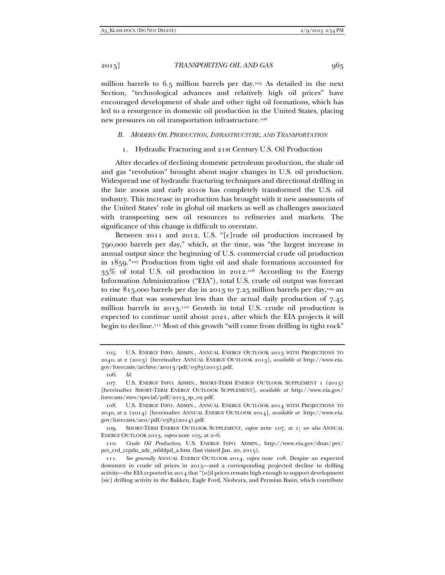million barrels to 6.5 million barrels per day.105 As detailed in the next Section, "technological advances and relatively high oil prices" have encouraged development of shale and other tight oil formations, which has led to a resurgence in domestic oil production in the United States, placing new pressures on oil transportation infrastructure.<sup>106</sup>

#### *B. MODERN OIL PRODUCTION, INFRASTRUCTURE, AND TRANSPORTATION*

# 1. Hydraulic Fracturing and 21st Century U.S. Oil Production

After decades of declining domestic petroleum production, the shale oil and gas "revolution" brought about major changes in U.S. oil production. Widespread use of hydraulic fracturing techniques and directional drilling in the late 2000s and early 2010s has completely transformed the U.S. oil industry. This increase in production has brought with it new assessments of the United States' role in global oil markets as well as challenges associated with transporting new oil resources to refineries and markets. The significance of this change is difficult to overstate.

Between 2011 and 2012, U.S. "[c]rude oil production increased by 790,000 barrels per day," which, at the time, was "the largest increase in annual output since the beginning of U.S. commercial crude oil production in 1859."107 Production from tight oil and shale formations accounted for 35% of total U.S. oil production in 2012.108 According to the Energy Information Administration ("EIA"), total U.S. crude oil output was forecast to rise 815,000 barrels per day in 2013 to 7.25 million barrels per day,<sup>109</sup> an estimate that was somewhat less than the actual daily production of 7.45 million barrels in 2013.110 Growth in total U.S. crude oil production is expected to continue until about 2021, after which the EIA projects it will begin to decline.111 Most of this growth "will come from drilling in tight rock"

 109. SHORT-TERM ENERGY OUTLOOK SUPPLEMENT, *supra* note 107, at 1; *see also* ANNUAL ENERGY OUTLOOK 2013, *supra* note 105, at 2–6.

 110. *Crude Oil Production*, U.S. ENERGY INFO. ADMIN., http://www.eia.gov/dnav/pet/ pet\_crd\_crpdn\_adc\_mbblpd\_a.htm (last visited Jan. 20, 2015).

 <sup>105.</sup> U.S. ENERGY INFO. ADMIN., ANNUAL ENERGY OUTLOOK 2013 WITH PROJECTIONS TO 2040, at 2 (2013) [hereinafter ANNUAL ENERGY OUTLOOK 2013], *available at* http://www.eia. gov/forecasts/archive/aeo13/pdf/0383(2013).pdf.

 <sup>106.</sup> *Id.* 

 <sup>107.</sup> U.S. ENERGY INFO. ADMIN., SHORT-TERM ENERGY OUTLOOK SUPPLEMENT 1 (2013) [hereinafter SHORT-TERM ENERGY OUTLOOK SUPPLEMENT], *available at* http://www.eia.gov/ forecasts/steo/special/pdf/2013\_sp\_02.pdf.

 <sup>108.</sup> U.S. ENERGY INFO. ADMIN., ANNUAL ENERGY OUTLOOK 2014 WITH PROJECTIONS TO 2040, at 2 (2014) [hereinafter ANNUAL ENERGY OUTLOOK 2014], *available at* http://www.eia. gov/forecasts/aeo/pdf/0383(2014).pdf.

 <sup>111.</sup> *See generally* ANNUAL ENERGY OUTLOOK 2014, *supra* note 108. Despite an expected downturn in crude oil prices in 2015—and a corresponding projected decline in drilling activity—the EIA reported in 2014 that "[o]il prices remain high enough to support development [sic] drilling activity in the Bakken, Eagle Ford, Niobrara, and Permian Basin, which contribute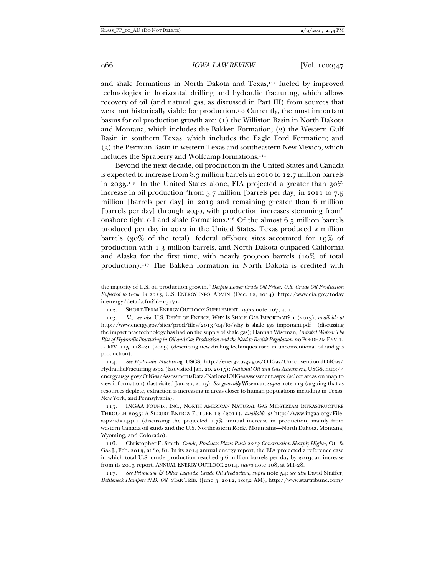and shale formations in North Dakota and Texas,<sup>112</sup> fueled by improved technologies in horizontal drilling and hydraulic fracturing, which allows recovery of oil (and natural gas, as discussed in Part III) from sources that were not historically viable for production.<sup>113</sup> Currently, the most important basins for oil production growth are: (1) the Williston Basin in North Dakota and Montana, which includes the Bakken Formation; (2) the Western Gulf Basin in southern Texas, which includes the Eagle Ford Formation; and (3) the Permian Basin in western Texas and southeastern New Mexico, which includes the Spraberry and Wolfcamp formations.114

Beyond the next decade, oil production in the United States and Canada is expected to increase from 8.3 million barrels in 2010 to 12.7 million barrels in 2035.<sup>115</sup> In the United States alone, EIA projected a greater than  $30\%$ increase in oil production "from 5.7 million [barrels per day] in 2011 to 7.5 million [barrels per day] in 2019 and remaining greater than 6 million [barrels per day] through 2040, with production increases stemming from" onshore tight oil and shale formations.116 Of the almost 6.5 million barrels produced per day in 2012 in the United States, Texas produced 2 million barrels (30% of the total), federal offshore sites accounted for 19% of production with 1.3 million barrels, and North Dakota outpaced California and Alaska for the first time, with nearly 700,000 barrels (10% of total production).117 The Bakken formation in North Dakota is credited with

 114. *See Hydraulic Fracturing*, USGS, http://energy.usgs.gov/OilGas/UnconventionalOilGas/ HydraulicFracturing.aspx (last visited Jan. 20, 2015); *National Oil and Gas Assessment*, USGS, http:// energy.usgs.gov/OilGas/AssessmentsData/NationalOilGasAssessment.aspx (select areas on map to view information) (last visited Jan. 20, 2015). *See generally* Wiseman, *supra* note 113 (arguing that as resources deplete, extraction is increasing in areas closer to human populations including in Texas, New York, and Pennsylvania).

 115. INGAA FOUND., INC., NORTH AMERICAN NATURAL GAS MIDSTREAM INFRASTRUCTURE THROUGH 2035: A SECURE ENERGY FUTURE 12 (2011), *available at* http://www.ingaa.org/File. aspx?id=14911 (discussing the projected  $1.7\%$  annual increase in production, mainly from western Canada oil sands and the U.S. Northeastern Rocky Mountains—North Dakota, Montana, Wyoming, and Colorado).

 116. Christopher E. Smith, *Crude, Products Plans Push 2013 Construction Sharply Higher*, OIL & GAS J., Feb. 2013, at 80, 81. In its 2014 annual energy report, the EIA projected a reference case in which total U.S. crude production reached 9.6 million barrels per day by 2019, an increase from its 2013 report. ANNUAL ENERGY OUTLOOK 2014, *supra* note 108, at MT-28.

117. See Petroleum & Other Liquids: Crude Oil Production, supra note 54; see also David Shaffer, *Bottleneck Hampers N.D. Oil*, STAR TRIB. (June 3, 2012, 10:52 AM), http://www.startribune.com/

the majority of U.S. oil production growth." *Despite Lower Crude Oil Prices, U.S. Crude Oil Production Expected to Grow in 2015*, U.S. ENERGY INFO. ADMIN. (Dec. 12, 2014), http://www.eia.gov/today inenergy/detail.cfm?id=19171.

 <sup>112.</sup> SHORT-TERM ENERGY OUTLOOK SUPPLEMENT, *supra* note 107, at 1.

 <sup>113.</sup> *Id.; see also* U.S. DEP'T OF ENERGY, WHY IS SHALE GAS IMPORTANT? 1 (2013), *available at* http://www.energy.gov/sites/prod/files/2013/04/f0/why\_is\_shale\_gas\_important.pdf (discussing the impact new technology has had on the supply of shale gas); Hannah Wiseman, *Untested Waters: The Rise of Hydraulic Fracturing in Oil and Gas Production and the Need to Revisit Regulation*, 20 FORDHAM ENVTL. L. REV. 115, 118–21 (2009) (describing new drilling techniques used in unconventional oil and gas production).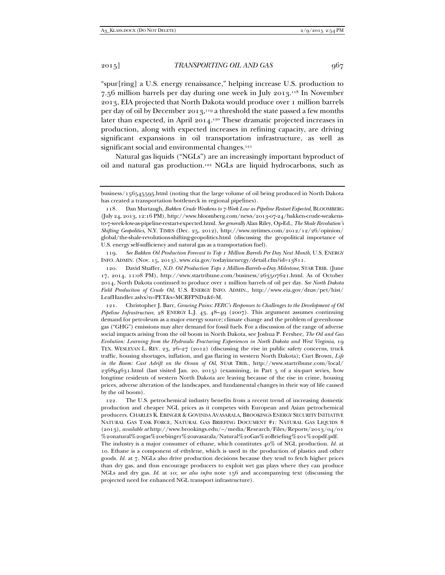"spur[ring] a U.S. energy renaissance," helping increase U.S. production to 7.56 million barrels per day during one week in July 2013.118 In November 2013, EIA projected that North Dakota would produce over 1 million barrels per day of oil by December 2013,119 a threshold the state passed a few months later than expected, in April 2014.120 These dramatic projected increases in production, along with expected increases in refining capacity, are driving significant expansions in oil transportation infrastructure, as well as significant social and environmental changes.<sup>121</sup>

Natural gas liquids ("NGLs") are an increasingly important byproduct of oil and natural gas production.122 NGLs are liquid hydrocarbons, such as

 119. *See Bakken Oil Production Forecast to Top 1 Million Barrels Per Day Next Month*, U.S. ENERGY INFO. ADMIN. (Nov. 15, 2013), www.eia.gov/todayinenergy/detail.cfm?id=13811.

 120. David Shaffer, *N.D. Oil Production Tops 1 Million-Barrels-a-Day Milestone*, STAR TRIB. (June 17, 2014, 11:08 PM), http://www.startribune.com/business/263507621.html. As of October 2014, North Dakota continued to produce over 1 million barrels of oil per day. *See North Dakota Field Production of Crude Oil*, U.S. ENERGY INFO. ADMIN., http://www.eia.gov/dnav/pet/hist/ LeafHandler.ashx?n=PET&s=MCRFPND2&f=M.

 121. Christopher J. Barr, *Growing Pains: FERC's Responses to Challenges to the Development of Oil Pipeline Infrastructure*, 28 ENERGY L.J. 43, 48–49 (2007). This argument assumes continuing demand for petroleum as a major energy source; climate change and the problem of greenhouse gas ("GHG") emissions may alter demand for fossil fuels. For a discussion of the range of adverse social impacts arising from the oil boom in North Dakota, see Joshua P. Fershee, *The Oil and Gas Evolution: Learning from the Hydraulic Fracturing Experiences in North Dakota and West Virginia*, 19 TEX. WESLEYAN L. REV. 23, 26–27 (2012) (discussing the rise in public safety concerns, truck traffic, housing shortages, inflation, and gas flaring in western North Dakota); Curt Brown, *Life in the Boom: Cast Adrift on the Ocean of Oil*, STAR TRIB., http://www.startribune.com/local/ 236894631.html (last visited Jan. 20, 2015) (examining, in Part 5 of a six-part series, how longtime residents of western North Dakota are leaving because of the rise in crime, housing prices, adverse alteration of the landscapes, and fundamental changes in their way of life caused by the oil boom).

 122. The U.S. petrochemical industry benefits from a recent trend of increasing domestic production and cheaper NGL prices as it competes with European and Asian petrochemical producers. CHARLES K. EBINGER & GOVINDA AVASARALA, BROOKINGS ENERGY SECURITY INITIATIVE NATURAL GAS TASK FORCE, NATURAL GAS BRIEFING DOCUMENT #1: NATURAL GAS LIQUIDS 8 (2013), *available at* http://www.brookings.edu/~/media/Research/Files/Reports/2013/04/01 %20natural%20gas%20ebinger%20avasarala/Natural%20Gas%20Briefing%201%20pdf.pdf.

The industry is a major consumer of ethane, which constitutes 40% of NGL production. *Id.* at 10. Ethane is a component of ethylene, which is used in the production of plastics and other goods. *Id.* at 7. NGLs also drive production decisions because they tend to fetch higher prices than dry gas, and thus encourage producers to exploit wet gas plays where they can produce NGLs and dry gas. *Id.* at 10; *see also infra* note 156 and accompanying text (discussing the projected need for enhanced NGL transport infrastructure).

business/156545595.html (noting that the large volume of oil being produced in North Dakota has created a transportation bottleneck in regional pipelines).

 <sup>118.</sup> Dan Murtaugh, *Bakken Crude Weakens to 7-Week Low as Pipeline Restart Expected*, BLOOMBERG (July 24, 2013, 12:16 PM), http://www.bloomberg.com/news/2013-07-24/bakken-crude-weakensto-7-week-low-as-pipeline-restart-expected.html. *See generally* Alan Riley, Op-Ed., *The Shale Revolution's Shifting Geopolitics*, N.Y. TIMES (Dec. 25, 2012), http://www.nytimes.com/2012/12/26/opinion/ global/the-shale-revolutions-shifting-geopolitics.html (discussing the geopolitical importance of U.S. energy self-sufficiency and natural gas as a transportation fuel).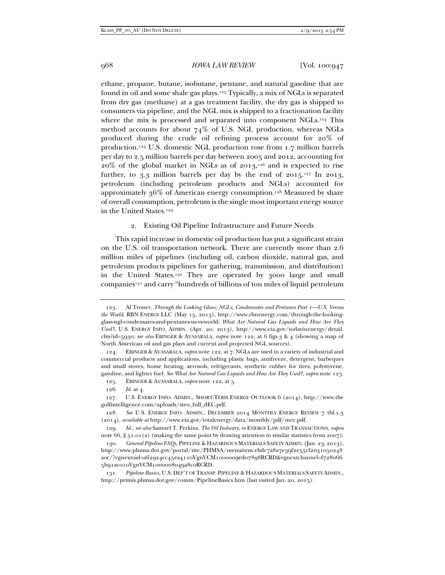ethane, propane, butane, isobutane, pentane, and natural gasoline that are found in oil and some shale gas plays.123 Typically, a mix of NGLs is separated from dry gas (methane) at a gas treatment facility, the dry gas is shipped to consumers via pipeline, and the NGL mix is shipped to a fractionation facility where the mix is processed and separated into component NGLs.<sup>124</sup> This method accounts for about 74% of U.S. NGL production, whereas NGLs produced during the crude oil refining process account for 20% of production.125 U.S. domestic NGL production rose from 1.7 million barrels per day to 2.5 million barrels per day between 2005 and 2012, accounting for  $20\%$  of the global market in NGLs as of  $2013$ ,<sup>126</sup> and is expected to rise further, to 3.3 million barrels per day by the end of  $2015.^{127}$  In  $2013$ , petroleum (including petroleum products and NGLs) accounted for approximately  $36\%$  of American energy consumption.<sup>128</sup> Measured by share of overall consumption, petroleum is the single most important energy source in the United States.129

Existing Oil Pipeline Infrastructure and Future Needs

This rapid increase in domestic oil production has put a significant strain on the U.S. oil transportation network. There are currently more than 2.6 million miles of pipelines (including oil, carbon dioxide, natural gas, and petroleum products pipelines for gathering, transmission, and distribution) in the United States.130 They are operated by 3000 large and small companies<sup>131</sup> and carry "hundreds of billions of ton miles of liquid petroleum

 <sup>123.</sup> Al Troner, *Through the Looking Glass: NGLs, Condensates and Pentanes Part 1—U.S. Versus the World*, RBN ENERGY LLC (May 15, 2013), http://www.rbnenergy.com/through-the-lookingglass-ngl-condensates-and-pentanes-us-vs-world; *What Are Natural Gas Liquids and How Are They Used?*, U.S. ENERGY INFO. ADMIN. (Apr. 20, 2013), http://www.eia.gov/todayinenergy/detail. cfm?id=5930; *see also* EBINGER & AVASARALA, *supra* note 122, at 6 figs.3 & 4 (showing a map of North American oil and gas plays and current and projected NGL sources).

 <sup>124.</sup> EBINGER & AVASARALA, *supra* note 122, at 7. NGLs are used in a variety of industrial and commercial products and applications, including plastic bags, antifreeze, detergent, barbeques and small stoves, home heating, aerosols, refrigerants, synthetic rubber for tires, polystyrene, gasoline, and lighter fuel. *See What Are Natural Gas Liquids and How Are They Used?*, *supra* note 123.

 <sup>125.</sup> EBINGER & AVASARALA, *supra* note 122, at 5.

 <sup>126.</sup> *Id.* at 4.

 <sup>127.</sup> U.S. ENERGY INFO. ADMIN., SHORT-TERM ENERGY OUTLOOK 6 (2014), http://www.the gulfintelligence.com/uploads/steo\_full\_dEC.pdf.

 <sup>128.</sup> *See* U.S. ENERGY INFO. ADMIN., DECEMBER 2014 MONTHLY ENERGY REVIEW 7 tbl.1.3 (2014), *available at* http://www.eia.gov/totalenergy/data/monthly/pdf/mer.pdf.

 <sup>129.</sup> *Id.*; *see also* Samuel T. Perkins, *The Oil Industry*, *in* ENERGY LAW AND TRANSACTIONS, *supra* note 66, § 51.01(2) (making the same point by drawing attention to similar statistics from 2007).

 <sup>130.</sup> *General Pipeline FAQs*, PIPELINE & HAZARDOUS MATERIALS SAFETY ADMIN. (Jan. 23, 2013), http://www.phmsa.dot.gov/portal/site/PHMSA/menuitem.ebdc7a8a7e39f2e55cf2031050248 a0c/?vgnextoid=a62924cc45ea4110VgnVCM1000009ed07898RCRD&vgnextchannel=f728066 5b91ac010VgnVCM1000008049a8c0RCRD*.*

 <sup>131.</sup> *Pipeline Basics*, U.S. DEP'T OF TRANSP. PIPELINE & HAZARDOUS MATERIALS SAFETY ADMIN., http://primis.phmsa.dot.gov/comm/PipelineBasics.htm (last visited Jan. 20, 2015)*.*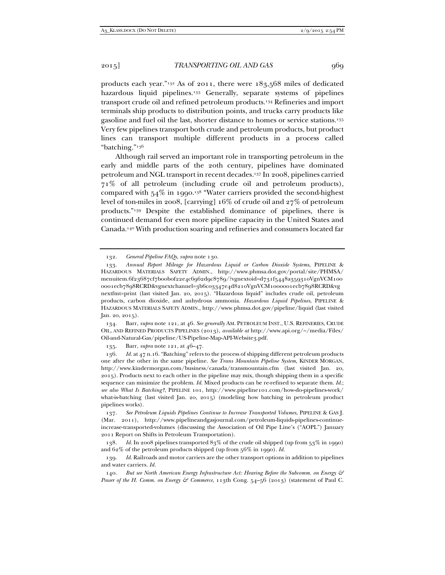products each year."132 As of 2011, there were 183,568 miles of dedicated hazardous liquid pipelines.<sup>133</sup> Generally, separate systems of pipelines transport crude oil and refined petroleum products.134 Refineries and import terminals ship products to distribution points, and trucks carry products like gasoline and fuel oil the last, shorter distance to homes or service stations.135 Very few pipelines transport both crude and petroleum products, but product lines can transport multiple different products in a process called "batching."136

Although rail served an important role in transporting petroleum in the early and middle parts of the 20th century, pipelines have dominated petroleum and NGL transport in recent decades.137 In 2008, pipelines carried 71% of all petroleum (including crude oil and petroleum products), compared with  $54\%$  in 1990.<sup>138</sup> "Water carriers provided the second-highest level of ton-miles in 2008, [carrying] 16% of crude oil and 27% of petroleum products."139 Despite the established dominance of pipelines, there is continued demand for even more pipeline capacity in the United States and Canada.140 With production soaring and refineries and consumers located far

 134. Barr, *supra* note 121, at 46. *See generally* AM. PETROLEUM INST., U.S. REFINERIES, CRUDE OIL, AND REFINED PRODUCTS PIPELINES (2013), *available at* http://www.api.org/~/media/Files/ Oil-and-Natural-Gas/pipeline/US-Pipeline-Map-API-Website3.pdf.

135. Barr, *supra* note 121, at 46–47.

 136. *Id.* at 47 n.16. "Batching" refers to the process of shipping different petroleum products one after the other in the same pipeline. *See Trans Mountain Pipeline System*, KINDER MORGAN, http://www.kindermorgan.com/business/canada/transmountain.cfm (last visited Jan. 20, 2015). Products next to each other in the pipeline may mix, though shipping them in a specific sequence can minimize the problem. *Id.* Mixed products can be re-refined to separate them. *Id.*; *see also What Is Batching?*, PIPELINE 101, http://www.pipeline101.com/how-do-pipelines-work/ what-is-batching (last visited Jan. 20, 2015) (modeling how batching in petroleum product pipelines works).

 137. *See Petroleum Liquids Pipelines Continue to Increase Transported Volumes*, PIPELINE & GAS J. (Mar. 2011), http://www.pipelineandgasjournal.com/petroleum-liquids-pipelines-continueincrease-transported-volumes (discussing the Association of Oil Pipe Line's ("AOPL") January 2011 Report on Shifts in Petroleum Transportation).

 138. *Id.* In 2008 pipelines transported 83% of the crude oil shipped (up from 53% in 1990) and 62% of the petroleum products shipped (up from 56% in 1990). *Id.* 

 139. *Id.* Railroads and motor carriers are the other transport options in addition to pipelines and water carriers. *Id.*

 140. *But see North American Energy Infrastructure Act: Hearing Before the Subcomm. on Energy & Power of the H. Comm. on Energy & Commerce*, 113th Cong. 54–56 (2013) (statement of Paul C.

 <sup>132.</sup> *General Pipeline FAQs*, *supra* note 130.

 <sup>133.</sup> *Annual Report Mileage for Hazardous Liquid or Carbon Dioxide Systems*, PIPELINE & HAZARDOUS MATERIALS SAFETY ADMIN., http://www.phmsa.dot.gov/portal/site/PHMSA/ menuitem.6f23687cf7b00b0f22e4c6962d9c8789/?vgnextoid=d731f5448a359310VgnVCM100 0001ecb7898RCRD&vgnextchannel=3b6c03347e4d8210VgnVCM1000001ecb7898RCRD&vg nextfmt=print (last visited Jan. 20, 2015). "Hazardous liquid" includes crude oil, petroleum products, carbon dioxide, and anhydrous ammonia. *Hazardous Liquid Pipelines*, PIPELINE & HAZARDOUS MATERIALS SAFETY ADMIN., http://www.phmsa.dot.gov/pipeline/liquid (last visited Jan. 20, 2015).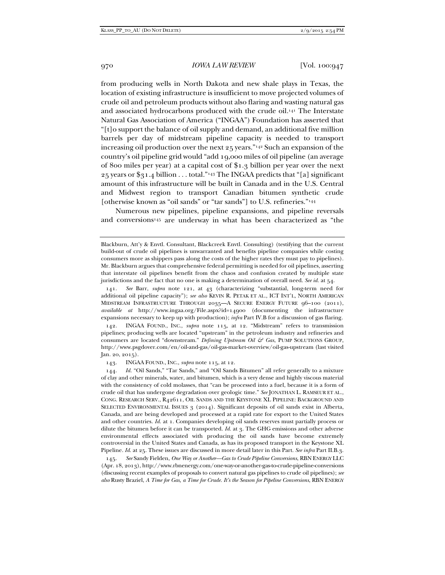from producing wells in North Dakota and new shale plays in Texas, the location of existing infrastructure is insufficient to move projected volumes of crude oil and petroleum products without also flaring and wasting natural gas and associated hydrocarbons produced with the crude oil.141 The Interstate Natural Gas Association of America ("INGAA") Foundation has asserted that "[t]o support the balance of oil supply and demand, an additional five million barrels per day of midstream pipeline capacity is needed to transport increasing oil production over the next 25 years."142 Such an expansion of the country's oil pipeline grid would "add 19,000 miles of oil pipeline (an average of 800 miles per year) at a capital cost of \$1.3 billion per year over the next 25 years or \$31.4 billion . . . total."143 The INGAA predicts that "[a] significant amount of this infrastructure will be built in Canada and in the U.S. Central and Midwest region to transport Canadian bitumen synthetic crude [otherwise known as "oil sands" or "tar sands"] to U.S. refineries."<sup>144</sup>

Numerous new pipelines, pipeline expansions, and pipeline reversals and conversions<sup>145</sup> are underway in what has been characterized as "the

 142. INGAA FOUND., INC., *supra* note 115, at 12. "Midstream" refers to transmission pipelines; producing wells are located "upstream" in the petroleum industry and refineries and consumers are located "downstream." *Defining Upstream Oil & Gas*, PUMP SOLUTIONS GROUP, http://www.psgdover.com/en/oil-and-gas/oil-gas-market-overview/oil-gas-upstream (last visited Jan. 20, 2015).

143. INGAA FOUND., INC., *supra* note 115, at 12.

 144. *Id.* "Oil Sands," "Tar Sands," and "Oil Sands Bitumen" all refer generally to a mixture of clay and other minerals, water, and bitumen, which is a very dense and highly viscous material with the consistency of cold molasses, that "can be processed into a fuel, because it is a form of crude oil that has undergone degradation over geologic time." *See* JONATHAN L. RAMSEUR ET AL., CONG. RESEARCH SERV., R42611, OIL SANDS AND THE KEYSTONE XL PIPELINE: BACKGROUND AND SELECTED ENVIRONMENTAL ISSUES 3 (2014). Significant deposits of oil sands exist in Alberta, Canada, and are being developed and processed at a rapid rate for export to the United States and other countries. *Id.* at 1. Companies developing oil sands reserves must partially process or dilute the bitumen before it can be transported. *Id.* at 3. The GHG emissions and other adverse environmental effects associated with producing the oil sands have become extremely controversial in the United States and Canada, as has its proposed transport in the Keystone XL Pipeline. *Id.* at 25. These issues are discussed in more detail later in this Part. *See infra* Part II.B.3.

 145. *See* Sandy Fielden, *One Way or Another—Gas to Crude Pipeline Conversions*, RBN ENERGY LLC (Apr. 18, 2013), http://www.rbnenergy.com/one-way-or-another-gas-to-crude-pipeline-conversions (discussing recent examples of proposals to convert natural gas pipelines to crude oil pipelines); *see also* Rusty Braziel, *A Time for Gas, a Time for Crude. It's the Season for Pipeline Conversions*, RBN ENERGY

Blackburn, Att'y & Envtl. Consultant, Blackcreek Envtl. Consulting) (testifying that the current build-out of crude oil pipelines is unwarranted and benefits pipeline companies while costing consumers more as shippers pass along the costs of the higher rates they must pay to pipelines). Mr. Blackburn argues that comprehensive federal permitting is needed for oil pipelines, asserting that interstate oil pipelines benefit from the chaos and confusion created by multiple state jurisdictions and the fact that no one is making a determination of overall need. *See id.* at 54.

 <sup>141.</sup> *See* Barr, *supra* note 121, at 43 (characterizing "substantial, long-term need for additional oil pipeline capacity"); *see also* KEVIN R. PETAK ET AL., ICT INT'L, NORTH AMERICAN MIDSTREAM INFRASTRUCTURE THROUGH 2035—A SECURE ENERGY FUTURE 96–100 (2011), *available at* http://www.ingaa.org/File.aspx?id=14900 (documenting the infrastructure expansions necessary to keep up with production); *infra* Part IV.B for a discussion of gas flaring.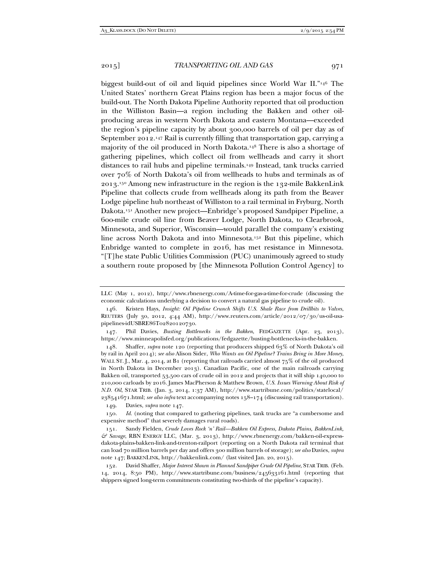biggest build-out of oil and liquid pipelines since World War II."146 The United States' northern Great Plains region has been a major focus of the build-out. The North Dakota Pipeline Authority reported that oil production in the Williston Basin—a region including the Bakken and other oilproducing areas in western North Dakota and eastern Montana—exceeded the region's pipeline capacity by about 300,000 barrels of oil per day as of September 2012.147 Rail is currently filling that transportation gap, carrying a majority of the oil produced in North Dakota.148 There is also a shortage of gathering pipelines, which collect oil from wellheads and carry it short distances to rail hubs and pipeline terminals.149 Instead, tank trucks carried over 70% of North Dakota's oil from wellheads to hubs and terminals as of 2013.150 Among new infrastructure in the region is the 132-mile BakkenLink Pipeline that collects crude from wellheads along its path from the Beaver Lodge pipeline hub northeast of Williston to a rail terminal in Fryburg, North Dakota.151 Another new project—Enbridge's proposed Sandpiper Pipeline, a 600-mile crude oil line from Beaver Lodge, North Dakota, to Clearbrook, Minnesota, and Superior, Wisconsin—would parallel the company's existing line across North Dakota and into Minnesota.152 But this pipeline, which Enbridge wanted to complete in 2016, has met resistance in Minnesota. "[T]he state Public Utilities Commission (PUC) unanimously agreed to study a southern route proposed by [the Minnesota Pollution Control Agency] to

 148. Shaffer, *supra* note 120 (reporting that producers shipped 63% of North Dakota's oil by rail in April 2014); *see also* Alison Sider, *Who Wants an Oil Pipeline? Trains Bring in More Money*, WALL ST. [., Mar. 4, 2014, at B1 (reporting that railroads carried almost  $75\%$  of the oil produced in North Dakota in December 2013). Canadian Pacific, one of the main railroads carrying Bakken oil, transported 53,500 cars of crude oil in 2012 and projects that it will ship 140,000 to 210,000 carloads by 2016. James MacPherson & Matthew Brown, *U.S. Issues Warning About Risk of N.D. Oil*, STAR TRIB. (Jan. 3, 2014, 1:37 AM), http://www.startribune.com/politics/statelocal/ 238541671.html; *see also infra* text accompanying notes 158–174 (discussing rail transportation).

149. Davies, *supra* note 147.

 151. Sandy Fielden, *Crude Loves Rock 'n' Rail—Bakken Oil Express, Dakota Plains, BakkenLink, & Savage*, RBN ENERGY LLC, (Mar. 3, 2013), http://www.rbnenergy.com/bakken-oil-expressdakota-plains-bakken-link-and-trenton-railport (reporting on a North Dakota rail terminal that can load 70 million barrels per day and offers 300 million barrels of storage); *see also* Davies, *supra*  note 147; BAKKENLINK, http://bakkenlink.com/ (last visited Jan. 20, 2015).

LLC (May 1, 2012), http://www.rbnenergy.com/A-time-for-gas-a-time-for-crude (discussing the economic calculations underlying a decision to convert a natural gas pipeline to crude oil).

 <sup>146.</sup> Kristen Hays, *Insight: Oil Pipeline Crunch Shifts U.S. Shale Race from Drillbits to Valves*, REUTERS (July 30, 2012, 4:44 AM), http://www.reuters.com/article/2012/07/30/us-oil-usapipelines-idUSBRE86T02820120730.

 <sup>147.</sup> Phil Davies, *Busting Bottlenecks in the Bakken*, FEDGAZETTE (Apr. 23, 2013), https://www.minneapolisfed.org/publications/fedgazette/busting-bottlenecks-in-the-bakken.

 <sup>150.</sup> *Id.* (noting that compared to gathering pipelines, tank trucks are "a cumbersome and expensive method" that severely damages rural roads).

 <sup>152.</sup> David Shaffer, *Major Interest Shown in Planned Sandpiper Crude Oil Pipeline*, STAR TRIB. (Feb. 14, 2014, 8:50 PM), http://www.startribune.com/business/245633161.html (reporting that shippers signed long-term commitments constituting two-thirds of the pipeline's capacity).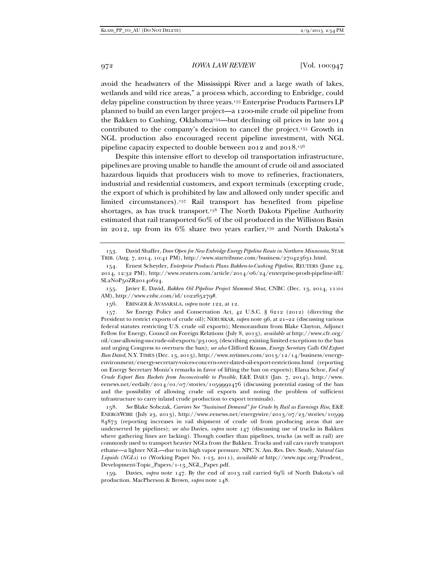avoid the headwaters of the Mississippi River and a large swath of lakes, wetlands and wild rice areas," a process which, according to Enbridge, could delay pipeline construction by three years.153 Enterprise Products Partners LP planned to build an even larger project—a 1200-mile crude oil pipeline from the Bakken to Cushing, Oklahoma154—but declining oil prices in late 2014 contributed to the company's decision to cancel the project.155 Growth in NGL production also encouraged recent pipeline investment, with NGL pipeline capacity expected to double between 2012 and 2018.156

Despite this intensive effort to develop oil transportation infrastructure, pipelines are proving unable to handle the amount of crude oil and associated hazardous liquids that producers wish to move to refineries, fractionaters, industrial and residential customers, and export terminals (excepting crude, the export of which is prohibited by law and allowed only under specific and limited circumstances).157 Rail transport has benefited from pipeline shortages, as has truck transport.158 The North Dakota Pipeline Authority estimated that rail transported 60% of the oil produced in the Williston Basin in 2012, up from its  $6\%$  share two years earlier,<sup>159</sup> and North Dakota's

 157. *See* Energy Policy and Conservation Act, 42 U.S.C. § 6212 (2012) (directing the President to restrict exports of crude oil); NERURKAR, *supra* note 96, at 21-22 (discussing various federal statutes restricting U.S. crude oil exports); Memorandum from Blake Clayton, Adjunct Fellow for Energy, Council on Foreign Relations (July 8, 2013), *available at* http://www.cfr.org/ oil/case-allowing-us-crude-oil-exports/p31005 (describing existing limited exceptions to the ban and urging Congress to overturn the ban); *see also* Clifford Krauss, *Energy Secretary Calls Oil Export Ban Dated*, N.Y. TIMES (Dec. 13, 2013), http://www.nytimes.com/2013/12/14/business/energyenvironment/energy-secretary-voices-concern-over-dated-oil-export-restrictions.html (reporting on Energy Secretary Moniz's remarks in favor of lifting the ban on exports); Elana Schor, *End of Crude Export Ban Rockets from Inconceivable to Possible*, E&E DAILY (Jan. 7, 2014), http://www. eenews.net/eedaily/2014/01/07/stories/1059992476 (discussing potential easing of the ban and the possibility of allowing crude oil exports and noting the problem of sufficient infrastructure to carry inland crude production to export terminals).

 158. *See* Blake Sobczak, *Carriers See "Sustained Demand" for Crude by Rail as Earnings Rise*, E&E ENERGYWIRE (July 23, 2013), http://www.eenews.net/energywire/2013/07/23/stories/10599 84873 (reporting increases in rail shipment of crude oil from producing areas that are underserved by pipelines); *see also* Davies, *supra* note 147 (discussing use of trucks in Bakken where gathering lines are lacking). Though costlier than pipelines, trucks (as well as rail) are commonly used to transport heavier NGLs from the Bakken. Trucks and rail cars rarely transport ethane—a lighter NGL—due to its high vapor pressure. NPC N. Am. Res. Dev. Study, *Natural Gas Liquids (NGLs)* 10 (Working Paper No. 1-13, 2011), *available at* http://www.npc.org/Prudent\_ Development-Topic\_Papers/1-13\_NGL\_Paper.pdf.

 159. Davies, *supra* note 147. By the end of 2013 rail carried 69% of North Dakota's oil production. MacPherson & Brown, *supra* note 148.

 <sup>153.</sup> David Shaffer, *Door Open for New Enbridge Energy Pipeline Route in Northern Minnesota*, STAR TRIB. (Aug. 7, 2014, 10:41 PM), http://www.startribune.com/business/270423631.html.

 <sup>154.</sup> Ernest Scheyder, *Enterprise Products Plans Bakken-to-Cushing Pipeline*, REUTERS (June 24, 2014, 12:32 PM), http://www.reuters.com/article/2014/06/24/enterprise-prodt-pipeline-idU SL2N0P50ZR20140624.

 <sup>155.</sup> Javier E. David, *Bakken Oil Pipeline Project Slammed Shut*, CNBC (Dec. 13, 2014, 11:01 AM), http://www.cnbc.com/id/102265279#.

 <sup>156.</sup> EBINGER & AVASARALA, *supra* note 122, at 12.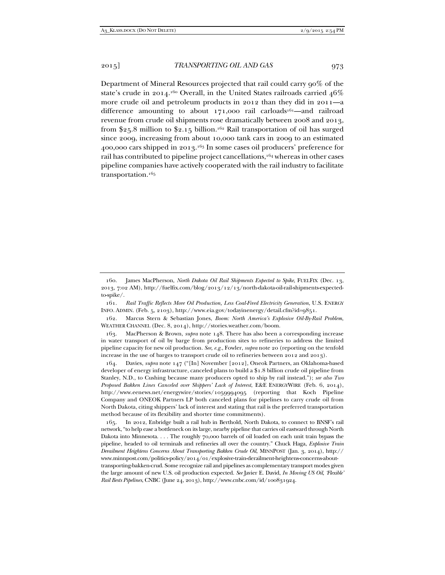Department of Mineral Resources projected that rail could carry  $q_0\%$  of the state's crude in 2014.<sup>160</sup> Overall, in the United States railroads carried  $46\%$ more crude oil and petroleum products in 2012 than they did in 2011—a difference amounting to about  $171,000$  rail carloads<sup>161</sup>—and railroad revenue from crude oil shipments rose dramatically between 2008 and 2013, from \$25.8 million to \$2.15 billion.162 Rail transportation of oil has surged since 2009, increasing from about 10,000 tank cars in 2009 to an estimated 400,000 cars shipped in 2013.163 In some cases oil producers' preference for rail has contributed to pipeline project cancellations,<sup>164</sup> whereas in other cases pipeline companies have actively cooperated with the rail industry to facilitate transportation.165

 164. Davies, *supra* note 147 ("[In] November [2012], Oneok Partners, an Oklahoma-based developer of energy infrastructure, canceled plans to build a \$1.8 billion crude oil pipeline from Stanley, N.D., to Cushing because many producers opted to ship by rail instead."); *see also Two Proposed Bakken Lines Canceled over Shippers' Lack of Interest*, E&E ENERGYWIRE (Feb. 6, 2014), http://www.eenews.net/energywire/stories/1059994095 (reporting that Koch Pipeline Company and ONEOK Partners LP both canceled plans for pipelines to carry crude oil from North Dakota, citing shippers' lack of interest and stating that rail is the preferred transportation method because of its flexibility and shorter time commitments).

 165. In 2012, Enbridge built a rail hub in Berthold, North Dakota, to connect to BNSF's rail network, "to help ease a bottleneck on its large, nearby pipeline that carries oil eastward through North Dakota into Minnesota. . . . The roughly 70,000 barrels of oil loaded on each unit train bypass the pipeline, headed to oil terminals and refineries all over the country." Chuck Haga, *Explosive Train Derailment Heightens Concerns About Transporting Bakken Crude Oil*, MINNPOST (Jan. 3, 2014), http:// www.minnpost.com/politics-policy/2014/01/explosive-train-derailment-heightens-concerns-abouttransporting-bakken-crud. Some recognize rail and pipelines as complementary transport modes given the large amount of new U.S. oil production expected. *See* Javier E. David, *In Moving US Oil, 'Flexible' Rail Bests Pipelines*, CNBC (June 24, 2013), http://www.cnbc.com/id/100831924.

 <sup>160.</sup> James MacPherson, *North Dakota Oil Rail Shipments Expected to Spike*, FUELFIX (Dec. 13, 2013, 7:02 AM), http://fuelfix.com/blog/2013/12/13/north-dakota-oil-rail-shipments-expectedto-spike/.

 <sup>161.</sup> *Rail Traffic Reflects More Oil Production, Less Coal-Fired Electricity Generation*, U.S. ENERGY INFO. ADMIN. (Feb. 5, 2103), http://www.eia.gov/todayinenergy/detail.cfm?id=9851.

 <sup>162.</sup> Marcus Stern & Sebastian Jones, *Boom: North America's Explosive Oil-By-Rail Problem*, WEATHER CHANNEL (Dec. 8, 2014), http://stories.weather.com/boom.

 <sup>163.</sup> MacPherson & Brown, *supra* note 148. There has also been a corresponding increase in water transport of oil by barge from production sites to refineries to address the limited pipeline capacity for new oil production. *See, e.g.*, Fowler, *supra* note 20 (reporting on the tenfold increase in the use of barges to transport crude oil to refineries between 2012 and 2013).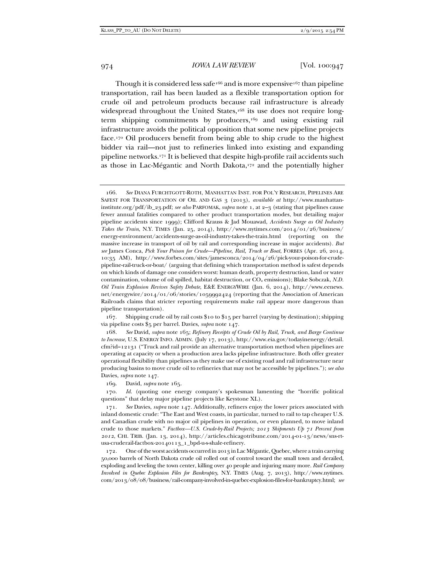Though it is considered less safe<sup>166</sup> and is more expensive<sup>167</sup> than pipeline transportation, rail has been lauded as a flexible transportation option for crude oil and petroleum products because rail infrastructure is already widespread throughout the United States,<sup>168</sup> its use does not require longterm shipping commitments by producers,<sup>169</sup> and using existing rail infrastructure avoids the political opposition that some new pipeline projects face.170 Oil producers benefit from being able to ship crude to the highest bidder via rail—not just to refineries linked into existing and expanding pipeline networks.171 It is believed that despite high-profile rail accidents such as those in Lac-Mégantic and North Dakota,<sup>172</sup> and the potentially higher

 167. Shipping crude oil by rail costs \$10 to \$15 per barrel (varying by destination); shipping via pipeline costs \$5 per barrel. Davies, *supra* note 147.

 168. *See* David, *supra* note 165; *Refinery Receipts of Crude Oil by Rail, Truck, and Barge Continue to Increase*, U.S. ENERGY INFO. ADMIN. (July 17, 2013), http://www.eia.gov/todayinenergy/detail. cfm?id=12131 ("Truck and rail provide an alternative transportation method when pipelines are operating at capacity or when a production area lacks pipeline infrastructure. Both offer greater operational flexibility than pipelines as they make use of existing road and rail infrastructure near producing basins to move crude oil to refineries that may not be accessible by pipelines."); *see also*  Davies, *supra* note 147.

169. David, *supra* note 165.

 170. *Id.* (quoting one energy company's spokesman lamenting the "horrific political questions" that delay major pipeline projects like Keystone XL).

 171. *See* Davies, *supra* note 147. Additionally, refiners enjoy the lower prices associated with inland domestic crude: "The East and West coasts, in particular, turned to rail to tap cheaper U.S. and Canadian crude with no major oil pipelines in operation, or even planned, to move inland crude to those markets." *Factbox—U.S. Crude-by-Rail Projects; 2013 Shipments Up 71 Percent from 2012*, CHI. TRIB. (Jan. 13, 2014), http://articles.chicagotribune.com/2014-01-13/news/sns-rtusa-cruderail-factbox-20140113\_1\_bpd-u-s-shale-refinery.

 172. One of the worst accidents occurred in 2013 in Lac Mégantic, Quebec, where a train carrying 50,000 barrels of North Dakota crude oil rolled out of control toward the small town and derailed, exploding and leveling the town center, killing over 40 people and injuring many more. *Rail Company Involved in Quebec Explosion Files for Bankruptcy*, N.Y. TIMES (Aug. 7, 2013), http://www.nytimes. com/2013/08/08/business/rail-company-involved-in-quebec-explosion-files-for-bankruptcy.html; *see* 

 <sup>166.</sup> *See* DIANA FURCHTGOTT-ROTH, MANHATTAN INST. FOR POL'Y RESEARCH, PIPELINES ARE SAFEST FOR TRANSPORTATION OF OIL AND GAS 3 (2013), *available at* http://www.manhattaninstitute.org/pdf/ib\_23.pdf; *see also* PARFOMAK, *supra* note 1, at 2–3 (stating that pipelines cause fewer annual fatalities compared to other product transportation modes, but detailing major pipeline accidents since 1999); Clifford Krauss & Jad Mouawad, *Accidents Surge as Oil Industry Takes the Train*, N.Y. TIMES (Jan. 25, 2014), http://www.nytimes.com/2014/01/26/business/ energy-environment/accidents-surge-as-oil-industry-takes-the-train.html (reporting on the massive increase in transport of oil by rail and corresponding increase in major accidents). *But see* James Conca, *Pick Your Poison for Crude—Pipeline, Rail, Truck or Boat*, FORBES (Apr. 26, 2014, 10:35 AM), http://www.forbes.com/sites/jamesconca/2014/04/26/pick-your-poison-for-crudepipeline-rail-truck-or-boat/ (arguing that defining which transportation method is safest depends on which kinds of damage one considers worst: human death, property destruction, land or water contamination, volume of oil spilled, habitat destruction, or CO<sub>2</sub> emissions); Blake Sobczak, *N.D. Oil Train Explosion Revives Safety Debate*, E&E ENERGYWIRE (Jan. 6, 2014), http://www.eenews. net/energywire/2014/01/06/stories/1059992424 (reporting that the Association of American Railroads claims that stricter reporting requirements make rail appear more dangerous than pipeline transportation).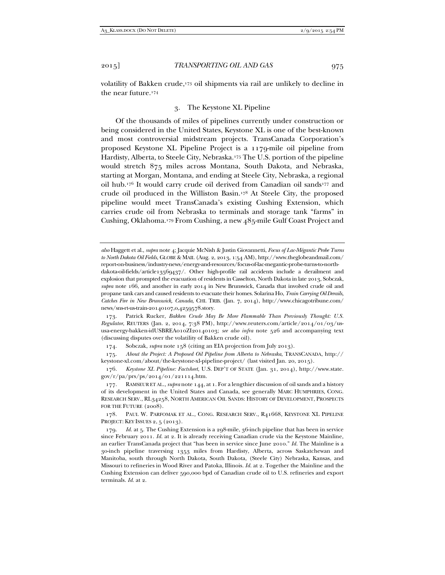volatility of Bakken crude,<sup>173</sup> oil shipments via rail are unlikely to decline in the near future.174

## 3. The Keystone XL Pipeline

Of the thousands of miles of pipelines currently under construction or being considered in the United States, Keystone XL is one of the best-known and most controversial midstream projects. TransCanada Corporation's proposed Keystone XL Pipeline Project is a 1179-mile oil pipeline from Hardisty, Alberta, to Steele City, Nebraska.<sup>175</sup> The U.S. portion of the pipeline would stretch 875 miles across Montana, South Dakota, and Nebraska, starting at Morgan, Montana, and ending at Steele City, Nebraska, a regional oil hub.<sup>176</sup> It would carry crude oil derived from Canadian oil sands<sup>177</sup> and crude oil produced in the Williston Basin.178 At Steele City, the proposed pipeline would meet TransCanada's existing Cushing Extension, which carries crude oil from Nebraska to terminals and storage tank "farms" in Cushing, Oklahoma.179 From Cushing, a new 485-mile Gulf Coast Project and

174. Sobczak, *supra* note 158 (citing an EIA projection from July 2013).

 175. *About the Project: A Proposed Oil Pipeline from Alberta to Nebraska*, TRANSCANADA, http:// keystone-xl.com/about/the-keystone-xl-pipeline-project/ (last visited Jan. 20, 2015).

 176. *Keystone XL Pipeline: Factsheet*, U.S. DEP'T OF STATE (Jan. 31, 2014), http://www.state. gov/r/pa/prs/ps/2014/01/221114.htm.

 177. RAMSEUR ET AL., *supra* note 144, at 1. For a lengthier discussion of oil sands and a history of its development in the United States and Canada, see generally MARC HUMPHRIES, CONG. RESEARCH SERV., RL34258, NORTH AMERICAN OIL SANDS: HISTORY OF DEVELOPMENT, PROSPECTS FOR THE FUTURE (2008).

 178. PAUL W. PARFOMAK ET AL., CONG. RESEARCH SERV., R41668, KEYSTONE XL PIPELINE PROJECT: KEY ISSUES 2, 5 (2013).

 179. *Id.* at 5. The Cushing Extension is a 298-mile, 36-inch pipeline that has been in service since February 2011. *Id.* at 2. It is already receiving Canadian crude via the Keystone Mainline, an earlier TransCanada project that "has been in service since June 2010." *Id.* The Mainline is a 30-inch pipeline traversing 1353 miles from Hardisty, Alberta, across Saskatchewan and Manitoba, south through North Dakota, South Dakota, (Steele City) Nebraska, Kansas, and Missouri to refineries in Wood River and Patoka, Illinois. *Id.* at 2. Together the Mainline and the Cushing Extension can deliver 590,000 bpd of Canadian crude oil to U.S. refineries and export terminals. *Id.* at 2.

*also* Haggett et al., *supra* note 4; Jacquie McNish & Justin Giovannetti, *Focus of Lac-Mégantic Probe Turns to North Dakota Oil Fields*, GLOBE & MAIL (Aug. 2, 2013, 1:54 AM), http://www.theglobeandmail.com/ report-on-business/industry-news/energy-and-resources/focus-of-lac-megantic-probe-turns-to-northdakota-oil-fields/article13569437/. Other high-profile rail accidents include a derailment and explosion that prompted the evacuation of residents in Casselton, North Dakota in late 2013, Sobczak, *supra* note 166, and another in early 2014 in New Brunswick, Canada that involved crude oil and propane tank cars and caused residents to evacuate their homes. Solarina Ho, *Train Carrying Oil Derails, Catches Fire in New Brunswick, Canada*, CHI. TRIB. (Jan. 7, 2014), http://www.chicagotribune.com/ news/sns-rt-us-train-20140107,0,4259578.story.

 <sup>173.</sup> Patrick Rucker, *Bakken Crude May Be More Flammable Than Previously Thought: U.S. Regulator*, REUTERS (Jan. 2, 2014, 7:38 PM), http://www.reuters.com/article/2014/01/03/ususa-energy-bakken-idUSBREA010ZI20140103; *see also infra* note 526 and accompanying text (discussing disputes over the volatility of Bakken crude oil).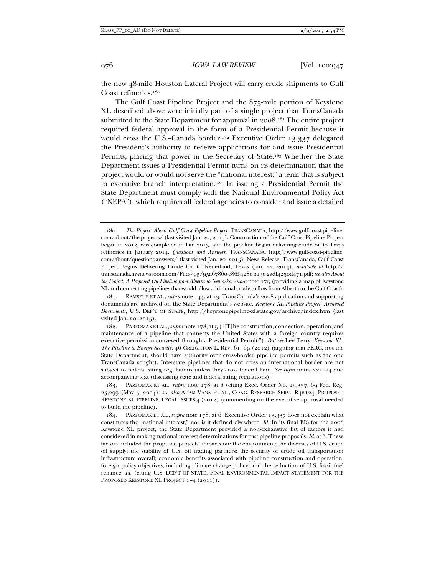the new 48-mile Houston Lateral Project will carry crude shipments to Gulf Coast refineries.<sup>180</sup>

The Gulf Coast Pipeline Project and the 875-mile portion of Keystone XL described above were initially part of a single project that TransCanada submitted to the State Department for approval in 2008.<sup>181</sup> The entire project required federal approval in the form of a Presidential Permit because it would cross the U.S.–Canada border.<sup>182</sup> Executive Order 13,337 delegated the President's authority to receive applications for and issue Presidential Permits, placing that power in the Secretary of State.<sup>183</sup> Whether the State Department issues a Presidential Permit turns on its determination that the project would or would not serve the "national interest," a term that is subject to executive branch interpretation.184 In issuing a Presidential Permit the State Department must comply with the National Environmental Policy Act ("NEPA"), which requires all federal agencies to consider and issue a detailed

 <sup>180.</sup> *The Project: About Gulf Coast Pipeline Project*, TRANSCANADA, http://www.gulf-coast-pipeline. com/about/the-projects/ (last visited Jan. 20, 2015). Construction of the Gulf Coast Pipeline Project began in 2012, was completed in late 2013, and the pipeline began delivering crude oil to Texas refineries in January 2014. *Questions and Answers*, TRANSCANADA, http://www.gulf-coast-pipeline. com/about/questions-answers/ (last visited Jan. 20, 2015); News Release, TransCanada, Gulf Coast Project Begins Delivering Crude Oil to Nederland, Texas (Jan. 22, 2014), *available at* http:// transcanada.mwnewsroom.com/Files/95/95a67860-e86f-428c-b13e-2adf4250d471.pdf; *see also About the Project: A Proposed Oil Pipeline from Alberta to Nebraska*, *supra* note 175 (providing a map of Keystone XL and connecting pipelines that would allow additional crude to flow from Alberta to the Gulf Coast).

 <sup>181.</sup> RAMSEUR ET AL., *supra* note 144, at 13. TransCanada's 2008 application and supporting documents are archived on the State Department's website. *Keystone XL Pipeline Project*, *Archived Documents*, U.S. DEP'T OF STATE, http://keystonepipeline-xl.state.gov/archive/index.htm (last visited Jan. 20, 2015).

 <sup>182.</sup> PARFOMAK ET AL.,*supra* note 178, at 5 ("[T]he construction, connection, operation, and maintenance of a pipeline that connects the United States with a foreign country requires executive permission conveyed through a Presidential Permit."). *But see* Lee Terry, *Keystone XL: The Pipeline to Energy Security*, 46 CREIGHTON L. REV. 61, 69 (2012) (arguing that FERC, not the State Department, should have authority over cross-border pipeline permits such as the one TransCanada sought). Interstate pipelines that do not cross an international border are not subject to federal siting regulations unless they cross federal land. *See infra* notes 221–24 and accompanying text (discussing state and federal siting regulations).

 <sup>183.</sup> PARFOMAK ET AL., *supra* note 178, at 6 (citing Exec. Order No. 13,337, 69 Fed. Reg. 25,299 (May 5, 2004); *see also* ADAM VANN ET AL., CONG. RESEARCH SERV., R42124, PROPOSED KEYSTONE XL PIPELINE: LEGAL ISSUES 4 (2012) (commenting on the executive approval needed to build the pipeline).

 <sup>184.</sup> PARFOMAK ET AL., *supra* note 178, at 6. Executive Order 13,337 does not explain what constitutes the "national interest," nor is it defined elsewhere. *Id.* In its final EIS for the 2008 Keystone XL project, the State Department provided a non-exhaustive list of factors it had considered in making national interest determinations for past pipeline proposals. *Id.* at 6. These factors included the proposed projects' impacts on: the environment; the diversity of U.S. crude oil supply; the stability of U.S. oil trading partners; the security of crude oil transportation infrastructure overall; economic benefits associated with pipeline construction and operation; foreign policy objectives, including climate change policy; and the reduction of U.S. fossil fuel reliance. *Id.* (citing U.S. DEP'T OF STATE, FINAL ENVIRONMENTAL IMPACT STATEMENT FOR THE PROPOSED KEYSTONE XL PROJECT 1-4 (2011)).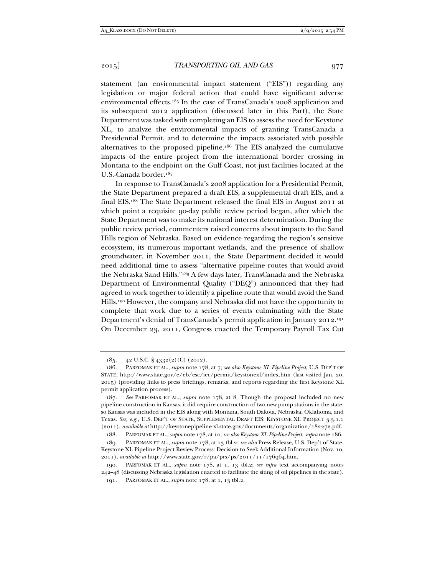statement (an environmental impact statement ("EIS")) regarding any legislation or major federal action that could have significant adverse environmental effects.185 In the case of TransCanada's 2008 application and its subsequent 2012 application (discussed later in this Part), the State Department was tasked with completing an EIS to assess the need for Keystone XL, to analyze the environmental impacts of granting TransCanada a Presidential Permit, and to determine the impacts associated with possible alternatives to the proposed pipeline.186 The EIS analyzed the cumulative impacts of the entire project from the international border crossing in Montana to the endpoint on the Gulf Coast, not just facilities located at the U.S.-Canada border.187

In response to TransCanada's 2008 application for a Presidential Permit, the State Department prepared a draft EIS, a supplemental draft EIS, and a final EIS.188 The State Department released the final EIS in August 2011 at which point a requisite 90-day public review period began, after which the State Department was to make its national interest determination. During the public review period, commenters raised concerns about impacts to the Sand Hills region of Nebraska. Based on evidence regarding the region's sensitive ecosystem, its numerous important wetlands, and the presence of shallow groundwater, in November 2011, the State Department decided it would need additional time to assess "alternative pipeline routes that would avoid the Nebraska Sand Hills."189 A few days later, TransCanada and the Nebraska Department of Environmental Quality ("DEQ") announced that they had agreed to work together to identify a pipeline route that would avoid the Sand Hills.190 However, the company and Nebraska did not have the opportunity to complete that work due to a series of events culminating with the State Department's denial of TransCanada's permit application in January 2012.191 On December 23, 2011, Congress enacted the Temporary Payroll Tax Cut

 <sup>185. 42</sup> U.S.C. § 4332(2)(C) (2012).

 <sup>186.</sup> PARFOMAK ET AL., *supra* note 178, at 7; *see also Keystone XL Pipeline Project*, U.S. DEP'T OF STATE, http://www.state.gov/e/eb/esc/iec/permit/keystonexl/index.htm (last visited Jan. 20, 2015) (providing links to press briefings, remarks, and reports regarding the first Keystone XL permit application process).

 <sup>187.</sup> *See* PARFOMAK ET AL., *supra* note 178, at 8. Though the proposal included no new pipeline construction in Kansas, it did require construction of two new pump stations in the state, so Kansas was included in the EIS along with Montana, South Dakota, Nebraska, Oklahoma, and Texas. *See, e.g.*, U.S. DEP'T OF STATE, SUPPLEMENTAL DRAFT EIS: KEYSTONE XL PROJECT 3.3.1.1 (2011), *available at* http://keystonepipeline-xl.state.gov/documents/organization/182272.pdf.

 <sup>188.</sup> PARFOMAK ET AL., *supra* note 178, at 10; *see also Keystone XL Pipeline Project*, *supra* note 186.

 <sup>189.</sup> PARFOMAK ET AL., *supra* note 178, at 13 tbl.2; *see also* Press Release, U.S. Dep't of State, Keystone XL Pipeline Project Review Process: Decision to Seek Additional Information (Nov. 10, 2011), *available at* http://www.state.gov/r/pa/prs/ps/2011/11/176964.htm.

 <sup>190.</sup> PARFOMAK ET AL., *supra* note 178, at 1, 13 tbl.2; *see infra* text accompanying notes 242–48 (discussing Nebraska legislation enacted to facilitate the siting of oil pipelines in the state). 191. PARFOMAK ET AL., *supra* note 178, at 1, 13 tbl.2.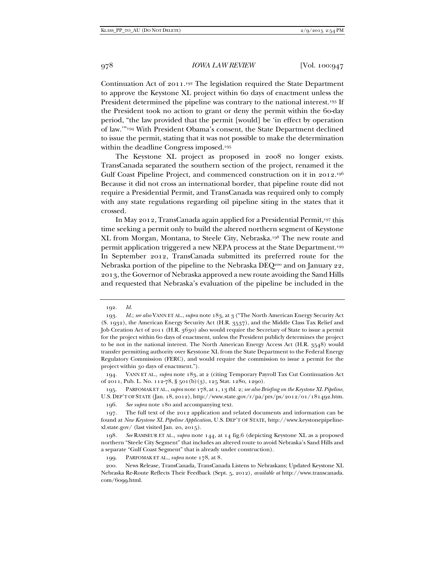Continuation Act of 2011.192 The legislation required the State Department to approve the Keystone XL project within 60 days of enactment unless the President determined the pipeline was contrary to the national interest.<sup>193</sup> If the President took no action to grant or deny the permit within the 60-day period, "the law provided that the permit [would] be 'in effect by operation of law.'"194 With President Obama's consent, the State Department declined to issue the permit, stating that it was not possible to make the determination within the deadline Congress imposed.195

The Keystone XL project as proposed in 2008 no longer exists. TransCanada separated the southern section of the project, renamed it the Gulf Coast Pipeline Project, and commenced construction on it in 2012.196 Because it did not cross an international border, that pipeline route did not require a Presidential Permit, and TransCanada was required only to comply with any state regulations regarding oil pipeline siting in the states that it crossed.

In May 2012, TransCanada again applied for a Presidential Permit,<sup>197</sup> this time seeking a permit only to build the altered northern segment of Keystone XL from Morgan, Montana, to Steele City, Nebraska.198 The new route and permit application triggered a new NEPA process at the State Department.199 In September 2012, TransCanada submitted its preferred route for the Nebraska portion of the pipeline to the Nebraska DEQ<sup>200</sup> and on January 22, 2013, the Governor of Nebraska approved a new route avoiding the Sand Hills and requested that Nebraska's evaluation of the pipeline be included in the

 194. VANN ET AL., *supra* note 183, at 2 (citing Temporary Payroll Tax Cut Continuation Act of 2011, Pub. L. No. 112-78, § 501(b)(3), 125 Stat. 1280, 1290).

 195. PARFOMAK ET AL., *supra* note 178, at 1, 13 tbl. 2; *see also Briefing on the Keystone XL Pipeline*, U.S. DEP'T OF STATE (Jan. 18, 2012), http://www.state.gov/r/pa/prs/ps/2012/01/181492.htm.

196. *See supra* note 180 and accompanying text.

 <sup>192.</sup> *Id.*

 <sup>193.</sup> *Id.*; *see also* VANN ET AL., *supra* note 183, at 3 ("The North American Energy Security Act (S. 1932), the American Energy Security Act (H.R. 3537), and the Middle Class Tax Relief and Job Creation Act of 2011 (H.R. 3630) also would require the Secretary of State to issue a permit for the project within 60 days of enactment, unless the President publicly determines the project to be not in the national interest. The North American Energy Access Act (H.R. 3548) would transfer permitting authority over Keystone XL from the State Department to the Federal Energy Regulatory Commission (FERC), and would require the commission to issue a permit for the project within 30 days of enactment.").

 <sup>197.</sup> The full text of the 2012 application and related documents and information can be found at *New Keystone XL Pipeline Application*, U.S. DEP'T OF STATE, http://www.keystonepipelinexl.state.gov/ (last visited Jan. 20, 2015).

 <sup>198.</sup> *See* RAMSEUR ET AL., *supra* note 144, at 14 fig.6 (depicting Keystone XL as a proposed northern "Steele City Segment" that includes an altered route to avoid Nebraska's Sand Hills and a separate "Gulf Coast Segment" that is already under construction).

 <sup>199.</sup> PARFOMAK ET AL., *supra* note 178, at 8.

 <sup>200.</sup> News Release, TransCanada, TransCanada Listens to Nebraskans; Updated Keystone XL Nebraska Re-Route Reflects Their Feedback (Sept. 5, 2012), *available at* http://www.transcanada. com/6099.html.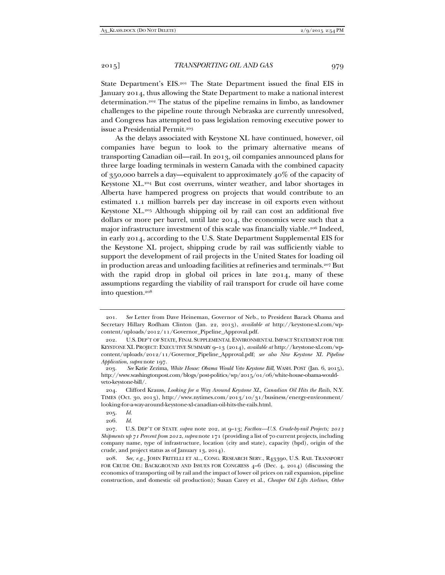State Department's EIS.<sup>201</sup> The State Department issued the final EIS in January 2014, thus allowing the State Department to make a national interest determination.202 The status of the pipeline remains in limbo, as landowner challenges to the pipeline route through Nebraska are currently unresolved, and Congress has attempted to pass legislation removing executive power to issue a Presidential Permit.203

As the delays associated with Keystone XL have continued, however, oil companies have begun to look to the primary alternative means of transporting Canadian oil—rail. In 2013, oil companies announced plans for three large loading terminals in western Canada with the combined capacity of 350,000 barrels a day—equivalent to approximately  $40\%$  of the capacity of Keystone XL.204 But cost overruns, winter weather, and labor shortages in Alberta have hampered progress on projects that would contribute to an estimated 1.1 million barrels per day increase in oil exports even without Keystone XL.205 Although shipping oil by rail can cost an additional five dollars or more per barrel, until late 2014, the economics were such that a major infrastructure investment of this scale was financially viable.<sup>206</sup> Indeed, in early 2014, according to the U.S. State Department Supplemental EIS for the Keystone XL project, shipping crude by rail was sufficiently viable to support the development of rail projects in the United States for loading oil in production areas and unloading facilities at refineries and terminals.207 But with the rapid drop in global oil prices in late 2014, many of these assumptions regarding the viability of rail transport for crude oil have come into question.208

 <sup>201.</sup> *See* Letter from Dave Heineman, Governor of Neb., to President Barack Obama and Secretary Hillary Rodham Clinton (Jan. 22, 2013), *available at* http://keystone-xl.com/wpcontent/uploads/2012/11/Governor\_Pipeline\_Approval.pdf.

 <sup>202.</sup> U.S. DEP'T OF STATE, FINAL SUPPLEMENTAL ENVIRONMENTAL IMPACT STATEMENT FOR THE KEYSTONE XL PROJECT: EXECUTIVE SUMMARY 9–13 (2014), *available at* http://keystone-xl.com/wpcontent/uploads/2012/11/Governor\_Pipeline\_Approval.pdf; *see also New Keystone XL Pipeline Application*, *supra* note 197.

 <sup>203.</sup> *See* Katie Zezima, *White House: Obama Would Veto Keystone Bill,* WASH. POST (Jan. 6, 2015), http://www.washingtonpost.com/blogs/post-politics/wp/2015/01/06/white-house-obama-wouldveto-keystone-bill/.

 <sup>204.</sup> Clifford Krauss, *Looking for a Way Around Keystone XL, Canadian Oil Hits the Rails*, N.Y. TIMES (Oct. 30, 2013), http://www.nytimes.com/2013/10/31/business/energy-environment/ looking-for-a-way-around-keystone-xl-canadian-oil-hits-the-rails.html.

 <sup>205.</sup> *Id.* 

 <sup>206.</sup> *Id.*

 <sup>207.</sup> U.S. DEP'T OF STATE *supra* note 202, at 9–13; *Factbox—U.S. Crude-by-rail Projects; 2013 Shipments up 71 Percent from 2012*, *supra* note 171 (providing a list of 70 current projects, including company name, type of infrastructure, location (city and state), capacity (bpd), origin of the crude, and project status as of January 13, 2014).

 <sup>208.</sup> *See, e.g.,* JOHN FRITELLI ET AL., CONG. RESEARCH SERV., R43390, U.S. RAIL TRANSPORT FOR CRUDE OIL: BACKGROUND AND ISSUES FOR CONGRESS  $4-6$  (Dec. 4, 2014) (discussing the economics of transporting oil by rail and the impact of lower oil prices on rail expansion, pipeline construction, and domestic oil production); Susan Carey et al., *Cheaper Oil Lifts Airlines, Other*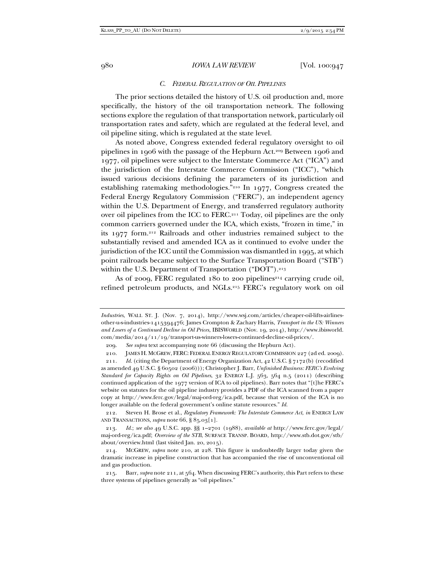## *C. FEDERAL REGULATION OF OIL PIPELINES*

The prior sections detailed the history of U.S. oil production and, more specifically, the history of the oil transportation network. The following sections explore the regulation of that transportation network, particularly oil transportation rates and safety, which are regulated at the federal level, and oil pipeline siting, which is regulated at the state level.

As noted above, Congress extended federal regulatory oversight to oil pipelines in 1906 with the passage of the Hepburn Act.209 Between 1906 and 1977, oil pipelines were subject to the Interstate Commerce Act ("ICA") and the jurisdiction of the Interstate Commerce Commission ("ICC"), "which issued various decisions defining the parameters of its jurisdiction and establishing ratemaking methodologies."210 In 1977, Congress created the Federal Energy Regulatory Commission ("FERC"), an independent agency within the U.S. Department of Energy, and transferred regulatory authority over oil pipelines from the ICC to FERC.211 Today, oil pipelines are the only common carriers governed under the ICA, which exists, "frozen in time," in its 1977 form.212 Railroads and other industries remained subject to the substantially revised and amended ICA as it continued to evolve under the jurisdiction of the ICC until the Commission was dismantled in 1995, at which point railroads became subject to the Surface Transportation Board ("STB") within the U.S. Department of Transportation ("DOT").<sup>213</sup>

As of 2009, FERC regulated 180 to 200 pipelines<sup>214</sup> carrying crude oil, refined petroleum products, and NGLs.215 FERC's regulatory work on oil

*Industries*, WALL ST. J. (Nov. 7, 2014), http://www.wsj.com/articles/cheaper-oil-lifts-airlinesother-u-s-industries-1415394476; James Crompton & Zachary Harris, *Transport in the US: Winners and Losers of a Continued Decline in Oil Prices*, IBISWORLD (Nov. 19, 2014), http://www.ibisworld. com/media/2014/11/19/transport-us-winners-losers-continued-decline-oil-prices/.

 <sup>209.</sup> *See supra* text accompanying note 66 (discussing the Hepburn Act).

 <sup>210.</sup> JAMES H. MCGREW, FERC: FEDERAL ENERGY REGULATORY COMMISSION 227 (2d ed. 2009).

 <sup>211.</sup> *Id.* (citing the Department of Energy Organization Act, 42 U.S.C. § 7172(b) (recodified as amended 49 U.S.C. § 60502 (2006))); Christopher J. Barr, *Unfinished Business: FERC's Evolving Standard for Capacity Rights on Oil Pipelines*, 32 ENERGY L.J. 563, 564 n.5 (2011) (describing continued application of the 1977 version of ICA to oil pipelines). Barr notes that "[t]he FERC's website on statutes for the oil pipeline industry provides a PDF of the ICA scanned from a paper copy at http://www.ferc.gov/legal/maj-ord-reg/ica.pdf, because that version of the ICA is no longer available on the federal government's online statute resources." *Id.* 

 <sup>212.</sup> Steven H. Brose et al., *Regulatory Framework: The Interstate Commerce Act*, *in* ENERGY LAW AND TRANSACTIONS, *supra* note 66, § 85.03[1].

 <sup>213.</sup> *Id.*; *see also* 49 U.S.C. app. §§ 1–2701 (1988), *available at* http://www.ferc.gov/legal/ maj-ord-reg/ica.pdf; *Overview of the STB*, SURFACE TRANSP. BOARD, http://www.stb.dot.gov/stb/ about/overview.html (last visited Jan. 20, 2015).

 <sup>214.</sup> MCGREW, *supra* note 210, at 228. This figure is undoubtedly larger today given the dramatic increase in pipeline construction that has accompanied the rise of unconventional oil and gas production.

 <sup>215.</sup> Barr, *supra* note 211, at 564. When discussing FERC's authority, this Part refers to these three systems of pipelines generally as "oil pipelines."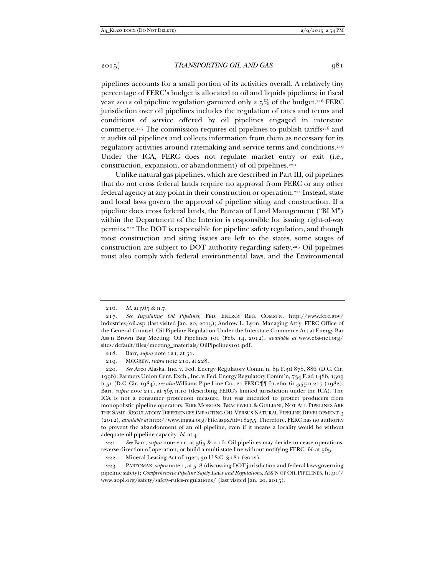pipelines accounts for a small portion of its activities overall. A relatively tiny percentage of FERC's budget is allocated to oil and liquids pipelines; in fiscal year 2012 oil pipeline regulation garnered only 2.5% of the budget.<sup>216</sup> FERC jurisdiction over oil pipelines includes the regulation of rates and terms and conditions of service offered by oil pipelines engaged in interstate commerce.<sup>217</sup> The commission requires oil pipelines to publish tariffs<sup>218</sup> and it audits oil pipelines and collects information from them as necessary for its regulatory activities around ratemaking and service terms and conditions.<sup>219</sup> Under the ICA, FERC does not regulate market entry or exit (i.e., construction, expansion, or abandonment) of oil pipelines.<sup>220</sup>

Unlike natural gas pipelines, which are described in Part III, oil pipelines that do not cross federal lands require no approval from FERC or any other federal agency at any point in their construction or operation.221 Instead, state and local laws govern the approval of pipeline siting and construction. If a pipeline does cross federal lands, the Bureau of Land Management ("BLM") within the Department of the Interior is responsible for issuing right-of-way permits.222 The DOT is responsible for pipeline safety regulation, and though most construction and siting issues are left to the states, some stages of construction are subject to DOT authority regarding safety.223 Oil pipelines must also comply with federal environmental laws, and the Environmental

218. Barr, *supra* note 121, at 51.

219. MCGREW, *supra* note 210, at 228.

 220. *See* Arco Alaska, Inc. v. Fed. Energy Regulatory Comm'n, 89 F.3d 878, 886 (D.C. Cir. 1996); Farmers Union Cent. Exch., Inc. v. Fed. Energy Regulatory Comm'n, 734 F.2d 1486, 1509 n.51 (D.C. Cir. 1984); *see also* Williams Pipe Line Co., 21 FERC ¶¶ 61,260, 61,559 n.217 (1982); Barr, *supra* note 211, at 565 n.10 (describing FERC's limited jurisdiction under the ICA). The ICA is not a consumer protection measure, but was intended to protect producers from monopolistic pipeline operators. KIRK MORGAN, BRACEWELL & GUILIANI, NOT ALL PIPELINES ARE THE SAME: REGULATORY DIFFERENCES IMPACTING OIL VERSUS NATURAL PIPELINE DEVELOPMENT 3 (2012), *available at* http://www.ingaa.org/File.aspx?id=18255. Therefore, FERC has no authority to prevent the abandonment of an oil pipeline, even if it means a locality would be without adequate oil pipeline capacity. *Id.* at 4.

 221. *See* Barr, *supra* note 211, at 565 & n.16. Oil pipelines may decide to cease operations, reverse direction of operation, or build a multi-state line without notifying FERC. *Id.* at 565.

222. Mineral Leasing Act of 1920, 30 U.S.C. § 181 (2012).

 223. PARFOMAK,*supra* note 1, at 5–8 (discussing DOT jurisdiction and federal laws governing pipeline safety); *Comprehensive Pipeline Safety Laws and Regulations*, ASS'N OF OIL PIPELINES, http:// www.aopl.org/safety/safety-rules-regulations/ (last visited Jan. 20, 2015).

 <sup>216.</sup> *Id.* at 565 & n.7.

 <sup>217.</sup> *See Regulating Oil Pipelines*, FED. ENERGY REG. COMM'N, http://www.ferc.gov/ industries/oil.asp (last visited Jan. 20, 2015); Andrew L. Lyon, Managing Att'y, FERC Office of the General Counsel, Oil Pipeline Regulation Under the Interstate Commerce Act at Energy Bar Ass'n Brown Bag Meeting: Oil Pipelines 101 (Feb. 14, 2012), *available at* www.eba-net.org/ sites/default/files/meeting\_materials/OilPipelines101.pdf.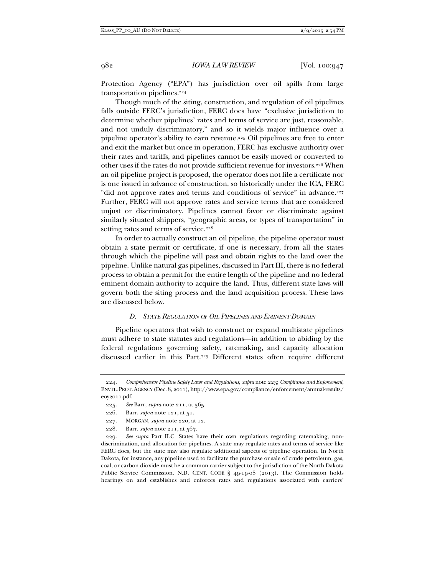Protection Agency ("EPA") has jurisdiction over oil spills from large transportation pipelines.<sup>224</sup>

Though much of the siting, construction, and regulation of oil pipelines falls outside FERC's jurisdiction, FERC does have "exclusive jurisdiction to determine whether pipelines' rates and terms of service are just, reasonable, and not unduly discriminatory," and so it wields major influence over a pipeline operator's ability to earn revenue.225 Oil pipelines are free to enter and exit the market but once in operation, FERC has exclusive authority over their rates and tariffs, and pipelines cannot be easily moved or converted to other uses if the rates do not provide sufficient revenue for investors.<sup>226</sup> When an oil pipeline project is proposed, the operator does not file a certificate nor is one issued in advance of construction, so historically under the ICA, FERC "did not approve rates and terms and conditions of service" in advance.<sup>227</sup> Further, FERC will not approve rates and service terms that are considered unjust or discriminatory. Pipelines cannot favor or discriminate against similarly situated shippers, "geographic areas, or types of transportation" in setting rates and terms of service.<sup>228</sup>

In order to actually construct an oil pipeline, the pipeline operator must obtain a state permit or certificate, if one is necessary, from all the states through which the pipeline will pass and obtain rights to the land over the pipeline. Unlike natural gas pipelines, discussed in Part III, there is no federal process to obtain a permit for the entire length of the pipeline and no federal eminent domain authority to acquire the land. Thus, different state laws will govern both the siting process and the land acquisition process. These laws are discussed below.

# *D. STATE REGULATION OF OIL PIPELINES AND EMINENT DOMAIN*

Pipeline operators that wish to construct or expand multistate pipelines must adhere to state statutes and regulations—in addition to abiding by the federal regulations governing safety, ratemaking, and capacity allocation discussed earlier in this Part.229 Different states often require different

 <sup>224.</sup> *Comprehensive Pipeline Safety Laws and Regulations*, *supra* note 223; *Compliance and Enforcement*, ENVTL.PROT.AGENCY (Dec. 8, 2011), http://www.epa.gov/compliance/enforcement/annual-results/ eoy2011.pdf.

 <sup>225.</sup> *See* Barr, *supra* note 211, at 565.

 <sup>226.</sup> Barr, *supra* note 121, at 51.

 <sup>227.</sup> MORGAN, *supra* note 220, at 12.

 <sup>228.</sup> Barr, *supra* note 211, at 567.

 <sup>229.</sup> *See supra* Part II.C. States have their own regulations regarding ratemaking, nondiscrimination, and allocation for pipelines. A state may regulate rates and terms of service like FERC does, but the state may also regulate additional aspects of pipeline operation. In North Dakota, for instance, any pipeline used to facilitate the purchase or sale of crude petroleum, gas, coal, or carbon dioxide must be a common carrier subject to the jurisdiction of the North Dakota Public Service Commission. N.D. CENT. CODE § 49-19-08 (2013). The Commission holds hearings on and establishes and enforces rates and regulations associated with carriers'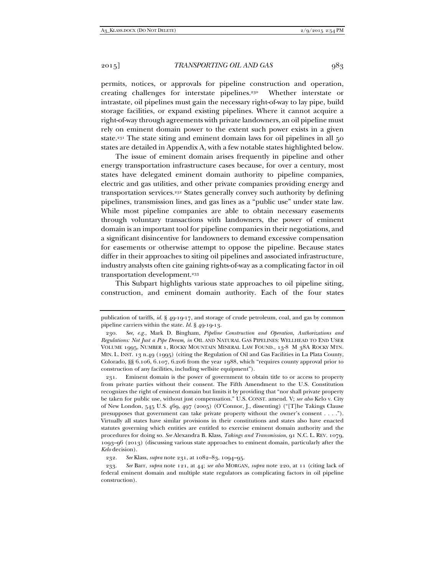permits, notices, or approvals for pipeline construction and operation, creating challenges for interstate pipelines.230 Whether interstate or intrastate, oil pipelines must gain the necessary right-of-way to lay pipe, build storage facilities, or expand existing pipelines. Where it cannot acquire a right-of-way through agreements with private landowners, an oil pipeline must rely on eminent domain power to the extent such power exists in a given state.<sup>231</sup> The state siting and eminent domain laws for oil pipelines in all  $50$ states are detailed in Appendix A, with a few notable states highlighted below.

The issue of eminent domain arises frequently in pipeline and other energy transportation infrastructure cases because, for over a century, most states have delegated eminent domain authority to pipeline companies, electric and gas utilities, and other private companies providing energy and transportation services.232 States generally convey such authority by defining pipelines, transmission lines, and gas lines as a "public use" under state law. While most pipeline companies are able to obtain necessary easements through voluntary transactions with landowners, the power of eminent domain is an important tool for pipeline companies in their negotiations, and a significant disincentive for landowners to demand excessive compensation for easements or otherwise attempt to oppose the pipeline. Because states differ in their approaches to siting oil pipelines and associated infrastructure, industry analysts often cite gaining rights-of-way as a complicating factor in oil transportation development.<sup>233</sup>

This Subpart highlights various state approaches to oil pipeline siting, construction, and eminent domain authority. Each of the four states

publication of tariffs, *id.* § 49-19-17, and storage of crude petroleum, coal, and gas by common pipeline carriers within the state. *Id.* § 49-19-13.

 <sup>230.</sup> *See, e.g.*, Mark D. Bingham, *Pipeline Construction and Operation, Authorizations and Regulations: Not Just a Pipe Dream, in* OIL AND NATURAL GAS PIPELINES: WELLHEAD TO END USER VOLUME 1995, NUMBER 1, ROCKY MOUNTAIN MINERAL LAW FOUND., 13-8 M 38A ROCKY MTN. MIN. L. INST. 13 n.49 (1995) (citing the Regulation of Oil and Gas Facilities in La Plata County, Colorado, §§ 6.106, 6.107, 6.206 from the year 1988, which "requires county approval prior to construction of any facilities, including wellsite equipment").

 <sup>231.</sup> Eminent domain is the power of government to obtain title to or access to property from private parties without their consent. The Fifth Amendment to the U.S. Constitution recognizes the right of eminent domain but limits it by providing that "nor shall private property be taken for public use, without just compensation." U.S. CONST. amend. V; *see also* Kelo v. City of New London, 545 U.S. 469, 497 (2005) (O'Connor, J., dissenting) ("[T]he Takings Clause presupposes that government can take private property without the owner's consent . . . ."). Virtually all states have similar provisions in their constitutions and states also have enacted statutes governing which entities are entitled to exercise eminent domain authority and the procedures for doing so. *See* Alexandra B. Klass, *Takings and Transmission*, 91 N.C. L. REV. 1079, 1093–96 (2013) (discussing various state approaches to eminent domain, particularly after the *Kelo* decision).

 <sup>232.</sup> *See* Klass, *supra* note 231, at 1082–83, 1094–95.

 <sup>233.</sup> *See* Barr, *supra* note 121, at 44; *see also* MORGAN, *supra* note 220, at 11 (citing lack of federal eminent domain and multiple state regulators as complicating factors in oil pipeline construction).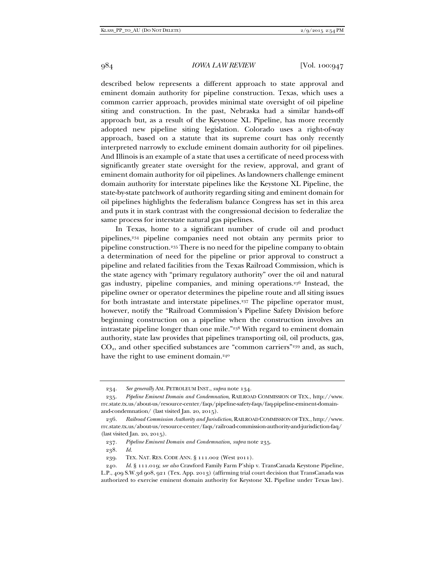described below represents a different approach to state approval and eminent domain authority for pipeline construction. Texas, which uses a common carrier approach, provides minimal state oversight of oil pipeline siting and construction. In the past, Nebraska had a similar hands-off approach but, as a result of the Keystone XL Pipeline, has more recently adopted new pipeline siting legislation. Colorado uses a right-of-way approach, based on a statute that its supreme court has only recently interpreted narrowly to exclude eminent domain authority for oil pipelines. And Illinois is an example of a state that uses a certificate of need process with significantly greater state oversight for the review, approval, and grant of eminent domain authority for oil pipelines. As landowners challenge eminent domain authority for interstate pipelines like the Keystone XL Pipeline, the state-by-state patchwork of authority regarding siting and eminent domain for oil pipelines highlights the federalism balance Congress has set in this area and puts it in stark contrast with the congressional decision to federalize the same process for interstate natural gas pipelines.

In Texas, home to a significant number of crude oil and product pipelines,234 pipeline companies need not obtain any permits prior to pipeline construction.235 There is no need for the pipeline company to obtain a determination of need for the pipeline or prior approval to construct a pipeline and related facilities from the Texas Railroad Commission, which is the state agency with "primary regulatory authority" over the oil and natural gas industry, pipeline companies, and mining operations.236 Instead, the pipeline owner or operator determines the pipeline route and all siting issues for both intrastate and interstate pipelines.<sup>237</sup> The pipeline operator must, however, notify the "Railroad Commission's Pipeline Safety Division before beginning construction on a pipeline when the construction involves an intrastate pipeline longer than one mile."238 With regard to eminent domain authority, state law provides that pipelines transporting oil, oil products, gas,  $CO<sub>2</sub>$ , and other specified substances are "common carriers"<sup>239</sup> and, as such, have the right to use eminent domain.<sup>240</sup>

238. *Id.* 

 <sup>234.</sup> *See generally* AM. PETROLEUM INST., *supra* note 134.

 <sup>235.</sup> *Pipeline Eminent Domain and Condemnation*, RAILROAD COMMISSION OF TEX., http://www. rrc.state.tx.us/about-us/resource-center/faqs/pipeline-safety-faqs/faq-pipeline-eminent-domainand-condemnation/ (last visited Jan. 20, 2015).

 <sup>236.</sup> *Railroad Commission Authority and Jurisdiction*, RAILROAD COMMISSION OF TEX., http://www. rrc.state.tx.us/about-us/resource-center/faqs/railroad-commission-authority-and-jurisdiction-faq/ (last visited Jan. 20, 2015).

 <sup>237.</sup> *Pipeline Eminent Domain and Condemnation*, *supra* note 235.

 <sup>239.</sup> TEX. NAT. RES. CODE ANN. § 111.002 (West 2011).

 <sup>240.</sup> *Id.* § 111.019; *see also* Crawford Family Farm P'ship v. TransCanada Keystone Pipeline, L.P., 409 S.W.3d 908, 921 (Tex. App. 2013) (affirming trial court decision that TransCanada was authorized to exercise eminent domain authority for Keystone XL Pipeline under Texas law).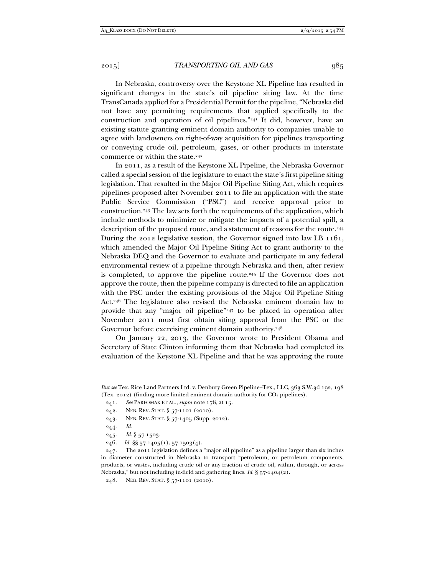In Nebraska, controversy over the Keystone XL Pipeline has resulted in significant changes in the state's oil pipeline siting law. At the time TransCanada applied for a Presidential Permit for the pipeline, "Nebraska did not have any permitting requirements that applied specifically to the construction and operation of oil pipelines."241 It did, however, have an existing statute granting eminent domain authority to companies unable to agree with landowners on right-of-way acquisition for pipelines transporting or conveying crude oil, petroleum, gases, or other products in interstate commerce or within the state.<sup>242</sup>

In 2011, as a result of the Keystone XL Pipeline, the Nebraska Governor called a special session of the legislature to enact the state's first pipeline siting legislation. That resulted in the Major Oil Pipeline Siting Act, which requires pipelines proposed after November 2011 to file an application with the state Public Service Commission ("PSC") and receive approval prior to construction.243 The law sets forth the requirements of the application, which include methods to minimize or mitigate the impacts of a potential spill, a description of the proposed route, and a statement of reasons for the route.<sup>244</sup> During the 2012 legislative session, the Governor signed into law LB 1161, which amended the Major Oil Pipeline Siting Act to grant authority to the Nebraska DEQ and the Governor to evaluate and participate in any federal environmental review of a pipeline through Nebraska and then, after review is completed, to approve the pipeline route.<sup>245</sup> If the Governor does not approve the route, then the pipeline company is directed to file an application with the PSC under the existing provisions of the Major Oil Pipeline Siting Act.246 The legislature also revised the Nebraska eminent domain law to provide that any "major oil pipeline"247 to be placed in operation after November 2011 must first obtain siting approval from the PSC or the Governor before exercising eminent domain authority.<sup>248</sup>

On January 22, 2013, the Governor wrote to President Obama and Secretary of State Clinton informing them that Nebraska had completed its evaluation of the Keystone XL Pipeline and that he was approving the route

*But see* Tex. Rice Land Partners Ltd. v. Denbury Green Pipeline–Tex., LLC, 363 S.W.3d 192, 198 (Tex. 2012) (finding more limited eminent domain authority for  $CO<sub>2</sub>$  pipelines).

 <sup>241.</sup> *See* PARFOMAK ET AL., *supra* note 178, at 15.

 <sup>242.</sup> NEB. REV. STAT. § 57-1101 (2010).

 <sup>243.</sup> NEB. REV. STAT. § 57-1405 (Supp. 2012).

 <sup>244.</sup> *Id.*

 <sup>245.</sup> *Id.* § 57-1503.

<sup>246</sup>*. Id.* §§ 57-1405(1), 57-1503(4).

 <sup>247.</sup> The 2011 legislation defines a "major oil pipeline" as a pipeline larger than six inches in diameter constructed in Nebraska to transport "petroleum, or petroleum components, products, or wastes, including crude oil or any fraction of crude oil, within, through, or across Nebraska," but not including in-field and gathering lines. *Id.* § 57-1404(2).

 <sup>248.</sup> NEB. REV. STAT. § 57-1101 (2010).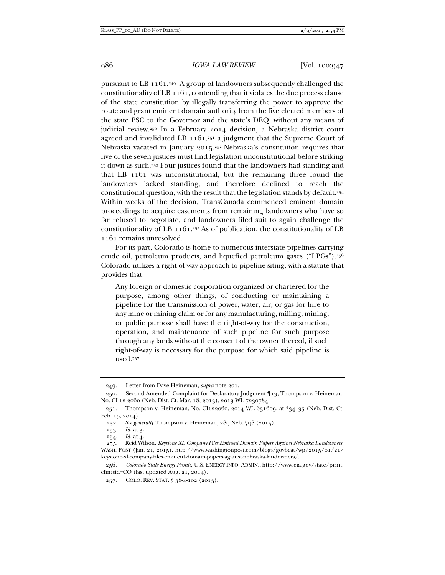pursuant to LB 1161.249 A group of landowners subsequently challenged the constitutionality of LB 1161, contending that it violates the due process clause of the state constitution by illegally transferring the power to approve the route and grant eminent domain authority from the five elected members of the state PSC to the Governor and the state's DEQ, without any means of judicial review.250 In a February 2014 decision, a Nebraska district court agreed and invalidated LB  $1161$ ,<sup>251</sup> a judgment that the Supreme Court of Nebraska vacated in January 2015.<sup>252</sup> Nebraska's constitution requires that five of the seven justices must find legislation unconstitutional before striking it down as such.253 Four justices found that the landowners had standing and that LB 1161 was unconstitutional, but the remaining three found the landowners lacked standing, and therefore declined to reach the constitutional question, with the result that the legislation stands by default.254 Within weeks of the decision, TransCanada commenced eminent domain proceedings to acquire easements from remaining landowners who have so far refused to negotiate, and landowners filed suit to again challenge the constitutionality of LB  $1161.^{255}$  As of publication, the constitutionality of LB 1161 remains unresolved.

For its part, Colorado is home to numerous interstate pipelines carrying crude oil, petroleum products, and liquefied petroleum gases ("LPGs").256 Colorado utilizes a right-of-way approach to pipeline siting, with a statute that provides that:

Any foreign or domestic corporation organized or chartered for the purpose, among other things, of conducting or maintaining a pipeline for the transmission of power, water, air, or gas for hire to any mine or mining claim or for any manufacturing, milling, mining, or public purpose shall have the right-of-way for the construction, operation, and maintenance of such pipeline for such purpose through any lands without the consent of the owner thereof, if such right-of-way is necessary for the purpose for which said pipeline is used.257

 <sup>249.</sup> Letter from Dave Heineman, *supra* note 201.

 <sup>250.</sup> Second Amended Complaint for Declaratory Judgment ¶13, Thompson v. Heineman, No. CI 12-2060 (Neb. Dist. Ct. Mar. 18, 2013), 2013 WL 7230784.

 <sup>251.</sup> Thompson v. Heineman, No. CI122060, 2014 WL 631609, at \*34–35 (Neb. Dist. Ct. Feb. 19, 2014).

 <sup>252.</sup> *See generally* Thompson v. Heineman, 289 Neb. 798 (2015).

 <sup>253.</sup> *Id.* at 3.

 <sup>254.</sup> *Id.* at 4.

 <sup>255.</sup> Reid Wilson, *Keystone XL Company Files Eminent Domain Papers Against Nebraska Landowners*, WASH. POST (Jan. 21, 2015), http://www.washingtonpost.com/blogs/govbeat/wp/2015/01/21/ keystone-xl-company-files-eminent-domain-papers-against-nebraska-landowners/.

 <sup>256.</sup> *Colorado State Energy Profile*, U.S. ENERGY INFO. ADMIN., http://www.eia.gov/state/print. cfm?sid=CO (last updated Aug. 21, 2014).

 <sup>257.</sup> COLO. REV. STAT. § 38-4-102 (2013).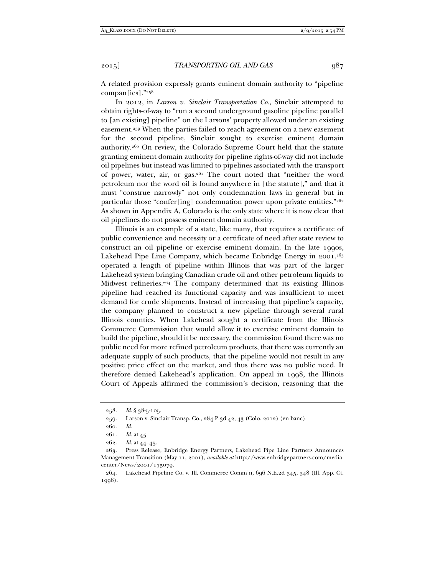A related provision expressly grants eminent domain authority to "pipeline compan[ies]."258

In 2012, in *Larson v. Sinclair Transportation Co.,* Sinclair attempted to obtain rights-of-way to "run a second underground gasoline pipeline parallel to [an existing] pipeline" on the Larsons' property allowed under an existing easement.259 When the parties failed to reach agreement on a new easement for the second pipeline, Sinclair sought to exercise eminent domain authority.260 On review, the Colorado Supreme Court held that the statute granting eminent domain authority for pipeline rights-of-way did not include oil pipelines but instead was limited to pipelines associated with the transport of power, water, air, or gas.261 The court noted that "neither the word petroleum nor the word oil is found anywhere in [the statute]," and that it must "construe narrowly" not only condemnation laws in general but in particular those "confer[ing] condemnation power upon private entities." $262$ As shown in Appendix A, Colorado is the only state where it is now clear that oil pipelines do not possess eminent domain authority.

Illinois is an example of a state, like many, that requires a certificate of public convenience and necessity or a certificate of need after state review to construct an oil pipeline or exercise eminent domain. In the late 1990s, Lakehead Pipe Line Company, which became Enbridge Energy in  $2001$ ,<sup>263</sup> operated a length of pipeline within Illinois that was part of the larger Lakehead system bringing Canadian crude oil and other petroleum liquids to Midwest refineries.264 The company determined that its existing Illinois pipeline had reached its functional capacity and was insufficient to meet demand for crude shipments. Instead of increasing that pipeline's capacity, the company planned to construct a new pipeline through several rural Illinois counties. When Lakehead sought a certificate from the Illinois Commerce Commission that would allow it to exercise eminent domain to build the pipeline, should it be necessary, the commission found there was no public need for more refined petroleum products, that there was currently an adequate supply of such products, that the pipeline would not result in any positive price effect on the market, and thus there was no public need. It therefore denied Lakehead's application. On appeal in 1998, the Illinois Court of Appeals affirmed the commission's decision, reasoning that the

 <sup>258.</sup> *Id.* § 38-5-105.

 <sup>259.</sup> Larson v. Sinclair Transp. Co., 284 P.3d 42, 43 (Colo. 2012) (en banc).

 <sup>260.</sup> *Id.*

 <sup>261.</sup> *Id.* at 45.

 <sup>262.</sup> *Id.* at 44–45.

 <sup>263.</sup> Press Release, Enbridge Energy Partners, Lakehead Pipe Line Partners Announces Management Transition (May 11, 2001), *available at* http://www.enbridgepartners.com/mediacenter/News/2001/175079.

 <sup>264.</sup> Lakehead Pipeline Co. v. Ill. Commerce Comm'n, 696 N.E.2d 345, 348 (Ill. App. Ct. 1998).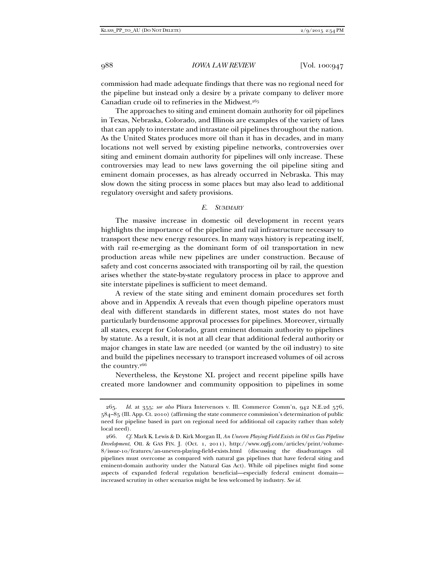commission had made adequate findings that there was no regional need for the pipeline but instead only a desire by a private company to deliver more Canadian crude oil to refineries in the Midwest.265

The approaches to siting and eminent domain authority for oil pipelines in Texas, Nebraska, Colorado, and Illinois are examples of the variety of laws that can apply to interstate and intrastate oil pipelines throughout the nation. As the United States produces more oil than it has in decades, and in many locations not well served by existing pipeline networks, controversies over siting and eminent domain authority for pipelines will only increase. These controversies may lead to new laws governing the oil pipeline siting and eminent domain processes, as has already occurred in Nebraska. This may slow down the siting process in some places but may also lead to additional regulatory oversight and safety provisions.

### *E. SUMMARY*

The massive increase in domestic oil development in recent years highlights the importance of the pipeline and rail infrastructure necessary to transport these new energy resources. In many ways history is repeating itself, with rail re-emerging as the dominant form of oil transportation in new production areas while new pipelines are under construction. Because of safety and cost concerns associated with transporting oil by rail, the question arises whether the state-by-state regulatory process in place to approve and site interstate pipelines is sufficient to meet demand.

A review of the state siting and eminent domain procedures set forth above and in Appendix A reveals that even though pipeline operators must deal with different standards in different states, most states do not have particularly burdensome approval processes for pipelines. Moreover, virtually all states, except for Colorado, grant eminent domain authority to pipelines by statute. As a result, it is not at all clear that additional federal authority or major changes in state law are needed (or wanted by the oil industry) to site and build the pipelines necessary to transport increased volumes of oil across the country.<sup>266</sup>

Nevertheless, the Keystone XL project and recent pipeline spills have created more landowner and community opposition to pipelines in some

 <sup>265.</sup> *Id.* at 355; *see also* Pliura Intervenors v. Ill. Commerce Comm'n, 942 N.E.2d 576, 584–85 (Ill. App. Ct. 2010) (affirming the state commerce commission's determination of public need for pipeline based in part on regional need for additional oil capacity rather than solely local need).

 <sup>266.</sup> *Cf.* Mark K. Lewis & D. Kirk Morgan II, *An Uneven Playing Field Exists in Oil vs Gas Pipeline Development*, OIL & GAS FIN. J. (Oct. 1, 2011), http://www.ogfj.com/articles/print/volume-8/issue-10/features/an-uneven-playing-field-exists.html (discussing the disadvantages oil pipelines must overcome as compared with natural gas pipelines that have federal siting and eminent-domain authority under the Natural Gas Act). While oil pipelines might find some aspects of expanded federal regulation beneficial—especially federal eminent domain increased scrutiny in other scenarios might be less welcomed by industry. *See id.*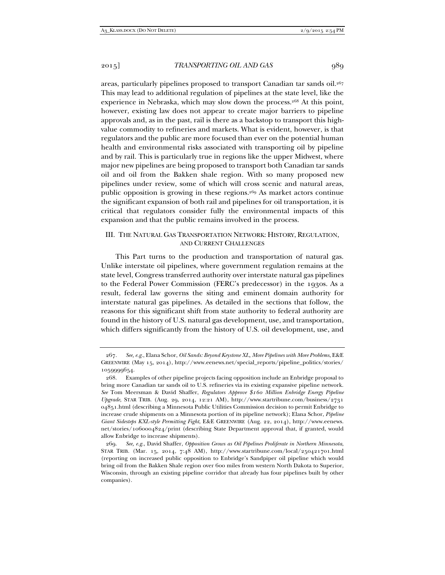areas, particularly pipelines proposed to transport Canadian tar sands oil.<sup>267</sup> This may lead to additional regulation of pipelines at the state level, like the experience in Nebraska, which may slow down the process.<sup>268</sup> At this point, however, existing law does not appear to create major barriers to pipeline approvals and, as in the past, rail is there as a backstop to transport this highvalue commodity to refineries and markets. What is evident, however, is that regulators and the public are more focused than ever on the potential human health and environmental risks associated with transporting oil by pipeline and by rail. This is particularly true in regions like the upper Midwest, where major new pipelines are being proposed to transport both Canadian tar sands oil and oil from the Bakken shale region. With so many proposed new pipelines under review, some of which will cross scenic and natural areas, public opposition is growing in these regions.269 As market actors continue the significant expansion of both rail and pipelines for oil transportation, it is critical that regulators consider fully the environmental impacts of this expansion and that the public remains involved in the process.

## III. THE NATURAL GAS TRANSPORTATION NETWORK: HISTORY, REGULATION, AND CURRENT CHALLENGES

This Part turns to the production and transportation of natural gas. Unlike interstate oil pipelines, where government regulation remains at the state level, Congress transferred authority over interstate natural gas pipelines to the Federal Power Commission (FERC's predecessor) in the 1930s. As a result, federal law governs the siting and eminent domain authority for interstate natural gas pipelines. As detailed in the sections that follow, the reasons for this significant shift from state authority to federal authority are found in the history of U.S. natural gas development, use, and transportation, which differs significantly from the history of U.S. oil development, use, and

 <sup>267.</sup> *See, e.g.*, Elana Schor, *Oil Sands: Beyond Keystone XL, More Pipelines with More Problems*, E&E GREENWIRE (May 15, 2014), http://www.eenews.net/special\_reports/pipeline\_politics/stories/ 1059999654.

 <sup>268.</sup> Examples of other pipeline projects facing opposition include an Enbridge proposal to bring more Canadian tar sands oil to U.S. refineries via its existing expansive pipeline network. *See* Tom Meersman & David Shaffer, *Regulators Approve \$160 Million Enbridge Energy Pipeline Upgrade*, STAR TRIB. (Aug. 29, 2014, 12:21 AM), http://www.startribune.com/business/2731 04851.html (describing a Minnesota Public Utilities Commission decision to permit Enbridge to increase crude shipments on a Minnesota portion of its pipeline network); Elana Schor, *Pipeline Giant Sidesteps KXL-style Permitting Fight*, E&E GREENWIRE (Aug. 22, 2014), http://www.eenews. net/stories/1060004824/print (describing State Department approval that, if granted, would allow Enbridge to increase shipments).

 <sup>269.</sup> *See, e.g.*, David Shaffer, *Opposition Grows as Oil Pipelines Proliferate in Northern Minnesota*, STAR TRIB. (Mar. 15, 2014, 7:48 AM), http://www.startribune.com/local/250421701.html (reporting on increased public opposition to Enbridge's Sandpiper oil pipeline which would bring oil from the Bakken Shale region over 600 miles from western North Dakota to Superior, Wisconsin, through an existing pipeline corridor that already has four pipelines built by other companies).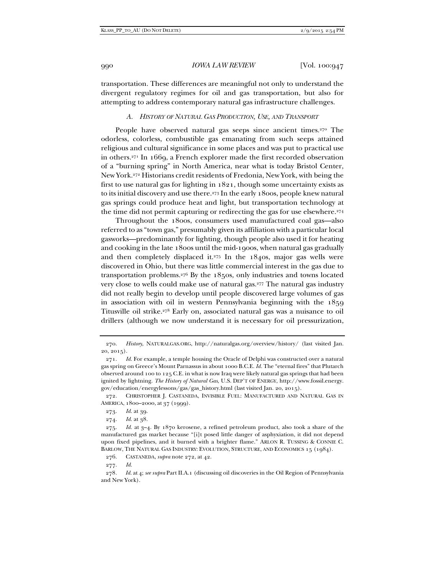transportation. These differences are meaningful not only to understand the divergent regulatory regimes for oil and gas transportation, but also for attempting to address contemporary natural gas infrastructure challenges.

### *A. HISTORY OF NATURAL GAS PRODUCTION, USE, AND TRANSPORT*

People have observed natural gas seeps since ancient times.<sup>270</sup> The odorless, colorless, combustible gas emanating from such seeps attained religious and cultural significance in some places and was put to practical use in others.271 In 1669, a French explorer made the first recorded observation of a "burning spring" in North America, near what is today Bristol Center, New York.272 Historians credit residents of Fredonia, New York, with being the first to use natural gas for lighting in 1821, though some uncertainty exists as to its initial discovery and use there.273 In the early 1800s, people knew natural gas springs could produce heat and light, but transportation technology at the time did not permit capturing or redirecting the gas for use elsewhere.<sup>274</sup>

Throughout the 1800s, consumers used manufactured coal gas—also referred to as "town gas," presumably given its affiliation with a particular local gasworks—predominantly for lighting, though people also used it for heating and cooking in the late 1800s until the mid-1900s, when natural gas gradually and then completely displaced it.<sup>275</sup> In the  $184$ os, major gas wells were discovered in Ohio, but there was little commercial interest in the gas due to transportation problems.276 By the 1850s, only industries and towns located very close to wells could make use of natural gas.277 The natural gas industry did not really begin to develop until people discovered large volumes of gas in association with oil in western Pennsylvania beginning with the 1859 Titusville oil strike.278 Early on, associated natural gas was a nuisance to oil drillers (although we now understand it is necessary for oil pressurization,

 272. CHRISTOPHER J. CASTANEDA, INVISIBLE FUEL: MANUFACTURED AND NATURAL GAS IN AMERICA, 1800–2000, at 37 (1999).

277. *Id.* 

 <sup>270.</sup> *History*, NATURALGAS.ORG, http://naturalgas.org/overview/history/ (last visited Jan. 20, 2015).

 <sup>271.</sup> *Id.* For example, a temple housing the Oracle of Delphi was constructed over a natural gas spring on Greece's Mount Parnassus in about 1000 B.C.E. *Id.* The "eternal fires" that Plutarch observed around 100 to 125 C.E. in what is now Iraq were likely natural gas springs that had been ignited by lightning. *The History of Natural Gas*, U.S. DEP'T OF ENERGY, http://www.fossil.energy. gov/education/energylessons/gas/gas\_history.html (last visited Jan. 20, 2015).

 <sup>273.</sup> *Id.* at 39.

 <sup>274.</sup> *Id.* at 38.

 <sup>275.</sup> *Id.* at 3–4. By 1870 kerosene, a refined petroleum product, also took a share of the manufactured gas market because "[i]t posed little danger of asphyxiation, it did not depend upon fixed pipelines, and it burned with a brighter flame." ARLON R. TUSSING & CONNIE C. BARLOW, THE NATURAL GAS INDUSTRY: EVOLUTION, STRUCTURE, AND ECONOMICS 15 (1984).

 <sup>276.</sup> CASTANEDA, *supra* note 272, at 42.

<sup>278</sup>*. Id.* at 4; *see supra* Part II.A.1 (discussing oil discoveries in the Oil Region of Pennsylvania and New York).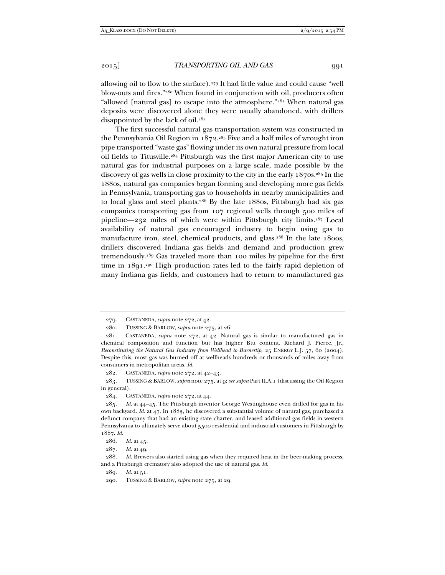allowing oil to flow to the surface).279 It had little value and could cause "well blow-outs and fires."280 When found in conjunction with oil, producers often "allowed [natural gas] to escape into the atmosphere."281 When natural gas deposits were discovered alone they were usually abandoned, with drillers disappointed by the lack of oil.282

The first successful natural gas transportation system was constructed in the Pennsylvania Oil Region in  $1872.^{283}$  Five and a half miles of wrought iron pipe transported "waste gas" flowing under its own natural pressure from local oil fields to Titusville.284 Pittsburgh was the first major American city to use natural gas for industrial purposes on a large scale, made possible by the discovery of gas wells in close proximity to the city in the early 1870s.285 In the 1880s, natural gas companies began forming and developing more gas fields in Pennsylvania, transporting gas to households in nearby municipalities and to local glass and steel plants.286 By the late 1880s, Pittsburgh had six gas companies transporting gas from 107 regional wells through 500 miles of pipeline—232 miles of which were within Pittsburgh city limits.287 Local availability of natural gas encouraged industry to begin using gas to manufacture iron, steel, chemical products, and glass.<sup>288</sup> In the late 1800s, drillers discovered Indiana gas fields and demand and production grew tremendously.289 Gas traveled more than 100 miles by pipeline for the first time in 1891.290 High production rates led to the fairly rapid depletion of many Indiana gas fields, and customers had to return to manufactured gas

282. CASTANEDA, *supra* note 272, at 42–43.

 283. TUSSING & BARLOW, *supra* note 275, at 9; *see supra* Part II.A.1 (discussing the Oil Region in general).

284. CASTANEDA, *supra* note 272, at 44.

 <sup>279.</sup> CASTANEDA, *supra* note 272, at 42.

 <sup>280.</sup> TUSSING & BARLOW, *supra* note 275, at 26.

 <sup>281.</sup> CASTANEDA, *supra* note 272, at 42. Natural gas is similar to manufactured gas in chemical composition and function but has higher Btu content. Richard J. Pierce, Jr., *Reconstituting the Natural Gas Industry from Wellhead to Burnertip*, 25 ENERGY L.J. 57, 60 (2004). Despite this, most gas was burned off at wellheads hundreds or thousands of miles away from consumers in metropolitan areas. *Id.*

 <sup>285.</sup> *Id.* at 44–45. The Pittsburgh inventor George Westinghouse even drilled for gas in his own backyard. *Id.* at 47. In 1883, he discovered a substantial volume of natural gas, purchased a defunct company that had an existing state charter, and leased additional gas fields in western Pennsylvania to ultimately serve about 5500 residential and industrial customers in Pittsburgh by 1887. *Id.* 

 <sup>286.</sup> *Id.* at 45.

 <sup>287.</sup> *Id.* at 49.

 <sup>288.</sup> *Id.* Brewers also started using gas when they required heat in the beer-making process, and a Pittsburgh crematory also adopted the use of natural gas. *Id.* 

 <sup>289.</sup> *Id.* at 51.

 <sup>290.</sup> TUSSING & BARLOW, *supra* note 275, at 29.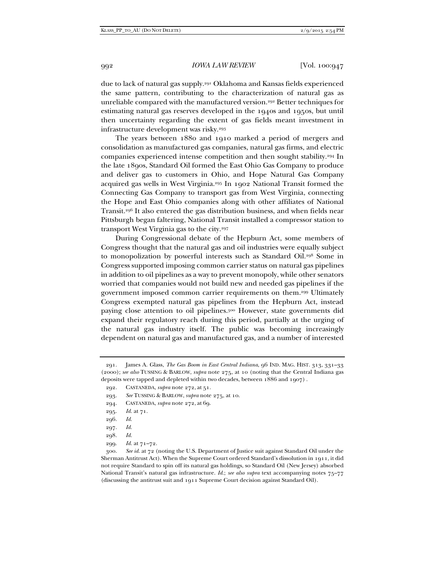due to lack of natural gas supply.291 Oklahoma and Kansas fields experienced the same pattern, contributing to the characterization of natural gas as unreliable compared with the manufactured version.292 Better techniques for estimating natural gas reserves developed in the 1940s and 1950s, but until then uncertainty regarding the extent of gas fields meant investment in infrastructure development was risky.293

The years between 1880 and 1910 marked a period of mergers and consolidation as manufactured gas companies, natural gas firms, and electric companies experienced intense competition and then sought stability.294 In the late 1890s, Standard Oil formed the East Ohio Gas Company to produce and deliver gas to customers in Ohio, and Hope Natural Gas Company acquired gas wells in West Virginia.295 In 1902 National Transit formed the Connecting Gas Company to transport gas from West Virginia, connecting the Hope and East Ohio companies along with other affiliates of National Transit.296 It also entered the gas distribution business, and when fields near Pittsburgh began faltering, National Transit installed a compressor station to transport West Virginia gas to the city.297

During Congressional debate of the Hepburn Act, some members of Congress thought that the natural gas and oil industries were equally subject to monopolization by powerful interests such as Standard Oil.298 Some in Congress supported imposing common carrier status on natural gas pipelines in addition to oil pipelines as a way to prevent monopoly, while other senators worried that companies would not build new and needed gas pipelines if the government imposed common carrier requirements on them.299 Ultimately Congress exempted natural gas pipelines from the Hepburn Act, instead paying close attention to oil pipelines.300 However, state governments did expand their regulatory reach during this period, partially at the urging of the natural gas industry itself. The public was becoming increasingly dependent on natural gas and manufactured gas, and a number of interested

 <sup>291.</sup> James A. Glass, *The Gas Boom in East Central Indiana*, 96 IND. MAG. HIST. 313, 331–33 (2000); *see also* TUSSING & BARLOW, *supra* note 275, at 10 (noting that the Central Indiana gas deposits were tapped and depleted within two decades, between 1886 and 1907) .

 <sup>292.</sup> CASTANEDA, *supra* note 272, at 51.

 <sup>293.</sup> *See* TUSSING & BARLOW, *supra* note 275, at 10.

 <sup>294.</sup> CASTANEDA, *supra* note 272, at 69.

 <sup>295.</sup> *Id.* at 71.

 <sup>296.</sup> *Id.* 

 <sup>297.</sup> *Id.* 

 <sup>298.</sup> *Id.*

 <sup>299.</sup> *Id.* at 71–72.

 <sup>300.</sup> *See id.* at 72 (noting the U.S. Department of Justice suit against Standard Oil under the Sherman Antitrust Act). When the Supreme Court ordered Standard's dissolution in 1911, it did not require Standard to spin off its natural gas holdings, so Standard Oil (New Jersey) absorbed National Transit's natural gas infrastructure. *Id.*; *see also supra* text accompanying notes 75–77 (discussing the antitrust suit and 1911 Supreme Court decision against Standard Oil).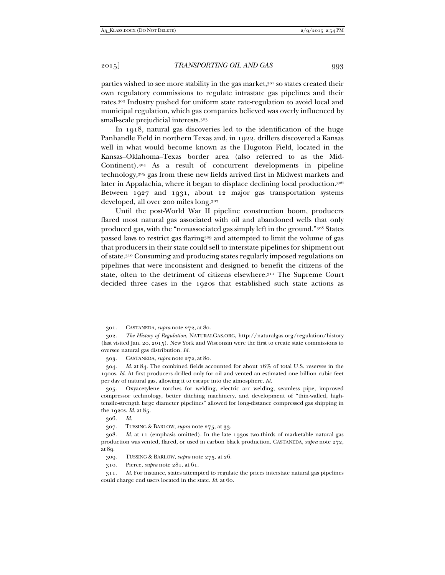parties wished to see more stability in the gas market,<sup>301</sup> so states created their own regulatory commissions to regulate intrastate gas pipelines and their rates.302 Industry pushed for uniform state rate-regulation to avoid local and municipal regulation, which gas companies believed was overly influenced by small-scale prejudicial interests.303

In 1918, natural gas discoveries led to the identification of the huge Panhandle Field in northern Texas and, in 1922, drillers discovered a Kansas well in what would become known as the Hugoton Field, located in the Kansas–Oklahoma–Texas border area (also referred to as the Mid-Continent).304 As a result of concurrent developments in pipeline technology,305 gas from these new fields arrived first in Midwest markets and later in Appalachia, where it began to displace declining local production.306 Between 1927 and 1931, about 12 major gas transportation systems developed, all over 200 miles long.307

Until the post-World War II pipeline construction boom, producers flared most natural gas associated with oil and abandoned wells that only produced gas, with the "nonassociated gas simply left in the ground."308 States passed laws to restrict gas flaring309 and attempted to limit the volume of gas that producers in their state could sell to interstate pipelines for shipment out of state.310 Consuming and producing states regularly imposed regulations on pipelines that were inconsistent and designed to benefit the citizens of the state, often to the detriment of citizens elsewhere.311 The Supreme Court decided three cases in the 1920s that established such state actions as

 <sup>301.</sup> CASTANEDA, *supra* note 272, at 80.

 <sup>302.</sup> *The History of Regulation*, NATURALGAS.ORG, http://naturalgas.org/regulation/history (last visited Jan. 20, 2015). New York and Wisconsin were the first to create state commissions to oversee natural gas distribution. *Id.* 

 <sup>303.</sup> CASTANEDA, *supra* note 272, at 80.

 <sup>304.</sup> *Id.* at 84. The combined fields accounted for about 16% of total U.S. reserves in the 1900s. *Id.* At first producers drilled only for oil and vented an estimated one billion cubic feet per day of natural gas, allowing it to escape into the atmosphere. *Id.* 

 <sup>305.</sup> Oxyacetylene torches for welding, electric arc welding, seamless pipe, improved compressor technology, better ditching machinery, and development of "thin-walled, hightensile-strength large diameter pipelines" allowed for long-distance compressed gas shipping in the 1920s. *Id.* at 85.

 <sup>306.</sup> *Id.*

 <sup>307.</sup> TUSSING & BARLOW, *supra* note 275, at 33.

 <sup>308.</sup> *Id.* at 11 (emphasis omitted). In the late 1930s two-thirds of marketable natural gas production was vented, flared, or used in carbon black production. CASTANEDA, *supra* note 272, at 89.

 <sup>309.</sup> TUSSING & BARLOW, *supra* note 275, at 26.

 <sup>310.</sup> Pierce, *supra* note 281, at 61.

 <sup>311.</sup> *Id.* For instance, states attempted to regulate the prices interstate natural gas pipelines could charge end users located in the state. *Id.* at 60.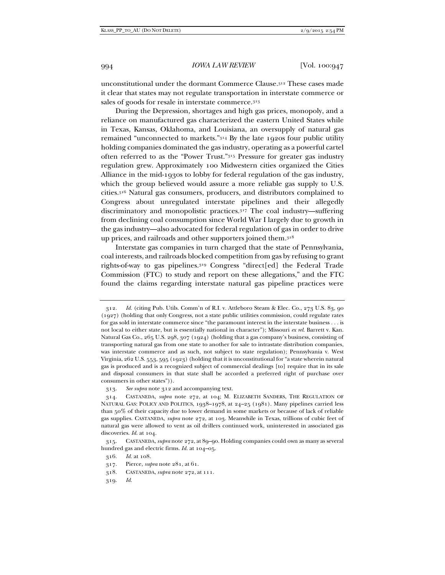unconstitutional under the dormant Commerce Clause.312 These cases made it clear that states may not regulate transportation in interstate commerce or sales of goods for resale in interstate commerce.313

During the Depression, shortages and high gas prices, monopoly, and a reliance on manufactured gas characterized the eastern United States while in Texas, Kansas, Oklahoma, and Louisiana, an oversupply of natural gas remained "unconnected to markets."314 By the late 1920s four public utility holding companies dominated the gas industry, operating as a powerful cartel often referred to as the "Power Trust."315 Pressure for greater gas industry regulation grew. Approximately 100 Midwestern cities organized the Cities Alliance in the mid-1930s to lobby for federal regulation of the gas industry, which the group believed would assure a more reliable gas supply to U.S. cities.316 Natural gas consumers, producers, and distributors complained to Congress about unregulated interstate pipelines and their allegedly discriminatory and monopolistic practices.317 The coal industry—suffering from declining coal consumption since World War I largely due to growth in the gas industry—also advocated for federal regulation of gas in order to drive up prices, and railroads and other supporters joined them.318

Interstate gas companies in turn charged that the state of Pennsylvania, coal interests, and railroads blocked competition from gas by refusing to grant rights-of-way to gas pipelines.319 Congress "direct[ed] the Federal Trade Commission (FTC) to study and report on these allegations," and the FTC found the claims regarding interstate natural gas pipeline practices were

 <sup>312.</sup> *Id.* (citing Pub. Utils. Comm'n of R.I. v. Attleboro Steam & Elec. Co., 273 U.S. 83, 90 (1927) (holding that only Congress, not a state public utilities commission, could regulate rates for gas sold in interstate commerce since "the paramount interest in the interstate business . . . is not local to either state, but is essentially national in character"); Missouri *ex rel.* Barrett v. Kan. Natural Gas Co., 265 U.S. 298, 307 (1924) (holding that a gas company's business, consisting of transporting natural gas from one state to another for sale to intrastate distribution companies, was interstate commerce and as such, not subject to state regulation); Pennsylvania v. West Virginia, 262 U.S. 553, 595 (1923) (holding that it is unconstitutional for "a state wherein natural gas is produced and is a recognized subject of commercial dealings [to] require that in its sale and disposal consumers in that state shall be accorded a preferred right of purchase over consumers in other states")).

 <sup>313.</sup> *See supra* note 312 and accompanying text.

 <sup>314.</sup> CASTANEDA, *supra* note 272, at 104; M. ELIZABETH SANDERS, THE REGULATION OF NATURAL GAS: POLICY AND POLITICS, 1938–1978, at 24–25 (1981). Many pipelines carried less than 50% of their capacity due to lower demand in some markets or because of lack of reliable gas supplies. CASTANEDA, *supra* note 272, at 103. Meanwhile in Texas, trillions of cubic feet of natural gas were allowed to vent as oil drillers continued work, uninterested in associated gas discoveries. *Id.* at 104.

 <sup>315.</sup> CASTANEDA, *supra* note 272, at 89–90. Holding companies could own as many as several hundred gas and electric firms. *Id.* at 104–05.

 <sup>316.</sup> *Id.* at 108.

 <sup>317.</sup> Pierce, *supra* note 281, at 61.

 <sup>318.</sup> CASTANEDA, *supra* note 272, at 111.

 <sup>319.</sup> *Id.*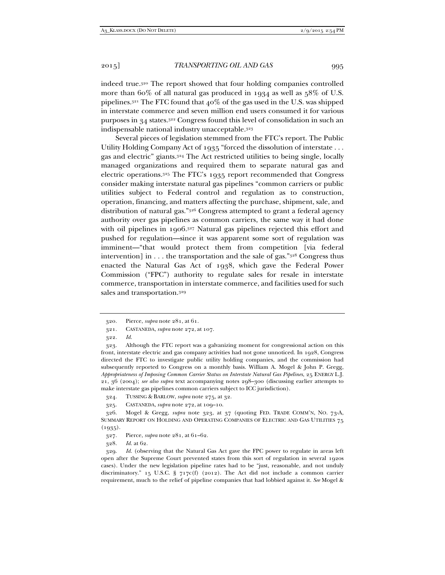indeed true.320 The report showed that four holding companies controlled more than 60% of all natural gas produced in 1934 as well as 58% of U.S. pipelines.<sup>321</sup> The FTC found that  $40\%$  of the gas used in the U.S. was shipped in interstate commerce and seven million end users consumed it for various purposes in 34 states.322 Congress found this level of consolidation in such an indispensable national industry unacceptable.323

Several pieces of legislation stemmed from the FTC's report. The Public Utility Holding Company Act of 1935 "forced the dissolution of interstate . . . gas and electric" giants.324 The Act restricted utilities to being single, locally managed organizations and required them to separate natural gas and electric operations.325 The FTC's 1935 report recommended that Congress consider making interstate natural gas pipelines "common carriers or public utilities subject to Federal control and regulation as to construction, operation, financing, and matters affecting the purchase, shipment, sale, and distribution of natural gas."326 Congress attempted to grant a federal agency authority over gas pipelines as common carriers, the same way it had done with oil pipelines in 1906.<sup>327</sup> Natural gas pipelines rejected this effort and pushed for regulation—since it was apparent some sort of regulation was imminent—"that would protect them from competition [via federal intervention] in . . . the transportation and the sale of gas."328 Congress thus enacted the Natural Gas Act of 1938, which gave the Federal Power Commission ("FPC") authority to regulate sales for resale in interstate commerce, transportation in interstate commerce, and facilities used for such sales and transportation.329

322. *Id.*

 323. Although the FTC report was a galvanizing moment for congressional action on this front, interstate electric and gas company activities had not gone unnoticed. In 1928, Congress directed the FTC to investigate public utility holding companies, and the commission had subsequently reported to Congress on a monthly basis. William A. Mogel & John P. Gregg, *Appropriateness of Imposing Common Carrier Status on Interstate Natural Gas Pipelines*, 25 ENERGY L.J. 21, 36 (2004); *see also supra* text accompanying notes 298–300 (discussing earlier attempts to make interstate gas pipelines common carriers subject to ICC jurisdiction).

324. TUSSING & BARLOW, *supra* note 275, at 32.

328. *Id.* at 62.

 329. *Id.* (observing that the Natural Gas Act gave the FPC power to regulate in areas left open after the Supreme Court prevented states from this sort of regulation in several 1920s cases). Under the new legislation pipeline rates had to be "just, reasonable, and not unduly discriminatory." 15 U.S.C. §  $717c(f)$  (2012). The Act did not include a common carrier requirement, much to the relief of pipeline companies that had lobbied against it. *See* Mogel &

<sup>320</sup>*.* Pierce, *supra* note 281, at 61.

 <sup>321.</sup> CASTANEDA, *supra* note 272, at 107.

 <sup>325.</sup> CASTANEDA, *supra* note 272, at 109–10.

 <sup>326.</sup> Mogel & Gregg, *supra* note 323, at 37 (quoting FED. TRADE COMM'N, NO. 73-A, SUMMARY REPORT ON HOLDING AND OPERATING COMPANIES OF ELECTRIC AND GAS UTILITIES 75  $(1935).$ 

 <sup>327.</sup> Pierce, *supra* note 281, at 61–62.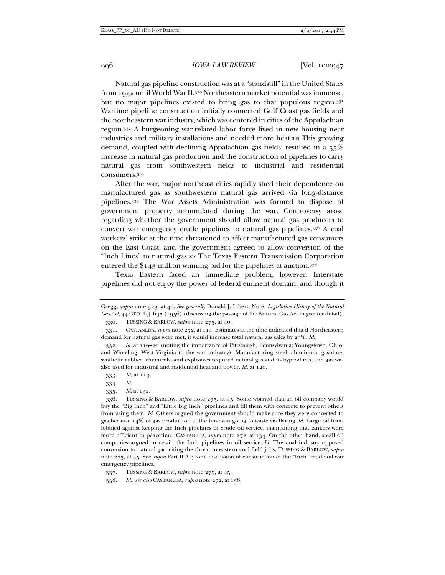Natural gas pipeline construction was at a "standstill" in the United States from 1932 until World War II.330 Northeastern market potential was immense, but no major pipelines existed to bring gas to that populous region. 331 Wartime pipeline construction initially connected Gulf Coast gas fields and the northeastern war industry, which was centered in cities of the Appalachian region.332 A burgeoning war-related labor force lived in new housing near industries and military installations and needed more heat.333 This growing demand, coupled with declining Appalachian gas fields, resulted in a 55% increase in natural gas production and the construction of pipelines to carry natural gas from southwestern fields to industrial and residential consumers.334

After the war, major northeast cities rapidly shed their dependence on manufactured gas as southwestern natural gas arrived via long-distance pipelines.335 The War Assets Administration was formed to dispose of government property accumulated during the war. Controversy arose regarding whether the government should allow natural gas producers to convert war emergency crude pipelines to natural gas pipelines.336 A coal workers' strike at the time threatened to affect manufactured gas consumers on the East Coast, and the government agreed to allow conversion of the "Inch Lines" to natural gas.337 The Texas Eastern Transmission Corporation entered the \$143 million winning bid for the pipelines at auction.338

Texas Eastern faced an immediate problem, however. Interstate pipelines did not enjoy the power of federal eminent domain, and though it

334. *Id.* 

Gregg, *supra* note 323, at 40. *See generally* Donald J. Libert, Note, *Legislative History of the Natural Gas Act*, 44 GEO. L.J. 695 (1956) (discussing the passage of the Natural Gas Act in greater detail).

 <sup>330.</sup> TUSSING & BARLOW, *supra* note 275, at 40.

 <sup>331.</sup> CASTANEDA, *supra* note 272, at 114. Estimates at the time indicated that if Northeastern demand for natural gas were met, it would increase total natural gas sales by 25%. *Id.* 

 <sup>332.</sup> *Id.* at 119–20 (noting the importance of Pittsburgh, Pennsylvania; Youngstown, Ohio; and Wheeling, West Virginia to the war industry). Manufacturing steel, aluminum, gasoline, synthetic rubber, chemicals, and explosives required natural gas and its byproducts, and gas was also used for industrial and residential heat and power. *Id.* at 120.

 <sup>333.</sup> *Id.* at 119.

 <sup>335.</sup> *Id.* at 132.

 <sup>336.</sup> TUSSING & BARLOW, *supra* note 275, at 45. Some worried that an oil company would buy the "Big Inch" and "Little Big Inch" pipelines and fill them with concrete to prevent others from using them. *Id.* Others argued the government should make sure they were converted to gas because 14% of gas production at the time was going to waste via flaring. *Id.* Large oil firms lobbied against keeping the Inch pipelines in crude oil service, maintaining that tankers were more efficient in peacetime. CASTANEDA, *supra* note 272, at 134. On the other hand, small oil companies argued to retain the Inch pipelines in oil service. *Id.* The coal industry opposed conversion to natural gas, citing the threat to eastern coal field jobs. TUSSING & BARLOW, *supra* note 275, at 45. See *supra* Part II.A.3 for a discussion of construction of the "Inch" crude oil war emergency pipelines.

 <sup>337.</sup> TUSSING & BARLOW, *supra* note 275, at 45.

 <sup>338.</sup> *Id.*; *see also* CASTANEDA, *supra* note 272, at 138.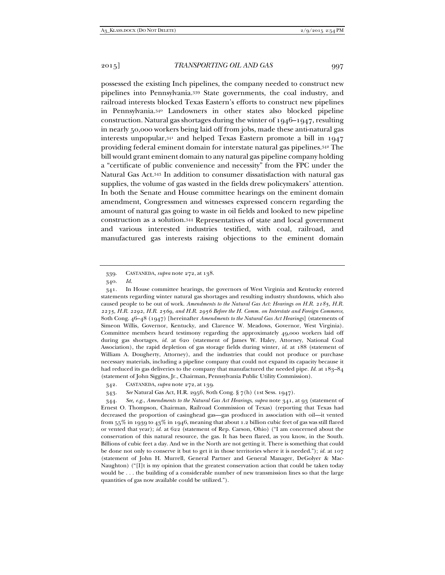possessed the existing Inch pipelines, the company needed to construct new pipelines into Pennsylvania.339 State governments, the coal industry, and railroad interests blocked Texas Eastern's efforts to construct new pipelines in Pennsylvania.340 Landowners in other states also blocked pipeline construction. Natural gas shortages during the winter of 1946–1947, resulting in nearly 50,000 workers being laid off from jobs, made these anti-natural gas interests unpopular,341 and helped Texas Eastern promote a bill in 1947 providing federal eminent domain for interstate natural gas pipelines.342 The bill would grant eminent domain to any natural gas pipeline company holding a "certificate of public convenience and necessity" from the FPC under the Natural Gas Act.343 In addition to consumer dissatisfaction with natural gas supplies, the volume of gas wasted in the fields drew policymakers' attention. In both the Senate and House committee hearings on the eminent domain amendment, Congressmen and witnesses expressed concern regarding the amount of natural gas going to waste in oil fields and looked to new pipeline construction as a solution.344 Representatives of state and local government and various interested industries testified, with coal, railroad, and manufactured gas interests raising objections to the eminent domain

343. *See* Natural Gas Act, H.R. 2956, 80th Cong. § 7(h) (1st Sess. 1947).

 344. *See, e.g.*, *Amendments to the Natural Gas Act Hearings*, *supra* note 341, at 93 (statement of Ernest O. Thompson, Chairman, Railroad Commission of Texas) (reporting that Texas had decreased the proportion of casinghead gas—gas produced in association with oil—it vented from  $55\%$  in 1939 to 43% in 1946, meaning that about 1.2 billion cubic feet of gas was still flared or vented that year); *id.* at 622 (statement of Rep. Carson, Ohio) ("I am concerned about the conservation of this natural resource, the gas. It has been flared, as you know, in the South. Billions of cubic feet a day. And we in the North are not getting it. There is something that could be done not only to conserve it but to get it in those territories where it is needed."); *id.* at 107 (statement of John H. Murrell, General Partner and General Manager, DeGolyer & Mac-Naughton) ("[I]t is my opinion that the greatest conservation action that could be taken today would be . . . the building of a considerable number of new transmission lines so that the large quantities of gas now available could be utilized.").

 <sup>339.</sup> CASTANEDA, *supra* note 272, at 138.

 <sup>340.</sup> *Id.* 

 <sup>341.</sup> In House committee hearings, the governors of West Virginia and Kentucky entered statements regarding winter natural gas shortages and resulting industry shutdowns, which also caused people to be out of work. *Amendments to the Natural Gas Act: Hearings on H.R. 2185, H.R. 2235, H.R. 2292, H.R. 2569, and H.R. 2956 Before the H. Comm. on Interstate and Foreign Commerce*, 80th Cong. 46–48 (1947) [hereinafter *Amendments to the Natural Gas Act Hearings*] (statements of Simeon Willis, Governor, Kentucky, and Clarence W. Meadows, Governor, West Virginia). Committee members heard testimony regarding the approximately 49,000 workers laid off during gas shortages, *id.* at 620 (statement of James W. Haley, Attorney, National Coal Association), the rapid depletion of gas storage fields during winter, *id.* at 188 (statement of William A. Dougherty, Attorney), and the industries that could not produce or purchase necessary materials, including a pipeline company that could not expand its capacity because it had reduced its gas deliveries to the company that manufactured the needed pipe. *Id.* at 183–84 (statement of John Siggins, Jr., Chairman, Pennsylvania Public Utility Commission).

 <sup>342.</sup> CASTANEDA, *supra* note 272, at 139.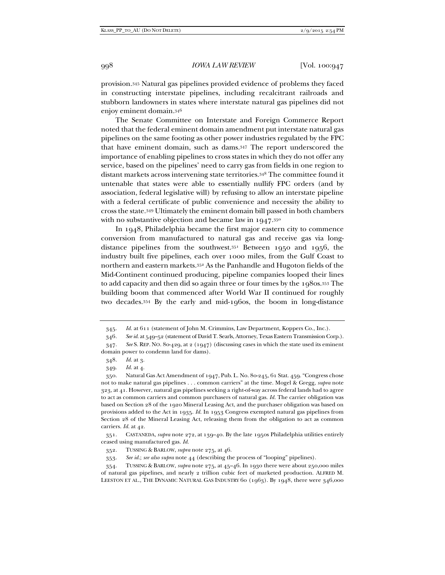provision.345 Natural gas pipelines provided evidence of problems they faced in constructing interstate pipelines, including recalcitrant railroads and stubborn landowners in states where interstate natural gas pipelines did not enjoy eminent domain.346

The Senate Committee on Interstate and Foreign Commerce Report noted that the federal eminent domain amendment put interstate natural gas pipelines on the same footing as other power industries regulated by the FPC that have eminent domain, such as dams.347 The report underscored the importance of enabling pipelines to cross states in which they do not offer any service, based on the pipelines' need to carry gas from fields in one region to distant markets across intervening state territories.348 The committee found it untenable that states were able to essentially nullify FPC orders (and by association, federal legislative will) by refusing to allow an interstate pipeline with a federal certificate of public convenience and necessity the ability to cross the state.349 Ultimately the eminent domain bill passed in both chambers with no substantive objection and became law in  $1947.^{350}$ 

In 1948, Philadelphia became the first major eastern city to commence conversion from manufactured to natural gas and receive gas via longdistance pipelines from the southwest.351 Between 1950 and 1956, the industry built five pipelines, each over 1000 miles, from the Gulf Coast to northern and eastern markets.352 As the Panhandle and Hugoton fields of the Mid-Continent continued producing, pipeline companies looped their lines to add capacity and then did so again three or four times by the 1980s.353 The building boom that commenced after World War II continued for roughly two decades.354 By the early and mid-1960s, the boom in long-distance

 <sup>345.</sup> *Id.* at 611 (statement of John M. Crimmins, Law Department, Koppers Co., Inc.).

<sup>346</sup>*. See id.* at 549–52 (statement of David T. Searls, Attorney, Texas Eastern Transmission Corp.).

 <sup>347.</sup> *See* S. REP. NO. 80-429, at 2 (1947) (discussing cases in which the state used its eminent domain power to condemn land for dams).

 <sup>348.</sup> *Id.* at 3.

 <sup>349.</sup> *Id.* at 4.

 <sup>350.</sup> Natural Gas Act Amendment of 1947, Pub. L. No. 80-245, 61 Stat. 459. "Congress chose not to make natural gas pipelines . . . common carriers" at the time. Mogel & Gregg, *supra* note 323, at 41. However, natural gas pipelines seeking a right-of-way across federal lands had to agree to act as common carriers and common purchasers of natural gas. *Id.* The carrier obligation was based on Section 28 of the 1920 Mineral Leasing Act, and the purchaser obligation was based on provisions added to the Act in 1935. *Id.* In 1953 Congress exempted natural gas pipelines from Section 28 of the Mineral Leasing Act, releasing them from the obligation to act as common carriers. *Id.* at 42.

 <sup>351.</sup> CASTANEDA, *supra* note 272, at 139–40. By the late 1950s Philadelphia utilities entirely ceased using manufactured gas. *Id.* 

 <sup>352.</sup> TUSSING & BARLOW, *supra* note 275, at 46.

 <sup>353.</sup> *See id.*; *see also supra* note 44 (describing the process of "looping" pipelines).

 <sup>354.</sup> TUSSING & BARLOW, *supra* note 275, at 45–46. In 1930 there were about 250,000 miles of natural gas pipelines, and nearly 2 trillion cubic feet of marketed production. ALFRED M. LEESTON ET AL., THE DYNAMIC NATURAL GAS INDUSTRY 60 (1963). By 1948, there were 346,000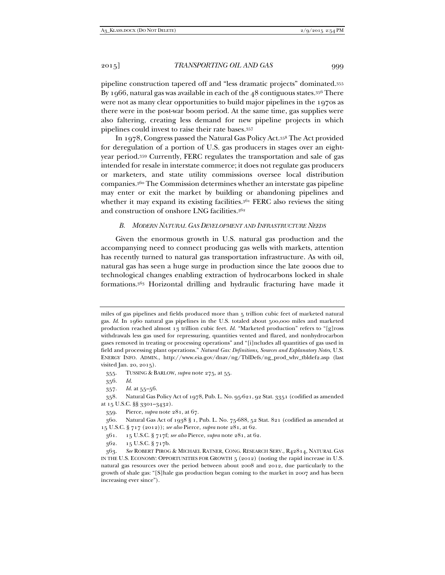pipeline construction tapered off and "less dramatic projects" dominated.355 By 1966, natural gas was available in each of the 48 contiguous states.356 There were not as many clear opportunities to build major pipelines in the 1970s as there were in the post-war boom period. At the same time, gas supplies were also faltering, creating less demand for new pipeline projects in which pipelines could invest to raise their rate bases.357

In 1978, Congress passed the Natural Gas Policy Act.358 The Act provided for deregulation of a portion of U.S. gas producers in stages over an eightyear period.359 Currently, FERC regulates the transportation and sale of gas intended for resale in interstate commerce; it does not regulate gas producers or marketers, and state utility commissions oversee local distribution companies.360 The Commission determines whether an interstate gas pipeline may enter or exit the market by building or abandoning pipelines and whether it may expand its existing facilities.<sup>361</sup> FERC also reviews the siting and construction of onshore LNG facilities.362

#### *B. MODERN NATURAL GAS DEVELOPMENT AND INFRASTRUCTURE NEEDS*

Given the enormous growth in U.S. natural gas production and the accompanying need to connect producing gas wells with markets, attention has recently turned to natural gas transportation infrastructure. As with oil, natural gas has seen a huge surge in production since the late 2000s due to technological changes enabling extraction of hydrocarbons locked in shale formations.363 Horizontal drilling and hydraulic fracturing have made it

miles of gas pipelines and fields produced more than 5 trillion cubic feet of marketed natural gas. *Id.* In 1960 natural gas pipelines in the U.S. totaled about 500,000 miles and marketed production reached almost 13 trillion cubic feet. *Id.* "Marketed production" refers to "[g]ross withdrawals less gas used for repressuring, quantities vented and flared, and nonhydrocarbon gases removed in treating or processing operations" and "[i]ncludes all quantities of gas used in field and processing plant operations." *Natural Gas: Definitions, Sources and Explanatory Notes*, U.S. ENERGY INFO. ADMIN., http://www.eia.gov/dnav/ng/TblDefs/ng\_prod\_whv\_tbldef2.asp (last visited Jan. 20, 2015).

 <sup>355.</sup> TUSSING & BARLOW, *supra* note 275, at 55.

 <sup>356.</sup> *Id.* 

 <sup>357.</sup> *Id.* at 55–56.

 <sup>358.</sup> Natural Gas Policy Act of 1978, Pub. L. No. 95-621, 92 Stat. 3351 (codified as amended at 15 U.S.C. §§ 3301–3432).

 <sup>359.</sup> Pierce, *supra* note 281, at 67.

 <sup>360.</sup> Natural Gas Act of 1938 § 1, Pub. L. No. 75-688, 52 Stat. 821 (codified as amended at 15 U.S.C. § 717 (2012)); *see also* Pierce, *supra* note 281, at 62.

 <sup>361. 15</sup> U.S.C. § 717f; *see also* Pierce, *supra* note 281, at 62.

 <sup>362. 15</sup> U.S.C. § 717b.

 <sup>363.</sup> *See* ROBERT PIROG & MICHAEL RATNER, CONG. RESEARCH SERV., R42814, NATURAL GAS IN THE U.S. ECONOMY: OPPORTUNITIES FOR GROWTH 5 (2012) (noting the rapid increase in U.S. natural gas resources over the period between about 2008 and 2012, due particularly to the growth of shale gas: "[S]hale gas production began coming to the market in 2007 and has been increasing ever since").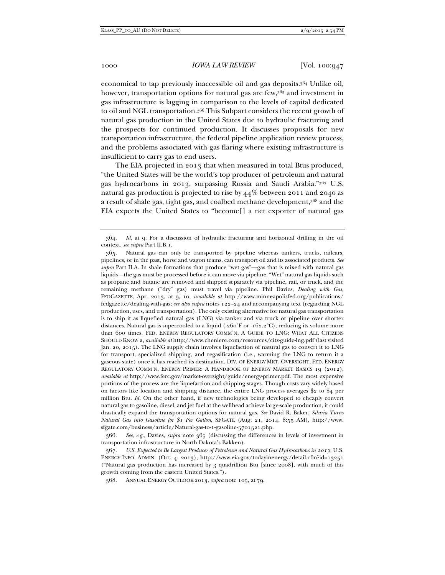economical to tap previously inaccessible oil and gas deposits.364 Unlike oil, however, transportation options for natural gas are few,365 and investment in gas infrastructure is lagging in comparison to the levels of capital dedicated to oil and NGL transportation.366 This Subpart considers the recent growth of natural gas production in the United States due to hydraulic fracturing and the prospects for continued production. It discusses proposals for new transportation infrastructure, the federal pipeline application review process, and the problems associated with gas flaring where existing infrastructure is insufficient to carry gas to end users.

The EIA projected in 2013 that when measured in total Btus produced, "the United States will be the world's top producer of petroleum and natural gas hydrocarbons in 2013, surpassing Russia and Saudi Arabia."367 U.S. natural gas production is projected to rise by  $44\%$  between 2011 and 2040 as a result of shale gas, tight gas, and coalbed methane development,368 and the EIA expects the United States to "become[] a net exporter of natural gas

 366. *See, e.g.*, Davies, *supra* note 365 (discussing the differences in levels of investment in transportation infrastructure in North Dakota's Bakken).

 <sup>364.</sup> *Id.* at 9. For a discussion of hydraulic fracturing and horizontal drilling in the oil context, *see supra* Part II.B.1.

 <sup>365.</sup> Natural gas can only be transported by pipeline whereas tankers, trucks, railcars, pipelines, or in the past, horse and wagon teams, can transport oil and its associated products. *See supra* Part II.A. In shale formations that produce "wet gas"—gas that is mixed with natural gas liquids—the gas must be processed before it can move via pipeline. "Wet" natural gas liquids such as propane and butane are removed and shipped separately via pipeline, rail, or truck, and the remaining methane ("dry" gas) must travel via pipeline. Phil Davies, *Dealing with Gas*, FEDGAZETTE, Apr. 2013, at 9, 10, *available at* http://www.minneapolisfed.org/publications/ fedgazette/dealing-with-gas; *see also supra* notes 122–24 and accompanying text (regarding NGL production, uses, and transportation). The only existing alternative for natural gas transportation is to ship it as liquefied natural gas (LNG) via tanker and via truck or pipeline over shorter distances. Natural gas is supercooled to a liquid (-260°F or -162.2°C), reducing its volume more than 600 times. FED. ENERGY REGULATORY COMM'N, A GUIDE TO LNG: WHAT ALL CITIZENS SHOULD KNOW 2, *available at* http://www.cheniere.com/resources/citz-guide-lng.pdf (last visited Jan. 20, 2015). The LNG supply chain involves liquefaction of natural gas to convert it to LNG for transport, specialized shipping, and regasification (i.e., warming the LNG to return it a gaseous state) once it has reached its destination. DIV. OF ENERGY MKT. OVERSIGHT, FED. ENERGY REGULATORY COMM'N, ENERGY PRIMER: A HANDBOOK OF ENERGY MARKET BASICS 19 (2012), *available at* http://www.ferc.gov/market-oversight/guide/energy-primer.pdf. The most expensive portions of the process are the liquefaction and shipping stages. Though costs vary widely based on factors like location and shipping distance, the entire LNG process averages  $$2$  to  $$4$  per million Btu. *Id.* On the other hand, if new technologies being developed to cheaply convert natural gas to gasoline, diesel, and jet fuel at the wellhead achieve large-scale production, it could drastically expand the transportation options for natural gas. *See* David R. Baker, *Siluria Turns Natural Gas into Gasoline for \$1 Per Gallon*, SFGATE (Aug. 21, 2014, 8:55 AM), http://www. sfgate.com/business/article/Natural-gas-to-1-gasoline-5701521.php.

 <sup>367.</sup> *U.S. Expected to Be Largest Producer of Petroleum and Natural Gas Hydrocarbons in 2013*, U.S. ENERGY INFO. ADMIN. (Oct. 4. 2013), http://www.eia.gov/todayinenergy/detail.cfm?id=13251 ("Natural gas production has increased by 3 quadrillion Btu [since 2008], with much of this growth coming from the eastern United States.").

 <sup>368.</sup> ANNUAL ENERGY OUTLOOK 2013, *supra* note 105, at 79.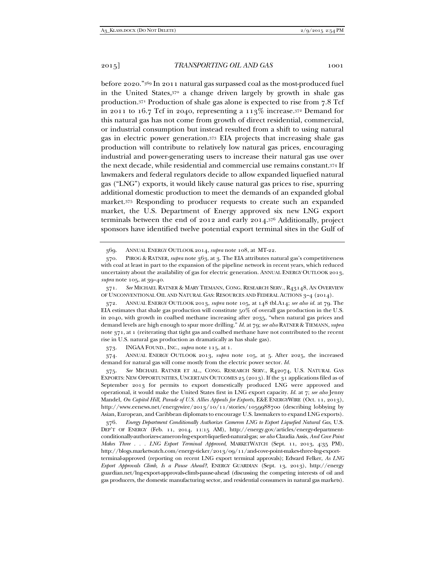before 2020."369 In 2011 natural gas surpassed coal as the most-produced fuel in the United States,370 a change driven largely by growth in shale gas production.371 Production of shale gas alone is expected to rise from 7.8 Tcf in 2011 to 16.7 Tcf in 2040, representing a  $113\%$  increase.<sup>372</sup> Demand for this natural gas has not come from growth of direct residential, commercial, or industrial consumption but instead resulted from a shift to using natural gas in electric power generation.373 EIA projects that increasing shale gas production will contribute to relatively low natural gas prices, encouraging industrial and power-generating users to increase their natural gas use over the next decade, while residential and commercial use remains constant.374 If lawmakers and federal regulators decide to allow expanded liquefied natural gas ("LNG") exports, it would likely cause natural gas prices to rise, spurring additional domestic production to meet the demands of an expanded global market.375 Responding to producer requests to create such an expanded market, the U.S. Department of Energy approved six new LNG export terminals between the end of 2012 and early 2014.376 Additionally, project sponsors have identified twelve potential export terminal sites in the Gulf of

373. INGAA FOUND., INC., *supra* note 115, at 1.

 374. ANNUAL ENERGY OUTLOOK 2013, *supra* note 105, at 5. After 2025, the increased demand for natural gas will come mostly from the electric power sector. *Id.* 

 375. *See* MICHAEL RATNER ET AL., CONG. RESEARCH SERV., R42074, U.S. NATURAL GAS EXPORTS: NEW OPPORTUNITIES, UNCERTAIN OUTCOMES 25 (2013). If the 31 applications filed as of September 2013 for permits to export domestically produced LNG were approved and operational, it would make the United States first in LNG export capacity. *Id.* at 7; *see also* Jenny Mandel, *On Capitol Hill, Parade of U.S. Allies Appeals for Exports*, E&E ENERGYWIRE (Oct. 11, 2013), http://www.eenews.net/energywire/2013/10/11/stories/1059988700 (describing lobbying by Asian, European, and Caribbean diplomats to encourage U.S. lawmakers to expand LNG exports).

 <sup>369.</sup> ANNUAL ENERGY OUTLOOK 2014, *supra* note 108, at MT-22.

 <sup>370.</sup> PIROG & RATNER, *supra* note 363, at 3. The EIA attributes natural gas's competitiveness with coal at least in part to the expansion of the pipeline network in recent years, which reduced uncertainty about the availability of gas for electric generation. ANNUAL ENERGY OUTLOOK 2013, *supra* note 105, at 39–40.

 <sup>371.</sup> *See* MICHAEL RATNER & MARY TIEMANN, CONG. RESEARCH SERV., R43148, AN OVERVIEW OF UNCONVENTIONAL OIL AND NATURAL GAS: RESOURCES AND FEDERAL ACTIONS 3–4 (2014).

 <sup>372.</sup> ANNUAL ENERGY OUTLOOK 2013, *supra* note 105, at 148 tbl.A14; *see also id.* at 79. The EIA estimates that shale gas production will constitute 50% of overall gas production in the U.S. in 2040, with growth in coalbed methane increasing after 2035, "when natural gas prices and demand levels are high enough to spur more drilling." *Id.* at 79; *see also* RATNER & TIEMANN, *supra*  note 371, at 1 (reiterating that tight gas and coalbed methane have not contributed to the recent rise in U.S. natural gas production as dramatically as has shale gas).

 <sup>376.</sup> *Energy Department Conditionally Authorizes Cameron LNG to Export Liquefied Natural Gas*, U.S. DEP'T OF ENERGY (Feb. 11, 2014, 11:15 AM), http://energy.gov/articles/energy-departmentconditionally-authorizes-cameron-lng-export-liquefied-natural-gas; *see also* Claudia Assis, *And Cove Point Makes Three . . . LNG Export Terminal Approved*, MARKETWATCH (Sept. 11, 2013, 4:35 PM), http://blogs.marketwatch.com/energy-ticker/2013/09/11/and-cove-point-makes-three-lng-exportterminal-approved (reporting on recent LNG export terminal approvals); Edward Felker, *As LNG Export Approvals Climb, Is a Pause Ahead?*, ENERGY GUARDIAN (Sept. 13, 2013), http://energy guardian.net/lng-export-approvals-climb-pause-ahead (discussing the competing interests of oil and gas producers, the domestic manufacturing sector, and residential consumers in natural gas markets).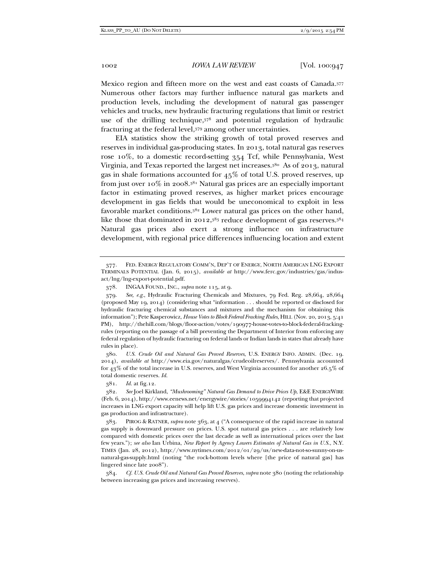Mexico region and fifteen more on the west and east coasts of Canada.377 Numerous other factors may further influence natural gas markets and production levels, including the development of natural gas passenger vehicles and trucks, new hydraulic fracturing regulations that limit or restrict use of the drilling technique,378 and potential regulation of hydraulic fracturing at the federal level,379 among other uncertainties.

EIA statistics show the striking growth of total proved reserves and reserves in individual gas-producing states. In 2013, total natural gas reserves rose 10%, to a domestic record-setting 354 Tcf, while Pennsylvania, West Virginia, and Texas reported the largest net increases.380 As of 2013, natural gas in shale formations accounted for  $45\%$  of total U.S. proved reserves, up from just over 10% in 2008.381 Natural gas prices are an especially important factor in estimating proved reserves, as higher market prices encourage development in gas fields that would be uneconomical to exploit in less favorable market conditions.382 Lower natural gas prices on the other hand, like those that dominated in 2012,<sup>383</sup> reduce development of gas reserves.<sup>384</sup> Natural gas prices also exert a strong influence on infrastructure development, with regional price differences influencing location and extent

 380. *U.S. Crude Oil and Natural Gas Proved Reserves*, U.S. ENERGY INFO. ADMIN. (Dec. 19. 2014), *available at* http://www.eia.gov/naturalgas/crudeoilreserves/. Pennsylvania accounted for 43% of the total increase in U.S. reserves, and West Virginia accounted for another 26.5% of total domestic reserves. *Id.* 

381. *Id.* at fig.12.

 382. *See* Joel Kirkland, *"Mushrooming" Natural Gas Demand to Drive Prices Up*, E&E ENERGYWIRE (Feb. 6, 2014), http://www.eenews.net/energywire/stories/1059994142 (reporting that projected increases in LNG export capacity will help lift U.S. gas prices and increase domestic investment in gas production and infrastructure).

 383. PIROG & RATNER, *supra* note 363, at 4 ("A consequence of the rapid increase in natural gas supply is downward pressure on prices. U.S. spot natural gas prices . . . are relatively low compared with domestic prices over the last decade as well as international prices over the last few years."); *see also* Ian Urbina, *New Report by Agency Lowers Estimates of Natural Gas in U.S.*, N.Y. TIMES (Jan. 28, 2012), http://www.nytimes.com/2012/01/29/us/new-data-not-so-sunny-on-usnatural-gas-supply.html (noting "the rock-bottom levels where [the price of natural gas] has lingered since late 2008").

 384. *Cf. U.S. Crude Oil and Natural Gas Proved Reserves*, *supra* note 380 (noting the relationship between increasing gas prices and increasing reserves).

 <sup>377.</sup> FED. ENERGY REGULATORY COMM'N, DEP'T OF ENERGY, NORTH AMERICAN LNG EXPORT TERMINALS POTENTIAL (Jan. 6, 2015), *available at* http://www.ferc.gov/industries/gas/indusact/lng/lng-export-potential.pdf.

 <sup>378.</sup> INGAA FOUND., INC., *supra* note 115, at 9.

 <sup>379.</sup> *See, e.g.*, Hydraulic Fracturing Chemicals and Mixtures, 79 Fed. Reg. 28,664, 28,664 (proposed May 19, 2014) (considering what "information . . . should be reported or disclosed for hydraulic fracturing chemical substances and mixtures and the mechanism for obtaining this information"); Pete Kasperowicz, *House Votes to Block Federal Fracking Rules*, HILL (Nov. 20, 2013, 5:41 PM), http://thehill.com/blogs/floor-action/votes/190977-house-votes-to-block-federal-frackingrules (reporting on the passage of a bill preventing the Department of Interior from enforcing any federal regulation of hydraulic fracturing on federal lands or Indian lands in states that already have rules in place).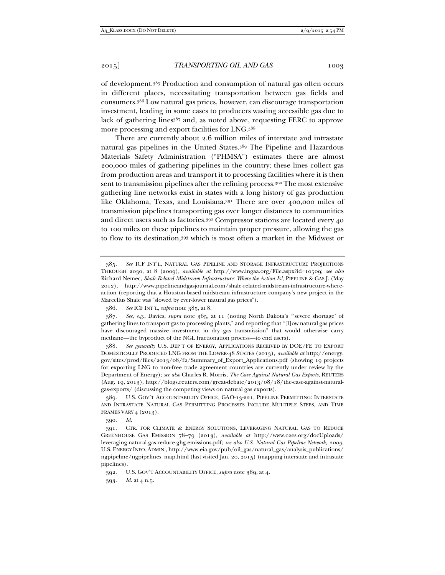of development.385 Production and consumption of natural gas often occurs in different places, necessitating transportation between gas fields and consumers.386 Low natural gas prices, however, can discourage transportation investment, leading in some cases to producers wasting accessible gas due to lack of gathering lines<sup>387</sup> and, as noted above, requesting FERC to approve more processing and export facilities for LNG.388

There are currently about 2.6 million miles of interstate and intrastate natural gas pipelines in the United States.389 The Pipeline and Hazardous Materials Safety Administration ("PHMSA") estimates there are almost 200,000 miles of gathering pipelines in the country; these lines collect gas from production areas and transport it to processing facilities where it is then sent to transmission pipelines after the refining process.<sup>390</sup> The most extensive gathering line networks exist in states with a long history of gas production like Oklahoma, Texas, and Louisiana.391 There are over 400,000 miles of transmission pipelines transporting gas over longer distances to communities and direct users such as factories.392 Compressor stations are located every 40 to 100 miles on these pipelines to maintain proper pressure, allowing the gas to flow to its destination,393 which is most often a market in the Midwest or

 389. U.S. GOV'T ACCOUNTABILITY OFFICE, GAO-13-221, PIPELINE PERMITTING: INTERSTATE AND INTRASTATE NATURAL GAS PERMITTING PROCESSES INCLUDE MULTIPLE STEPS, AND TIME FRAMES VARY 4 (2013).

390. *Id.*

 391. CTR. FOR CLIMATE & ENERGY SOLUTIONS, LEVERAGING NATURAL GAS TO REDUCE GREENHOUSE GAS EMISSION 78–79 (2013), *available at* http://www.c2es.org/docUploads/ leveraging-natural-gas-reduce-ghg-emissions.pdf; *see also U.S. Natural Gas Pipeline Network, 2009*, U.S. ENERGY INFO. ADMIN., http://www.eia.gov/pub/oil\_gas/natural\_gas/analysis\_publications/ ngpipeline/ngpipelines\_map.html (last visited Jan. 20, 2015) (mapping interstate and intrastate pipelines).

 <sup>385.</sup> *See* ICF INT'L, NATURAL GAS PIPELINE AND STORAGE INFRASTRUCTURE PROJECTIONS THROUGH 2030, at 8 (2009), *available at* http://www.ingaa.org/File.aspx?id=10509; *see also*  Richard Nemec, *Shale-Related Midstream Infrastructure: Where the Action Is!*, PIPELINE & GAS J. (May 2012), http://www.pipelineandgasjournal.com/shale-related-midstream-infrastructure-whereaction (reporting that a Houston-based midstream infrastructure company's new project in the Marcellus Shale was "slowed by ever-lower natural gas prices").

 <sup>386.</sup> *See* ICF INT'L, *supra* note 385, at 8.

 <sup>387.</sup> *See, e.g.*, Davies, *supra* note 365, at 11 (noting North Dakota's "'severe shortage' of gathering lines to transport gas to processing plants," and reporting that "[l]ow natural gas prices have discouraged massive investment in dry gas transmission" that would otherwise carry methane—the byproduct of the NGL fractionation process—to end users).

 <sup>388.</sup> *See generally* U.S. DEP'T OF ENERGY, APPLICATIONS RECEIVED BY DOE/FE TO EXPORT DOMESTICALLY PRODUCED LNG FROM THE LOWER-48 STATES (2013), *available at* http://energy. gov/sites/prod/files/2013/08/f2/Summary\_of\_Export\_Applications.pdf (showing 19 projects for exporting LNG to non-free trade agreement countries are currently under review by the Department of Energy); *see also* Charles R. Morris, *The Case Against Natural Gas Exports*, REUTERS (Aug. 19, 2013), http://blogs.reuters.com/great-debate/2013/08/18/the-case-against-naturalgas-exports/ (discussing the competing views on natural gas exports).

 <sup>392.</sup> U.S. GOV'T ACCOUNTABILITY OFFICE, *supra* note 389, at 4.

 <sup>393.</sup> *Id.* at 4 n.5.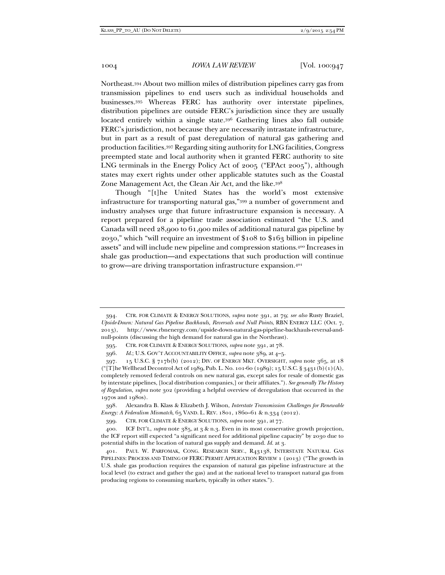Northeast.394 About two million miles of distribution pipelines carry gas from transmission pipelines to end users such as individual households and businesses.395 Whereas FERC has authority over interstate pipelines, distribution pipelines are outside FERC's jurisdiction since they are usually located entirely within a single state.396 Gathering lines also fall outside FERC's jurisdiction, not because they are necessarily intrastate infrastructure, but in part as a result of past deregulation of natural gas gathering and production facilities.397 Regarding siting authority for LNG facilities, Congress preempted state and local authority when it granted FERC authority to site LNG terminals in the Energy Policy Act of 2005 ("EPAct 2005"), although states may exert rights under other applicable statutes such as the Coastal Zone Management Act, the Clean Air Act, and the like.398

Though "[t]he United States has the world's most extensive infrastructure for transporting natural gas,"399 a number of government and industry analyses urge that future infrastructure expansion is necessary. A report prepared for a pipeline trade association estimated "the U.S. and Canada will need 28,900 to 61,900 miles of additional natural gas pipeline by 2030," which "will require an investment of \$108 to \$163 billion in pipeline assets" and will include new pipeline and compression stations.400 Increases in shale gas production—and expectations that such production will continue to grow—are driving transportation infrastructure expansion.401

 <sup>394.</sup> CTR. FOR CLIMATE & ENERGY SOLUTIONS, *supra* note 391, at 79; *see also* Rusty Braziel, *Upside-Down: Natural Gas Pipeline Backhauls, Reversals and Null Points*, RBN ENERGY LLC (Oct. 7, 2013), http://www.rbnenergy.com/upside-down-natural-gas-pipeline-backhauls-reversal-andnull-points (discussing the high demand for natural gas in the Northeast).

 <sup>395.</sup> CTR. FOR CLIMATE & ENERGY SOLUTIONS, *supra* note 391, at 78.

 <sup>396.</sup> *Id.*; U.S. GOV'T ACCOUNTABILITY OFFICE, *supra* note 389, at 4–5.

 <sup>397. 15</sup> U.S.C. § 717b(b) (2012); DIV. OF ENERGY MKT. OVERSIGHT, *supra* note 365, at 18 ("[T]he Wellhead Decontrol Act of 1989, Pub. L. No. 101-60 (1989); 15 U.S.C. § 3431(b)(1)(A), completely removed federal controls on new natural gas, except sales for resale of domestic gas by interstate pipelines, [local distribution companies,] or their affiliates."). *See generally The History of Regulation*, *supra* note 302 (providing a helpful overview of deregulation that occurred in the 1970s and 1980s).

 <sup>398.</sup> Alexandra B. Klass & Elizabeth J. Wilson, *Interstate Transmission Challenges for Renewable Energy: A Federalism Mismatch*, 65 VAND. L. REV. 1801, 1860–61 & n.334 (2012).

 <sup>399.</sup> CTR. FOR CLIMATE & ENERGY SOLUTIONS, *supra* note 391, at 77.

 <sup>400.</sup> ICF INT'L, *supra* note 385, at 3 & n.3. Even in its most conservative growth projection, the ICF report still expected "a significant need for additional pipeline capacity" by 2030 due to potential shifts in the location of natural gas supply and demand. *Id.* at 3.

 <sup>401.</sup> PAUL W. PARFOMAK, CONG. RESEARCH SERV., R43138, INTERSTATE NATURAL GAS PIPELINES: PROCESS AND TIMING OF FERC PERMIT APPLICATION REVIEW 1 (2013) ("The growth in U.S. shale gas production requires the expansion of natural gas pipeline infrastructure at the local level (to extract and gather the gas) and at the national level to transport natural gas from producing regions to consuming markets, typically in other states.").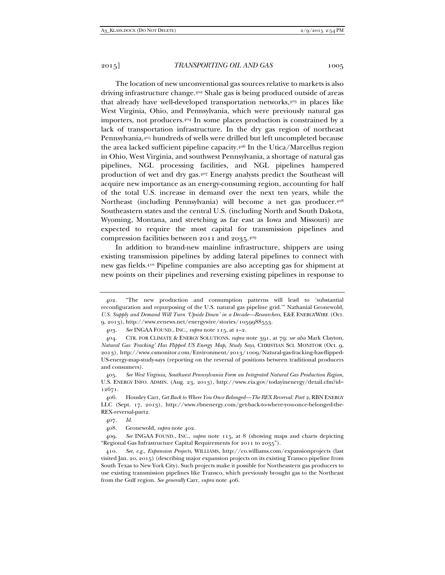The location of new unconventional gas sources relative to markets is also driving infrastructure change.402 Shale gas is being produced outside of areas that already have well-developed transportation networks,403 in places like West Virginia, Ohio, and Pennsylvania, which were previously natural gas importers, not producers.404 In some places production is constrained by a lack of transportation infrastructure. In the dry gas region of northeast Pennsylvania,405 hundreds of wells were drilled but left uncompleted because the area lacked sufficient pipeline capacity.406 In the Utica/Marcellus region in Ohio, West Virginia, and southwest Pennsylvania, a shortage of natural gas pipelines, NGL processing facilities, and NGL pipelines hampered production of wet and dry gas.407 Energy analysts predict the Southeast will acquire new importance as an energy-consuming region, accounting for half of the total U.S. increase in demand over the next ten years, while the Northeast (including Pennsylvania) will become a net gas producer.408 Southeastern states and the central U.S. (including North and South Dakota, Wyoming, Montana, and stretching as far east as Iowa and Missouri) are expected to require the most capital for transmission pipelines and compression facilities between 2011 and 2035.409

In addition to brand-new mainline infrastructure, shippers are using existing transmission pipelines by adding lateral pipelines to connect with new gas fields.410 Pipeline companies are also accepting gas for shipment at new points on their pipelines and reversing existing pipelines in response to

 <sup>402. &</sup>quot;The new production and consumption patterns will lead to 'substantial reconfiguration and repurposing of the U.S. natural gas pipeline grid.'" Nathanial Gronewold, *U.S. Supply and Demand Will Turn 'Upside Down' in a Decade—Researchers*, E&E ENERGYWIRE (Oct. 9, 2013), http://www.eenews.net/energywire/stories/1059988553.

 <sup>403.</sup> *See* INGAA FOUND., INC., *supra* note 115, at 1–2.

 <sup>404.</sup> CTR. FOR CLIMATE & ENERGY SOLUTIONS, *supra* note 391, at 79; *see also* Mark Clayton, *Natural Gas 'Fracking' Has Flipped US Energy Map, Study Says*, CHRISTIAN SCI. MONITOR (Oct. 9, 2013), http://www.csmonitor.com/Environment/2013/1009/Natural-gas-fracking-has-flipped-US-energy-map-study-says (reporting on the reversal of positions between traditional producers and consumers).

 <sup>405.</sup> *See West Virginia, Southwest Pennsylvania Form an Integrated Natural Gas Production Region*, U.S. ENERGY INFO. ADMIN. (Aug. 23, 2013), http://www.eia.gov/todayinenergy/detail.cfm?id= 12671.

 <sup>406.</sup> Housley Carr, *Get Back to Where You Once Belonged—The REX Reversal: Part 2*, RBN ENERGY LLC (Sept. 17, 2013), http://www.rbnenergy.com/get-back-to-where-you-once-belonged-the-REX-reversal-part2.

 <sup>407.</sup> *Id.* 

 <sup>408.</sup> Gronewold, *supra* note 402.

 <sup>409.</sup> *See* INGAA FOUND., INC., *supra* note 115, at 8 (showing maps and charts depicting "Regional Gas Infrastructure Capital Requirements for 2011 to 2035").

 <sup>410.</sup> *See, e.g.*, *Expansion Projects*, WILLIAMS, http://co.williams.com/expansionprojects (last visited Jan. 20, 2015) (describing major expansion projects on its existing Transco pipeline from South Texas to New York City). Such projects make it possible for Northeastern gas producers to use existing transmission pipelines like Transco, which previously brought gas to the Northeast from the Gulf region. *See generally* Carr, *supra* note 406.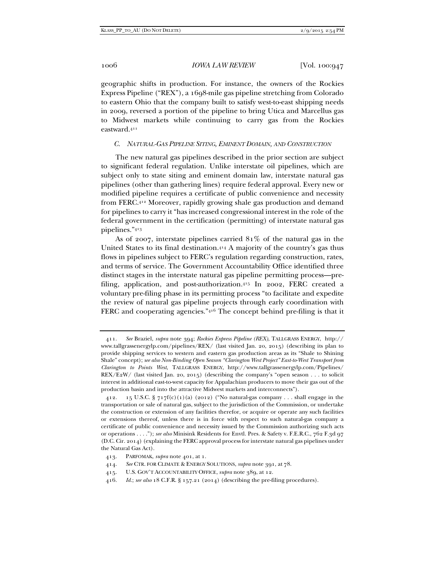geographic shifts in production. For instance, the owners of the Rockies Express Pipeline ("REX"), a 1698-mile gas pipeline stretching from Colorado to eastern Ohio that the company built to satisfy west-to-east shipping needs in 2009, reversed a portion of the pipeline to bring Utica and Marcellus gas to Midwest markets while continuing to carry gas from the Rockies eastward.411

#### *C. NATURAL-GAS PIPELINE SITING, EMINENT DOMAIN, AND CONSTRUCTION*

The new natural gas pipelines described in the prior section are subject to significant federal regulation. Unlike interstate oil pipelines, which are subject only to state siting and eminent domain law, interstate natural gas pipelines (other than gathering lines) require federal approval. Every new or modified pipeline requires a certificate of public convenience and necessity from FERC.412 Moreover, rapidly growing shale gas production and demand for pipelines to carry it "has increased congressional interest in the role of the federal government in the certification (permitting) of interstate natural gas pipelines."413

As of 2007, interstate pipelines carried 81% of the natural gas in the United States to its final destination.414 A majority of the country's gas thus flows in pipelines subject to FERC's regulation regarding construction, rates, and terms of service. The Government Accountability Office identified three distinct stages in the interstate natural gas pipeline permitting process—prefiling, application, and post-authorization.415 In 2002, FERC created a voluntary pre-filing phase in its permitting process "to facilitate and expedite the review of natural gas pipeline projects through early coordination with FERC and cooperating agencies."416 The concept behind pre-filing is that it

 <sup>411.</sup> *See* Braziel, *supra* note 394; *Rockies Express Pipeline (REX)*, TALLGRASS ENERGY, http:// www.tallgrassenergylp.com/pipelines/REX/ (last visited Jan. 20, 2015) (describing its plan to provide shipping services to western and eastern gas production areas as its "Shale to Shining Shale" concept); *see also Non-Binding Open Season "Clarington West Project" East-to-West Transport from Clarington to Points West*, TALLGRASS ENERGY, http://www.tallgrassenergylp.com/Pipelines/ REX/E2W/ (last visited Jan. 20, 2015) (describing the company's "open season . . . to solicit interest in additional east-to-west capacity for Appalachian producers to move their gas out of the production basin and into the attractive Midwest markets and interconnects").

<sup>412. 15</sup> U.S.C. §  $717f(c)(1)(a)$  (2012) ("No natural-gas company . . . shall engage in the transportation or sale of natural gas, subject to the jurisdiction of the Commission, or undertake the construction or extension of any facilities therefor, or acquire or operate any such facilities or extensions thereof, unless there is in force with respect to such natural-gas company a certificate of public convenience and necessity issued by the Commission authorizing such acts or operations . . . ."); *see also* Minisink Residents for Envtl. Pres. & Safety v. F.E.R.C., 762 F.3d 97 (D.C. Cir. 2014) (explaining the FERC approval process for interstate natural gas pipelines under the Natural Gas Act).

 <sup>413.</sup> PARFOMAK, *supra* note 401, at 1.

 <sup>414.</sup> *See* CTR. FOR CLIMATE & ENERGY SOLUTIONS, *supra* note 391, at 78.

 <sup>415.</sup> U.S. GOV'T ACCOUNTABILITY OFFICE, *supra* note 389, at 12.

 <sup>416.</sup> *Id.*; *see also* 18 C.F.R. § 157.21 (2014) (describing the pre-filing procedures).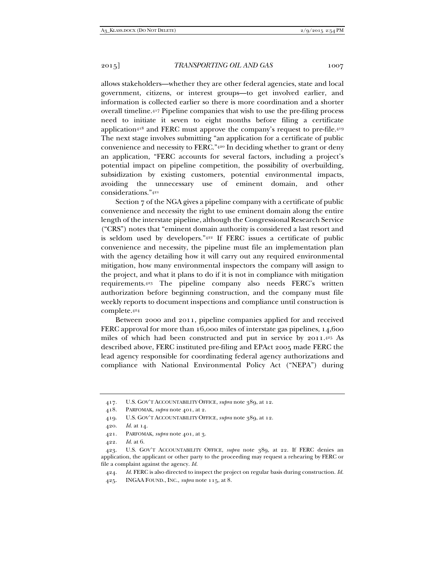allows stakeholders—whether they are other federal agencies, state and local government, citizens, or interest groups—to get involved earlier, and information is collected earlier so there is more coordination and a shorter overall timeline.417 Pipeline companies that wish to use the pre-filing process need to initiate it seven to eight months before filing a certificate application<sup>418</sup> and FERC must approve the company's request to pre-file.<sup>419</sup> The next stage involves submitting "an application for a certificate of public convenience and necessity to FERC."420 In deciding whether to grant or deny an application, "FERC accounts for several factors, including a project's potential impact on pipeline competition, the possibility of overbuilding, subsidization by existing customers, potential environmental impacts, avoiding the unnecessary use of eminent domain, and other considerations."421

Section 7 of the NGA gives a pipeline company with a certificate of public convenience and necessity the right to use eminent domain along the entire length of the interstate pipeline, although the Congressional Research Service ("CRS") notes that "eminent domain authority is considered a last resort and is seldom used by developers."422 If FERC issues a certificate of public convenience and necessity, the pipeline must file an implementation plan with the agency detailing how it will carry out any required environmental mitigation, how many environmental inspectors the company will assign to the project, and what it plans to do if it is not in compliance with mitigation requirements.423 The pipeline company also needs FERC's written authorization before beginning construction, and the company must file weekly reports to document inspections and compliance until construction is complete.424

Between 2000 and 2011, pipeline companies applied for and received FERC approval for more than 16,000 miles of interstate gas pipelines, 14,600 miles of which had been constructed and put in service by 2011.425 As described above, FERC instituted pre-filing and EPAct 2005 made FERC the lead agency responsible for coordinating federal agency authorizations and compliance with National Environmental Policy Act ("NEPA") during

 <sup>417.</sup> U.S. GOV'T ACCOUNTABILITY OFFICE, *supra* note 389, at 12.

 <sup>418.</sup> PARFOMAK, *supra* note 401, at 2.

 <sup>419.</sup> U.S. GOV'T ACCOUNTABILITY OFFICE, *supra* note 389, at 12.

 <sup>420.</sup> *Id.* at 14.

 <sup>421.</sup> PARFOMAK, *supra* note 401, at 3.

 <sup>422.</sup> *Id.* at 6.

 <sup>423.</sup> U.S. GOV'T ACCOUNTABILITY OFFICE, *supra* note 389, at 22. If FERC denies an application, the applicant or other party to the proceeding may request a rehearing by FERC or file a complaint against the agency. *Id.* 

 <sup>424.</sup> *Id.* FERC is also directed to inspect the project on regular basis during construction. *Id.* 

 <sup>425.</sup> INGAA FOUND., INC., *supra* note 115, at 8.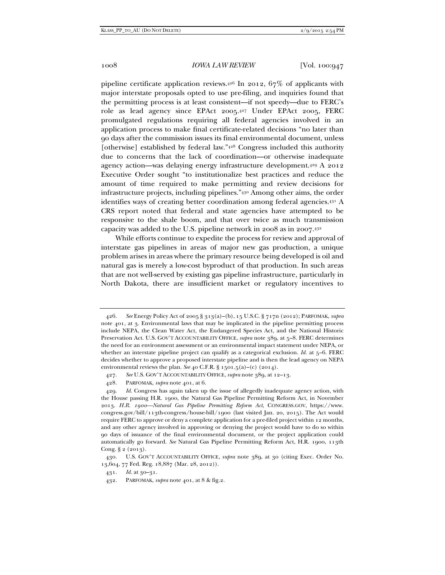pipeline certificate application reviews.<sup>426</sup> In 2012,  $67\%$  of applicants with major interstate proposals opted to use pre-filing, and inquiries found that the permitting process is at least consistent—if not speedy—due to FERC's role as lead agency since EPAct 2005.427 Under EPAct 2005, FERC promulgated regulations requiring all federal agencies involved in an application process to make final certificate-related decisions "no later than 90 days after the commission issues its final environmental document, unless [otherwise] established by federal law."428 Congress included this authority due to concerns that the lack of coordination—or otherwise inadequate agency action—was delaying energy infrastructure development.429 A 2012 Executive Order sought "to institutionalize best practices and reduce the amount of time required to make permitting and review decisions for infrastructure projects, including pipelines."430 Among other aims, the order identifies ways of creating better coordination among federal agencies.431 A CRS report noted that federal and state agencies have attempted to be responsive to the shale boom, and that over twice as much transmission capacity was added to the U.S. pipeline network in 2008 as in 2007. $43^2$ 

While efforts continue to expedite the process for review and approval of interstate gas pipelines in areas of major new gas production, a unique problem arises in areas where the primary resource being developed is oil and natural gas is merely a low-cost byproduct of that production. In such areas that are not well-served by existing gas pipeline infrastructure, particularly in North Dakota, there are insufficient market or regulatory incentives to

 <sup>426.</sup> *See* Energy Policy Act of 2005 § 313(a)–(b), 15 U.S.C. § 717n (2012); PARFOMAK, *supra*  note 401, at 3. Environmental laws that may be implicated in the pipeline permitting process include NEPA, the Clean Water Act, the Endangered Species Act, and the National Historic Preservation Act. U.S. GOV'T ACCOUNTABILITY OFFICE, *supra* note 389, at 5–8. FERC determines the need for an environment assessment or an environmental impact statement under NEPA, or whether an interstate pipeline project can qualify as a categorical exclusion.  $Id$  at  $5-6$ . FERC decides whether to approve a proposed interstate pipeline and is then the lead agency on NEPA environmental reviews the plan. *See* 40 C.F.R. § 1501.5(a)–(c) (2014).

 <sup>427.</sup> *See* U.S. GOV'T ACCOUNTABILITY OFFICE, *supra* note 389, at 12–13.

 <sup>428.</sup> PARFOMAK, *supra* note 401, at 6.

 <sup>429.</sup> *Id.* Congress has again taken up the issue of allegedly inadequate agency action, with the House passing H.R. 1900, the Natural Gas Pipeline Permitting Reform Act, in November 2013. *H.R. 1900—Natural Gas Pipeline Permitting Reform Act*, CONGRESS.GOV, https://www. congress.gov/bill/113th-congress/house-bill/1900 (last visited Jan. 20, 2015). The Act would require FERC to approve or deny a complete application for a pre-filed project within 12 months, and any other agency involved in approving or denying the project would have to do so within 90 days of issuance of the final environmental document, or the project application could automatically go forward. *See* Natural Gas Pipeline Permitting Reform Act, H.R. 1900, 113th Cong. § 2 (2013).

 <sup>430.</sup> U.S. GOV'T ACCOUNTABILITY OFFICE, *supra* note 389, at 30 (citing Exec. Order No. 13,604, 77 Fed. Reg. 18,887 (Mar. 28, 2012)).

 <sup>431.</sup> *Id.* at 30–31.

 <sup>432.</sup> PARFOMAK, *supra* note 401, at 8 & fig.2.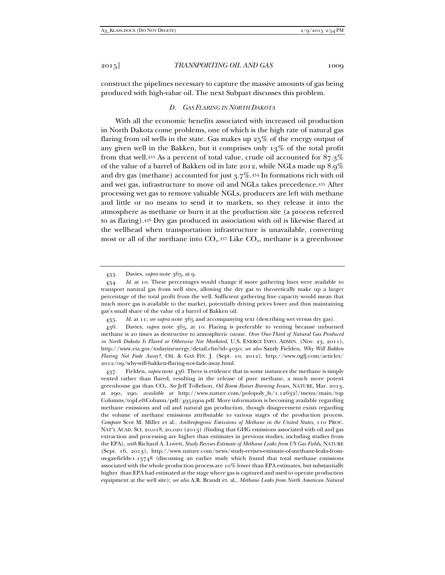construct the pipelines necessary to capture the massive amounts of gas being produced with high-value oil. The next Subpart discusses this problem.

#### *D. GAS FLARING IN NORTH DAKOTA*

With all the economic benefits associated with increased oil production in North Dakota come problems, one of which is the high rate of natural gas flaring from oil wells in the state. Gas makes up 25% of the energy output of any given well in the Bakken, but it comprises only 13% of the total profit from that well.<sup>433</sup> As a percent of total value, crude oil accounted for  $87.3\%$ of the value of a barrel of Bakken oil in late 2012, while NGLs made up 8.9% and dry gas (methane) accounted for just  $3.7\%$ .<sup>434</sup> In formations rich with oil and wet gas, infrastructure to move oil and NGLs takes precedence.435 After processing wet gas to remove valuable NGLs, producers are left with methane and little or no means to send it to markets, so they release it into the atmosphere as methane or burn it at the production site (a process referred to as flaring).436 Dry gas produced in association with oil is likewise flared at the wellhead when transportation infrastructure is unavailable, converting most or all of the methane into  $CO<sub>2</sub>$ .<sup>437</sup> Like  $CO<sub>2</sub>$ , methane is a greenhouse

435. *Id.* at 11; *see supra* note 365 and accompanying text (describing wet versus dry gas).

 <sup>433.</sup> Davies, *supra* note 365, at 9.

 <sup>434.</sup> *Id.* at 10. These percentages would change if more gathering lines were available to transport natural gas from well sites, allowing the dry gas to theoretically make up a larger percentage of the total profit from the well. Sufficient gathering line capacity would mean that much more gas is available to the market, potentially driving prices lower and thus maintaining gas's small share of the value of a barrel of Bakken oil.

 <sup>436.</sup> Davies, *supra* note 365, at 10. Flaring is preferable to venting because unburned methane is 20 times as destructive to atmospheric ozone. *Over One-Third of Natural Gas Produced in North Dakota Is Flared or Otherwise Not Marketed*, U.S. ENERGY INFO. ADMIN. (Nov. 23, 2011), http://www.eia.gov/todayinenergy/detail.cfm?id=4030; *see also* Sandy Fielden, *Why Will Bakken Flaring Not Fade Away?*, OIL & GAS FIN. J. (Sept. 10, 2012), http://www.ogfj.com/articles/ 2012/09/why-will-bakken-flaring-not-fade-away.html.

 <sup>437.</sup> Fielden, *supra* note 436. There is evidence that in some instances the methane is simply vented rather than flared, resulting in the release of pure methane, a much more potent greenhouse gas than CO2. *See* Jeff Tollefson, *Oil Boom Raises Burning Issues*, NATURE, Mar. 2013, at 290, 290, *available at* http://www.nature.com/polopoly\_fs/1.12632!/menu/main/top Columns/topLeftColumn/pdf/495290a.pdf. More information is becoming available regarding methane emissions and oil and natural gas production, though disagreement exists regarding the volume of methane emissions attributable to various stages of the production process. *Compare* Scot M. Miller et al., *Anthropogenic Emissions of Methane in the United States*, 110 PROC. NAT'L ACAD. SCI. 20,018, 20,020 (2013) (finding that GHG emissions associated with oil and gas extraction and processing are higher than estimates in previous studies, including studies from the EPA), *with* Richard A. Lovett, *Study Revises Estimate of Methane Leaks from US Gas Fields*, NATURE (Sept. 16, 2013), http://www.nature.com/news/study-revises-estimate-of-methane-leaks-fromus-gas-fields-1.13748 (discussing an earlier study which found that total methane emissions associated with the whole production process are  $10\%$  lower than EPA estimates, but substantially higher than EPA had estimated at the stage where gas is captured and used to operate production equipment at the well site); *see also* A.R. Brandt et. al., *Methane Leaks from North American Natural*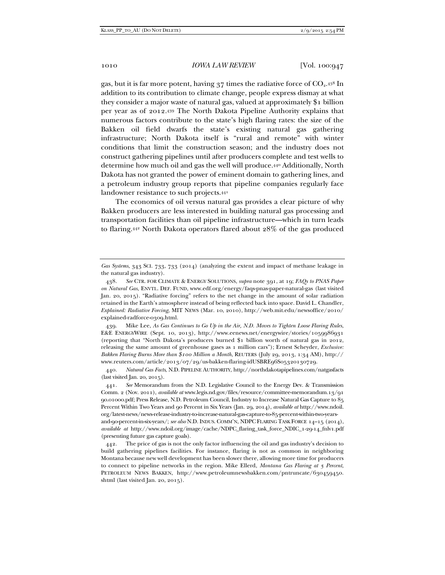gas, but it is far more potent, having  $37$  times the radiative force of  $CO<sub>2</sub>$ .  $438$  In addition to its contribution to climate change, people express dismay at what they consider a major waste of natural gas, valued at approximately \$1 billion per year as of 2012.439 The North Dakota Pipeline Authority explains that numerous factors contribute to the state's high flaring rates: the size of the Bakken oil field dwarfs the state's existing natural gas gathering infrastructure; North Dakota itself is "rural and remote" with winter conditions that limit the construction season; and the industry does not construct gathering pipelines until after producers complete and test wells to determine how much oil and gas the well will produce.440 Additionally, North Dakota has not granted the power of eminent domain to gathering lines, and a petroleum industry group reports that pipeline companies regularly face landowner resistance to such projects.441

The economics of oil versus natural gas provides a clear picture of why Bakken producers are less interested in building natural gas processing and transportation facilities than oil pipeline infrastructure—which in turn leads to flaring.442 North Dakota operators flared about 28% of the gas produced

 440. *Natural Gas Facts*, N.D. PIPELINE AUTHORITY, http://northdakotapipelines.com/natgasfacts (last visited Jan. 20, 2015).

 441. *See* Memorandum from the N.D. Legislative Council to the Energy Dev. & Transmission Comm. 2 (Nov. 2011), *available at* www.legis.nd.gov/files/resource/committee-memorandum.13/91 90.01000.pdf; Press Release, N.D. Petroleum Council, Industry to Increase Natural Gas Capture to 85 Percent Within Two Years and 90 Percent in Six Years (Jan. 29, 2014), *available at* http://www.ndoil. org/latest-news/news-release-industry-to-increase-natural-gas-capture-to-85-percent-within-two-yearsand-90-percent-in-six-years/; *see also* N.D. INDUS. COMM'N, NDPC FLARING TASK FORCE 14–15 (2014), *available at* http://www.ndoil.org/image/cache/NDPC\_flaring\_task\_force\_NDIC\_1-29-14\_fnlv1.pdf (presenting future gas capture goals).

 442. The price of gas is not the only factor influencing the oil and gas industry's decision to build gathering pipelines facilities. For instance, flaring is not as common in neighboring Montana because new well development has been slower there, allowing more time for producers to connect to pipeline networks in the region. Mike Ellerd, *Montana Gas Flaring at 5 Percent*, PETROLEUM NEWS BAKKEN, http://www.petroleumnewsbakken.com/pntruncate/630459450. shtml (last visited Jan. 20, 2015).

*Gas Systems*, 343 SCI. 733, 733 (2014) (analyzing the extent and impact of methane leakage in the natural gas industry).

 <sup>438.</sup> *See* CTR. FOR CLIMATE & ENERGY SOLUTIONS, *supra* note 391, at 19; *FAQs to PNAS Paper on Natural Gas*, ENVTL. DEF. FUND, www.edf.org/energy/faqs-pnas-paper-natural-gas (last visited Jan. 20, 2015). "Radiative forcing" refers to the net change in the amount of solar radiation retained in the Earth's atmosphere instead of being reflected back into space. David L. Chandler, *Explained: Radiative Forcing*, MIT NEWS (Mar. 10, 2010), http://web.mit.edu/newsoffice/2010/ explained-radforce-0309.html.

 <sup>439.</sup> Mike Lee, *As Gas Continues to Go Up in the Air, N.D. Moves to Tighten Loose Flaring Rules*, E&E ENERGYWIRE (Sept. 10, 2013), http://www.eenews.net/energywire/stories/1059986931 (reporting that "North Dakota's producers burned \$1 billion worth of natural gas in 2012, releasing the same amount of greenhouse gases as 1 million cars"); Ernest Scheyder, *Exclusive: Bakken Flaring Burns More than \$100 Million a Month*, REUTERS (July 29, 2013, 1:34 AM), http:// www.reuters.com/article/2013/07/29/us-bakken-flaring-idUSBRE96S05320130729.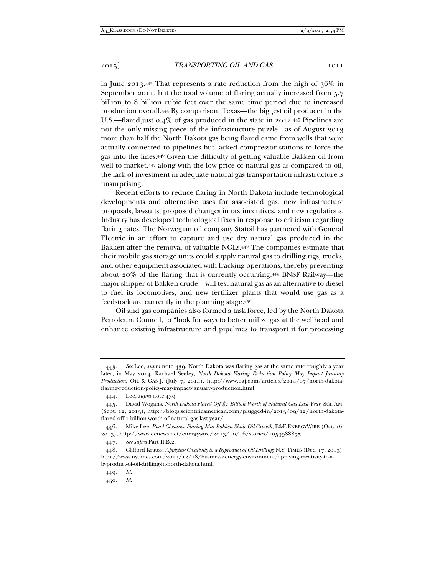in June 2013.443 That represents a rate reduction from the high of 36% in September 2011, but the total volume of flaring actually increased from 5.7 billion to 8 billion cubic feet over the same time period due to increased production overall.444 By comparison, Texas—the biggest oil producer in the U.S.—flared just 0.4% of gas produced in the state in 2012.445 Pipelines are not the only missing piece of the infrastructure puzzle—as of August 2013 more than half the North Dakota gas being flared came from wells that were actually connected to pipelines but lacked compressor stations to force the gas into the lines.446 Given the difficulty of getting valuable Bakken oil from well to market,447 along with the low price of natural gas as compared to oil, the lack of investment in adequate natural gas transportation infrastructure is unsurprising.

Recent efforts to reduce flaring in North Dakota include technological developments and alternative uses for associated gas, new infrastructure proposals, lawsuits, proposed changes in tax incentives, and new regulations. Industry has developed technological fixes in response to criticism regarding flaring rates. The Norwegian oil company Statoil has partnered with General Electric in an effort to capture and use dry natural gas produced in the Bakken after the removal of valuable NGLs.448 The companies estimate that their mobile gas storage units could supply natural gas to drilling rigs, trucks, and other equipment associated with fracking operations, thereby preventing about 20% of the flaring that is currently occurring.449 BNSF Railway—the major shipper of Bakken crude—will test natural gas as an alternative to diesel to fuel its locomotives, and new fertilizer plants that would use gas as a feedstock are currently in the planning stage.450

Oil and gas companies also formed a task force, led by the North Dakota Petroleum Council, to "look for ways to better utilize gas at the wellhead and enhance existing infrastructure and pipelines to transport it for processing

 <sup>443.</sup> *See* Lee*, supra* note 439. North Dakota was flaring gas at the same rate roughly a year later, in May 2014. Rachael Seeley, *North Dakota Flaring Reduction Policy May Impact January Production*, OIL & GAS J. (July 7, 2014), http://www.ogj.com/articles/2014/07/north-dakotaflaring-reduction-policy-may-impact-january-production.html.

 <sup>444.</sup> Lee, *supra* note 439.

 <sup>445.</sup> David Wogans, *North Dakota Flared Off \$1 Billion Worth of Natural Gas Last Year*, SCI. AM. (Sept. 12, 2013), http://blogs.scientificamerican.com/plugged-in/2013/09/12/north-dakotaflared-off-1-billion-worth-of-natural-gas-last-year/.

 <sup>446.</sup> Mike Lee, *Road Closures, Flaring Mar Bakken Shale Oil Growth*, E&E ENERGYWIRE (Oct. 16, 2013), http://www.eenews.net/energywire/2013/10/16/stories/1059988875.

 <sup>447.</sup> *See supra* Part II.B.2.

 <sup>448.</sup> Clifford Krauss, *Applying Creativity to a Byproduct of Oil Drilling*, N.Y. TIMES (Dec. 17, 2013), http://www.nytimes.com/2013/12/18/business/energy-environment/applying-creativity-to-abyproduct-of-oil-drilling-in-north-dakota.html.

 <sup>449.</sup> *Id.* 

 <sup>450.</sup> *Id.*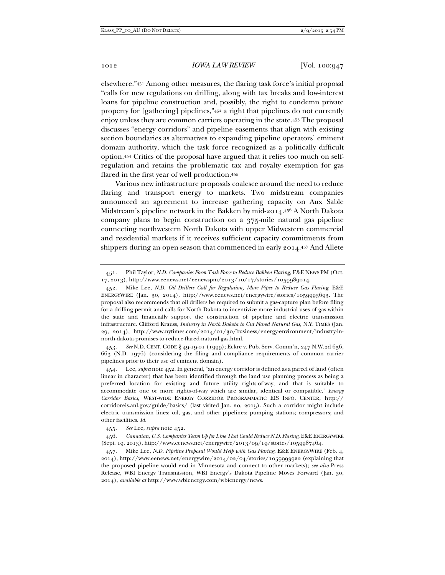elsewhere."451 Among other measures, the flaring task force's initial proposal "calls for new regulations on drilling, along with tax breaks and low-interest loans for pipeline construction and, possibly, the right to condemn private property for [gathering] pipelines,"452 a right that pipelines do not currently enjoy unless they are common carriers operating in the state.453 The proposal discusses "energy corridors" and pipeline easements that align with existing section boundaries as alternatives to expanding pipeline operators' eminent domain authority, which the task force recognized as a politically difficult option.454 Critics of the proposal have argued that it relies too much on selfregulation and retains the problematic tax and royalty exemption for gas flared in the first year of well production.455

Various new infrastructure proposals coalesce around the need to reduce flaring and transport energy to markets. Two midstream companies announced an agreement to increase gathering capacity on Aux Sable Midstream's pipeline network in the Bakken by mid-2014.456 A North Dakota company plans to begin construction on a 375-mile natural gas pipeline connecting northwestern North Dakota with upper Midwestern commercial and residential markets if it receives sufficient capacity commitments from shippers during an open season that commenced in early 2014.457 And Allete

 453. *See* N.D. CENT. CODE § 49-19-01 (1999); Eckre v. Pub. Serv. Comm'n, 247 N.W.2d 656, 663 (N.D. 1976) (considering the filing and compliance requirements of common carrier pipelines prior to their use of eminent domain).

 454. Lee, *supra* note 452. In general, "an energy corridor is defined as a parcel of land (often linear in character) that has been identified through the land use planning process as being a preferred location for existing and future utility rights-of-way, and that is suitable to accommodate one or more rights-of-way which are similar, identical or compatible." *Energy Corridor Basics*, WEST-WIDE ENERGY CORRIDOR PROGRAMMATIC EIS INFO. CENTER, http:// corridoreis.anl.gov/guide/basics/ (last visited Jan. 20, 2015). Such a corridor might include electric transmission lines; oil, gas, and other pipelines; pumping stations; compressors; and other facilities. *Id.*

456. Canadian, U.S. Companies Team Up for Line That Could Reduce N.D. Flaring, E&E ENERGYWIRE (Sept. 19, 2013), http://www.eenews.net/energywire/2013/09/19/stories/1059987464.

 457. Mike Lee, *N.D. Pipeline Proposal Would Help with Gas Flaring*, E&E ENERGYWIRE (Feb. 4, 2014), http://www.eenews.net/energywire/2014/02/04/stories/1059993922 (explaining that the proposed pipeline would end in Minnesota and connect to other markets); *see also* Press Release, WBI Energy Transmission, WBI Energy's Dakota Pipeline Moves Forward (Jan. 30, 2014), *available at* http://www.wbienergy.com/wbienergy/news.

 <sup>451.</sup> Phil Taylor, *N.D. Companies Form Task Force to Reduce Bakken Flaring*, E&E NEWS PM (Oct. 17, 2013), http://www.eenews.net/eenewspm/2013/10/17/stories/1059989014.

 <sup>452.</sup> Mike Lee, *N.D. Oil Drillers Call for Regulation, More Pipes to Reduce Gas Flaring*, E&E ENERGYWIRE (Jan. 30, 2014), http://www.eenews.net/energywire/stories/1059993693. The proposal also recommends that oil drillers be required to submit a gas-capture plan before filing for a drilling permit and calls for North Dakota to incentivize more industrial uses of gas within the state and financially support the construction of pipeline and electric transmission infrastructure. Clifford Krauss, *Industry in North Dakota to Cut Flared Natural Gas*, N.Y. TIMES (Jan. 29, 2014), http://www.nytimes.com/2014/01/30/business/energy-environment/industry-innorth-dakota-promises-to-reduce-flared-natural-gas.html.

 <sup>455.</sup> *See* Lee, *supra* note 452.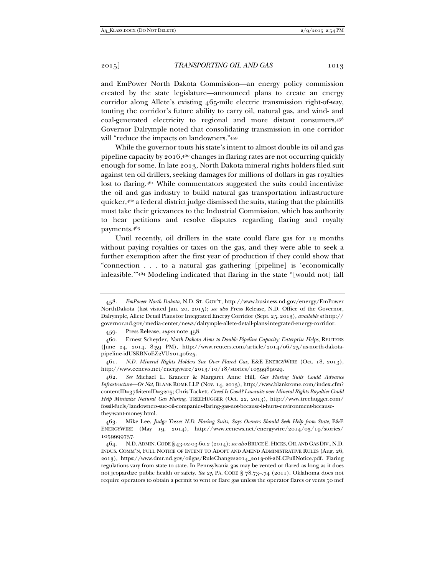and EmPower North Dakota Commission—an energy policy commission created by the state legislature—announced plans to create an energy corridor along Allete's existing 465-mile electric transmission right-of-way, touting the corridor's future ability to carry oil, natural gas, and wind- and coal-generated electricity to regional and more distant consumers.458 Governor Dalrymple noted that consolidating transmission in one corridor will "reduce the impacts on landowners."459

While the governor touts his state's intent to almost double its oil and gas pipeline capacity by 2016,460 changes in flaring rates are not occurring quickly enough for some. In late 2013, North Dakota mineral rights holders filed suit against ten oil drillers, seeking damages for millions of dollars in gas royalties lost to flaring.461 While commentators suggested the suits could incentivize the oil and gas industry to build natural gas transportation infrastructure quicker,  $4^{62}$  a federal district judge dismissed the suits, stating that the plaintiffs must take their grievances to the Industrial Commission, which has authority to hear petitions and resolve disputes regarding flaring and royalty payments.463

Until recently, oil drillers in the state could flare gas for 12 months without paying royalties or taxes on the gas, and they were able to seek a further exemption after the first year of production if they could show that "connection . . . to a natural gas gathering [pipeline] is 'economically infeasible.'"464 Modeling indicated that flaring in the state "[would not] fall

 461. *N.D. Mineral Rights Holders Sue Over Flared Gas*, E&E ENERGYWIRE (Oct. 18, 2013), http://www.eenews.net/energywire/2013/10/18/stories/1059989029.

 462. *See* Michael L. Krancer & Margaret Anne Hill, *Gas Flaring Suits Could Advance Infrastructure—Or Not*, BLANK ROME LLP (Nov. 14, 2013), http://www.blankrome.com/index.cfm? contentID=37&itemID=3205; Chris Tackett, *Greed Is Good? Lawsuits over Mineral Rights Royalties Could Help Minimize Natural Gas Flaring*, TREEHUGGER (Oct. 22, 2013), http://www.treehugger.com/ fossil-fuels/landowners-sue-oil-companies-flaring-gas-not-because-it-hurts-environment-becausethey-want-money.html.

 463. Mike Lee, *Judge Tosses N.D. Flaring Suits, Says Owners Should Seek Help from State*, E&E ENERGYWIRE (May 19, 2014), http://www.eenews.net/energywire/2014/05/19/stories/ 1059999737.

 464. N.D.ADMIN.CODE § 43-02-03-60.2 (2014); *see also* BRUCE E. HICKS, OIL AND GAS DIV.,N.D. INDUS. COMM'N, FULL NOTICE OF INTENT TO ADOPT AND AMEND ADMINISTRATIVE RULES (Aug. 26, 2013), https://www.dmr.nd.gov/oilgas/RuleChanges2014\_2013-08-26LCFullNotice.pdf. Flaring regulations vary from state to state. In Pennsylvania gas may be vented or flared as long as it does not jeopardize public health or safety. *See* 25 PA. CODE § 78.73–.74 (2011). Oklahoma does not require operators to obtain a permit to vent or flare gas unless the operator flares or vents 50 mcf

 <sup>458.</sup> *EmPower North Dakota*, N.D. ST. GOV'T, http://www.business.nd.gov/energy/EmPower NorthDakota (last visited Jan. 20, 2015); *see also* Press Release, N.D. Office of the Governor, Dalrymple, Allete Detail Plans for Integrated Energy Corridor (Sept. 25. 2013), *available at* http:// governor.nd.gov/media-center/news/dalrymple-allete-detail-plans-integrated-energy-corridor.

 <sup>459.</sup> Press Release, *supra* note 458.

 <sup>460.</sup> Ernest Scheyder, *North Dakota Aims to Double Pipeline Capacity; Enterprise Helps*, REUTERS (June 24, 2014, 8:59 PM), http://www.reuters.com/article/2014/06/25/us-north-dakotapipeline-idUSKBN0EZ2VU20140625.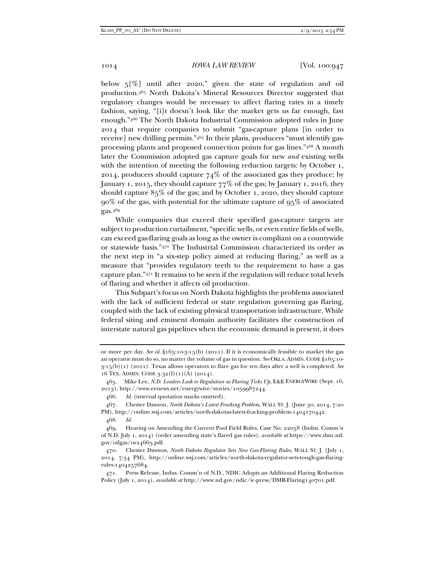below 5[%] until after 2020," given the state of regulation and oil production.465 North Dakota's Mineral Resources Director suggested that regulatory changes would be necessary to affect flaring rates in a timely fashion, saying, "[i]t doesn't look like the market gets us far enough, fast enough."466 The North Dakota Industrial Commission adopted rules in June 2014 that require companies to submit "gas-capture plans [in order to receive] new drilling permits."467 In their plans, producers "must identify gasprocessing plants and proposed connection points for gas lines."468 A month later the Commission adopted gas capture goals for new *and* existing wells with the intention of meeting the following reduction targets: by October 1, 2014, producers should capture  $74\%$  of the associated gas they produce; by January 1, 2015, they should capture 77% of the gas; by January 1, 2016, they should capture 85% of the gas; and by October 1, 2020, they should capture  $90\%$  of the gas, with potential for the ultimate capture of  $95\%$  of associated gas.469

While companies that exceed their specified gas-capture targets are subject to production curtailment, "specific wells, or even entire fields of wells, can exceed gas-flaring goals as long as the owner is compliant on a countywide or statewide basis."470 The Industrial Commission characterized its order as the next step in "a six-step policy aimed at reducing flaring," as well as a measure that "provides regulatory teeth to the requirement to have a gas capture plan."471 It remains to be seen if the regulation will reduce total levels of flaring and whether it affects oil production.

This Subpart's focus on North Dakota highlights the problems associated with the lack of sufficient federal or state regulation governing gas flaring, coupled with the lack of existing physical transportation infrastructure. While federal siting and eminent domain authority facilitates the construction of interstate natural gas pipelines when the economic demand is present, it does

or more per day. *See id.* §165:10-3-15(b) (2011). If it is economically feasible to market the gas an operator must do so, no matter the volume of gas in question. *See* OKLA. ADMIN. CODE §165:10- 3-15(b)(1) (2011). Texas allows operators to flare gas for ten days after a well is completed. *See*  16 TEX. ADMIN. CODE 3.32(f)(1)(A) (2014).

 <sup>465.</sup> Mike Lee, *N.D. Leaders Look to Regulation as Flaring Ticks Up*, E&E ENERGYWIRE (Sept. 16, 2013), http://www.eenews.net/energywire/stories/1059987244.

 <sup>466.</sup> *Id.* (internal quotation marks omitted).

 <sup>467.</sup> Chester Dawson, *North Dakota's Latest Fracking Problem*, WALL ST. J. (June 30, 2014, 7:20 PM), http://online.wsj.com/articles/north-dakotas-latest-fracking-problem-1404170442.

 <sup>468.</sup> *Id.* 

 <sup>469.</sup> Hearing on Amending the Current Pool Field Rules, Case No. 22058 (Indus. Comm'n of N.D. July 1, 2014) (order amending state's flared gas rules), *available at* https://www.dmr.nd. gov/oilgas/or24665.pdf.

 <sup>470.</sup> Chester Dawson, *North Dakota Regulator Sets New Gas-Flaring Rules*, WALL ST. J. (July 1, 2014, 7:34 PM), http://online.wsj.com/articles/north-dakota-regulator-sets-tough-gas-flaringrules-1404257684.

 <sup>471.</sup> Press Release, Indus. Comm'n of N.D., NDIC Adopts an Additional Flaring Reduction Policy (July 1, 2014), *available at* http://www.nd.gov/ndic/ic-press/DMR-Flaring140701.pdf.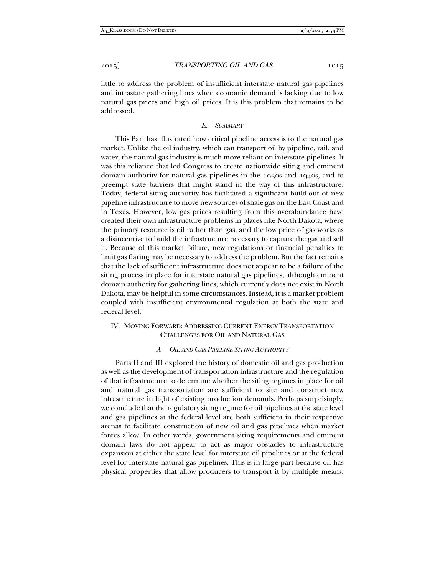little to address the problem of insufficient interstate natural gas pipelines and intrastate gathering lines when economic demand is lacking due to low natural gas prices and high oil prices. It is this problem that remains to be addressed.

## *E. SUMMARY*

This Part has illustrated how critical pipeline access is to the natural gas market. Unlike the oil industry, which can transport oil by pipeline, rail, and water, the natural gas industry is much more reliant on interstate pipelines. It was this reliance that led Congress to create nationwide siting and eminent domain authority for natural gas pipelines in the 1930s and 1940s, and to preempt state barriers that might stand in the way of this infrastructure. Today, federal siting authority has facilitated a significant build-out of new pipeline infrastructure to move new sources of shale gas on the East Coast and in Texas. However, low gas prices resulting from this overabundance have created their own infrastructure problems in places like North Dakota, where the primary resource is oil rather than gas, and the low price of gas works as a disincentive to build the infrastructure necessary to capture the gas and sell it. Because of this market failure, new regulations or financial penalties to limit gas flaring may be necessary to address the problem. But the fact remains that the lack of sufficient infrastructure does not appear to be a failure of the siting process in place for interstate natural gas pipelines, although eminent domain authority for gathering lines, which currently does not exist in North Dakota, may be helpful in some circumstances. Instead, it is a market problem coupled with insufficient environmental regulation at both the state and federal level.

## IV. MOVING FORWARD: ADDRESSING CURRENT ENERGY TRANSPORTATION CHALLENGES FOR OIL AND NATURAL GAS

#### *A. OIL AND GAS PIPELINE SITING AUTHORITY*

Parts II and III explored the history of domestic oil and gas production as well as the development of transportation infrastructure and the regulation of that infrastructure to determine whether the siting regimes in place for oil and natural gas transportation are sufficient to site and construct new infrastructure in light of existing production demands. Perhaps surprisingly, we conclude that the regulatory siting regime for oil pipelines at the state level and gas pipelines at the federal level are both sufficient in their respective arenas to facilitate construction of new oil and gas pipelines when market forces allow. In other words, government siting requirements and eminent domain laws do not appear to act as major obstacles to infrastructure expansion at either the state level for interstate oil pipelines or at the federal level for interstate natural gas pipelines. This is in large part because oil has physical properties that allow producers to transport it by multiple means: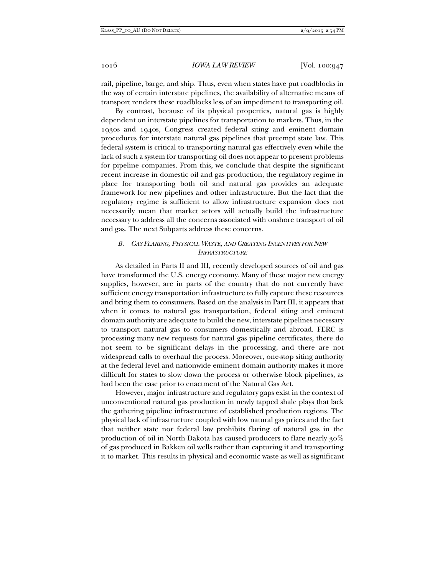rail, pipeline, barge, and ship. Thus, even when states have put roadblocks in the way of certain interstate pipelines, the availability of alternative means of transport renders these roadblocks less of an impediment to transporting oil.

By contrast, because of its physical properties, natural gas is highly dependent on interstate pipelines for transportation to markets. Thus, in the 1930s and 1940s, Congress created federal siting and eminent domain procedures for interstate natural gas pipelines that preempt state law. This federal system is critical to transporting natural gas effectively even while the lack of such a system for transporting oil does not appear to present problems for pipeline companies. From this, we conclude that despite the significant recent increase in domestic oil and gas production, the regulatory regime in place for transporting both oil and natural gas provides an adequate framework for new pipelines and other infrastructure. But the fact that the regulatory regime is sufficient to allow infrastructure expansion does not necessarily mean that market actors will actually build the infrastructure necessary to address all the concerns associated with onshore transport of oil and gas. The next Subparts address these concerns.

# *B. GAS FLARING, PHYSICAL WASTE, AND CREATING INCENTIVES FOR NEW INFRASTRUCTURE*

As detailed in Parts II and III, recently developed sources of oil and gas have transformed the U.S. energy economy. Many of these major new energy supplies, however, are in parts of the country that do not currently have sufficient energy transportation infrastructure to fully capture these resources and bring them to consumers. Based on the analysis in Part III, it appears that when it comes to natural gas transportation, federal siting and eminent domain authority are adequate to build the new, interstate pipelines necessary to transport natural gas to consumers domestically and abroad. FERC is processing many new requests for natural gas pipeline certificates, there do not seem to be significant delays in the processing, and there are not widespread calls to overhaul the process. Moreover, one-stop siting authority at the federal level and nationwide eminent domain authority makes it more difficult for states to slow down the process or otherwise block pipelines, as had been the case prior to enactment of the Natural Gas Act.

However, major infrastructure and regulatory gaps exist in the context of unconventional natural gas production in newly tapped shale plays that lack the gathering pipeline infrastructure of established production regions. The physical lack of infrastructure coupled with low natural gas prices and the fact that neither state nor federal law prohibits flaring of natural gas in the production of oil in North Dakota has caused producers to flare nearly  $30\%$ of gas produced in Bakken oil wells rather than capturing it and transporting it to market. This results in physical and economic waste as well as significant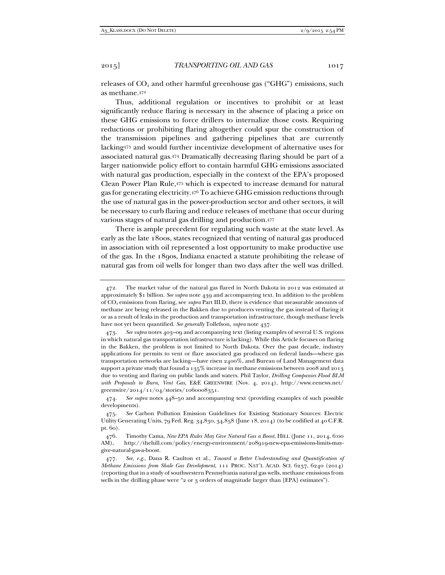releases of  $CO<sub>2</sub>$  and other harmful greenhouse gas ("GHG") emissions, such as methane.472

Thus, additional regulation or incentives to prohibit or at least significantly reduce flaring is necessary in the absence of placing a price on these GHG emissions to force drillers to internalize those costs. Requiring reductions or prohibiting flaring altogether could spur the construction of the transmission pipelines and gathering pipelines that are currently lacking473 and would further incentivize development of alternative uses for associated natural gas.474 Dramatically decreasing flaring should be part of a larger nationwide policy effort to contain harmful GHG emissions associated with natural gas production, especially in the context of the EPA's proposed Clean Power Plan Rule,475 which is expected to increase demand for natural gas for generating electricity.476 To achieve GHG emission reductions through the use of natural gas in the power-production sector and other sectors, it will be necessary to curb flaring and reduce releases of methane that occur during various stages of natural gas drilling and production.477

There is ample precedent for regulating such waste at the state level. As early as the late 1800s, states recognized that venting of natural gas produced in association with oil represented a lost opportunity to make productive use of the gas. In the 1890s, Indiana enacted a statute prohibiting the release of natural gas from oil wells for longer than two days after the well was drilled.

 <sup>472.</sup> The market value of the natural gas flared in North Dakota in 2012 was estimated at approximately \$1 billion. *See supra* note 439 and accompanying text. In addition to the problem of CO2 emissions from flaring, see *supra* Part III.D, there is evidence that measurable amounts of methane are being released in the Bakken due to producers venting the gas instead of flaring it or as a result of leaks in the production and transportation infrastructure, though methane levels have not yet been quantified. *See generally* Tollefson, *supra* note 437.

 <sup>473.</sup> *See supra* notes 403–09 and accompanying text (listing examples of several U.S. regions in which natural gas transportation infrastructure is lacking). While this Article focuses on flaring in the Bakken, the problem is not limited to North Dakota. Over the past decade, industry applications for permits to vent or flare associated gas produced on federal lands—where gas transportation networks are lacking—have risen 2400%, and Bureau of Land Management data support a private study that found a 135% increase in methane emissions between 2008 and 2013 due to venting and flaring on public lands and waters. Phil Taylor, *Drilling Companies Flood BLM with Proposals to Burn, Vent Gas*, E&E GREENWIRE (Nov. 4, 2014), http://www.eenews.net/ greenwire/2014/11/04/stories/1060008351.

 <sup>474.</sup> *See supra* notes 448–50 and accompanying text (providing examples of such possible developments).

 <sup>475.</sup> *See* Carbon Pollution Emission Guidelines for Existing Stationary Sources: Electric Utility Generating Units, 79 Fed. Reg. 34,830, 34,858 (June 18, 2014) (to be codified at 40 C.F.R. pt. 60).

 <sup>476.</sup> Timothy Cama, *New EPA Rules May Give Natural Gas a Boost*, HILL (June 11, 2014, 6:00 AM), http://thehill.com/policy/energy-environment/208919-new-epa-emissions-limits-maygive-natural-gas-a-boost.

 <sup>477.</sup> *See, e.g.*, Dana R. Caulton et al., *Toward a Better Understanding and Quantification of Methane Emissions from Shale Gas Development*, 111 PROC. NAT'L ACAD. SCI. 6237, 6240 (2014) (reporting that in a study of southwestern Pennsylvania natural gas wells, methane emissions from wells in the drilling phase were "2 or 3 orders of magnitude larger than [EPA] estimates").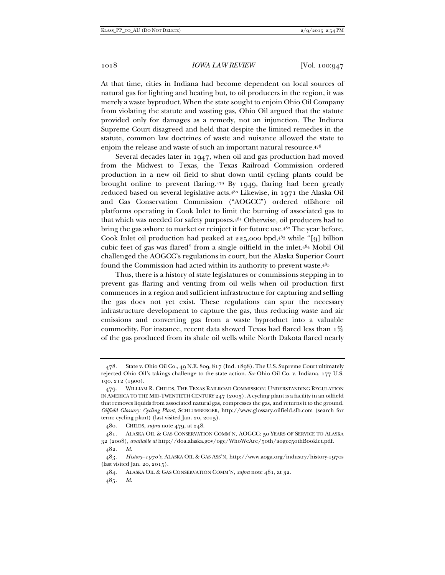At that time, cities in Indiana had become dependent on local sources of natural gas for lighting and heating but, to oil producers in the region, it was merely a waste byproduct. When the state sought to enjoin Ohio Oil Company from violating the statute and wasting gas, Ohio Oil argued that the statute provided only for damages as a remedy, not an injunction. The Indiana Supreme Court disagreed and held that despite the limited remedies in the statute, common law doctrines of waste and nuisance allowed the state to enjoin the release and waste of such an important natural resource.478

Several decades later in 1947, when oil and gas production had moved from the Midwest to Texas, the Texas Railroad Commission ordered production in a new oil field to shut down until cycling plants could be brought online to prevent flaring.479 By 1949, flaring had been greatly reduced based on several legislative acts.480 Likewise, in 1971 the Alaska Oil and Gas Conservation Commission ("AOGCC") ordered offshore oil platforms operating in Cook Inlet to limit the burning of associated gas to that which was needed for safety purposes.481 Otherwise, oil producers had to bring the gas ashore to market or reinject it for future use.<sup>482</sup> The year before, Cook Inlet oil production had peaked at 225,000 bpd,483 while "[9] billion cubic feet of gas was flared" from a single oilfield in the inlet.484 Mobil Oil challenged the AOGCC's regulations in court, but the Alaska Superior Court found the Commission had acted within its authority to prevent waste.485

Thus, there is a history of state legislatures or commissions stepping in to prevent gas flaring and venting from oil wells when oil production first commences in a region and sufficient infrastructure for capturing and selling the gas does not yet exist. These regulations can spur the necessary infrastructure development to capture the gas, thus reducing waste and air emissions and converting gas from a waste byproduct into a valuable commodity. For instance, recent data showed Texas had flared less than 1% of the gas produced from its shale oil wells while North Dakota flared nearly

 <sup>478.</sup> State v. Ohio Oil Co., 49 N.E. 809, 817 (Ind. 1898). The U.S. Supreme Court ultimately rejected Ohio Oil's takings challenge to the state action. *See* Ohio Oil Co. v. Indiana, 177 U.S. 190, 212 (1900).

 <sup>479.</sup> WILLIAM R. CHILDS, THE TEXAS RAILROAD COMMISSION: UNDERSTANDING REGULATION IN AMERICA TO THE MID-TWENTIETH CENTURY 247 (2005). A cycling plant is a facility in an oilfield that removes liquids from associated natural gas, compresses the gas, and returns it to the ground. *Oilfield Glossary: Cycling Plant*, SCHLUMBERGER, http://www.glossary.oilfield.slb.com (search for term: cycling plant) (last visited Jan. 20, 2015).

 <sup>480.</sup> CHILDS, *supra* note 479, at 248.

 <sup>481.</sup> ALASKA OIL & GAS CONSERVATION COMM'N, AOGCC: 50 YEARS OF SERVICE TO ALASKA 32 (2008), *available at* http://doa.alaska.gov/ogc/WhoWeAre/50th/aogcc50thBooklet.pdf.

 <sup>482.</sup> *Id.* 

 <sup>483.</sup> *History–1970's*, ALASKA OIL & GAS ASS'N, http://www.aoga.org/industry/history-1970s (last visited Jan. 20, 2015).

 <sup>484.</sup> ALASKA OIL & GAS CONSERVATION COMM'N, *supra* note 481, at 32.

 <sup>485.</sup> *Id.*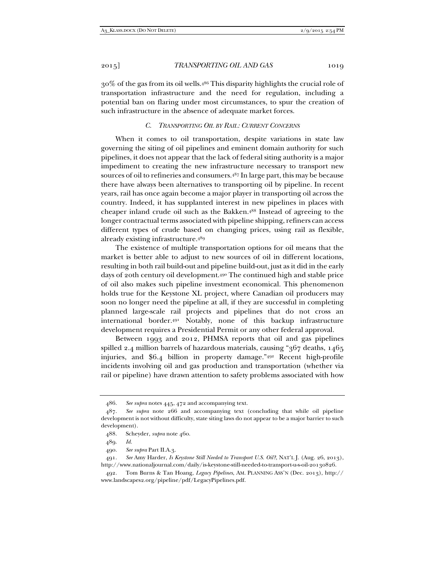30% of the gas from its oil wells.486 This disparity highlights the crucial role of transportation infrastructure and the need for regulation, including a potential ban on flaring under most circumstances, to spur the creation of such infrastructure in the absence of adequate market forces.

# *C. TRANSPORTING OIL BY RAIL: CURRENT CONCERNS*

When it comes to oil transportation, despite variations in state law governing the siting of oil pipelines and eminent domain authority for such pipelines, it does not appear that the lack of federal siting authority is a major impediment to creating the new infrastructure necessary to transport new sources of oil to refineries and consumers.487 In large part, this may be because there have always been alternatives to transporting oil by pipeline. In recent years, rail has once again become a major player in transporting oil across the country. Indeed, it has supplanted interest in new pipelines in places with cheaper inland crude oil such as the Bakken.488 Instead of agreeing to the longer contractual terms associated with pipeline shipping, refiners can access different types of crude based on changing prices, using rail as flexible, already existing infrastructure.489

The existence of multiple transportation options for oil means that the market is better able to adjust to new sources of oil in different locations, resulting in both rail build-out and pipeline build-out, just as it did in the early days of 20th century oil development.490 The continued high and stable price of oil also makes such pipeline investment economical. This phenomenon holds true for the Keystone XL project, where Canadian oil producers may soon no longer need the pipeline at all, if they are successful in completing planned large-scale rail projects and pipelines that do not cross an international border.491 Notably, none of this backup infrastructure development requires a Presidential Permit or any other federal approval.

Between 1993 and 2012, PHMSA reports that oil and gas pipelines spilled 2.4 million barrels of hazardous materials, causing "367 deaths, 1465 injuries, and \$6.4 billion in property damage."492 Recent high-profile incidents involving oil and gas production and transportation (whether via rail or pipeline) have drawn attention to safety problems associated with how

 <sup>486.</sup> *See supra* notes 445, 472 and accompanying text.

 <sup>487.</sup> *See supra* note 266 and accompanying text (concluding that while oil pipeline development is not without difficulty, state siting laws do not appear to be a major barrier to such development).

 <sup>488.</sup> Scheyder, *supra* note 460.

 <sup>489.</sup> *Id.* 

 <sup>490.</sup> *See supra* Part II.A.3.

 <sup>491.</sup> *See* Amy Harder, *Is Keystone Still Needed to Transport U.S. Oil?*, NAT'L J. (Aug. 26, 2013), http://www.nationaljournal.com/daily/is-keystone-still-needed-to-transport-u-s-oil-20130826.

 <sup>492.</sup> Tom Burns & Tan Hoang, *Legacy Pipelines*, AM. PLANNING ASS'N (Dec. 2013), http:// www.landscapes2.org/pipeline/pdf/LegacyPipelines.pdf.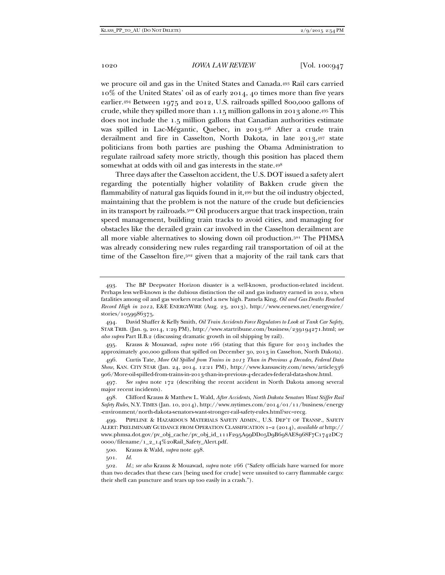we procure oil and gas in the United States and Canada.493 Rail cars carried 10% of the United States' oil as of early 2014, 40 times more than five years earlier.494 Between 1975 and 2012, U.S. railroads spilled 800,000 gallons of crude, while they spilled more than 1.15 million gallons in 2013 alone.495 This does not include the 1.5 million gallons that Canadian authorities estimate was spilled in Lac-Mégantic, Quebec, in 2013.496 After a crude train derailment and fire in Casselton, North Dakota, in late 2013,497 state politicians from both parties are pushing the Obama Administration to regulate railroad safety more strictly, though this position has placed them somewhat at odds with oil and gas interests in the state.498

Three days after the Casselton accident, the U.S. DOT issued a safety alert regarding the potentially higher volatility of Bakken crude given the flammability of natural gas liquids found in it,499 but the oil industry objected, maintaining that the problem is not the nature of the crude but deficiencies in its transport by railroads.500 Oil producers argue that track inspection, train speed management, building train tracks to avoid cities, and managing for obstacles like the derailed grain car involved in the Casselton derailment are all more viable alternatives to slowing down oil production.501 The PHMSA was already considering new rules regarding rail transportation of oil at the time of the Casselton fire,<sup>502</sup> given that a majority of the rail tank cars that

 496. Curtis Tate, *More Oil Spilled from Trains in 2013 Than in Previous 4 Decades, Federal Data Show*, KAN. CITY STAR (Jan. 24, 2014, 12:21 PM), http://www.kansascity.com/news/article336 906/More-oil-spilled-from-trains-in-2013-than-in-previous-4-decades-federal-data-show.html.

 497. *See supra* note 172 (describing the recent accident in North Dakota among several major recent incidents).

 498. Clifford Krauss & Matthew L. Wald, *After Accidents, North Dakota Senators Want Stiffer Rail Safety Rules*, N.Y. TIMES (Jan. 10, 2014), http://www.nytimes.com/2014/01/11/business/energy -environment/north-dakota-senators-want-stronger-rail-safety-rules.html?src=recg.

 499. PIPELINE & HAZARDOUS MATERIALS SAFETY ADMIN., U.S. DEP'T OF TRANSP., SAFETY ALERT: PRELIMINARY GUIDANCE FROM OPERATION CLASSIFICATION 1–2 (2014), *available at* http:// www.phmsa.dot.gov/pv\_obj\_cache/pv\_obj\_id\_111F295A99DD05D9B698AE8968F7C1742DC7 0000/filename/1\_2\_14%20Rail\_Safety\_Alert.pdf.

500. Krauss & Wald, *supra* note 498.

501. *Id.* 

 502. *Id.*; *see also* Krauss & Mouawad, *supra* note 166 ("Safety officials have warned for more than two decades that these cars [being used for crude] were unsuited to carry flammable cargo: their shell can puncture and tears up too easily in a crash.").

 <sup>493.</sup> The BP Deepwater Horizon disaster is a well-known, production-related incident. Perhaps less well-known is the dubious distinction the oil and gas industry earned in 2012, when fatalities among oil and gas workers reached a new high. Pamela King, *Oil and Gas Deaths Reached Record High in 2012*, E&E ENERGYWIRE (Aug. 23, 2013), http://www.eenews.net/energywire/ stories/1059986375.

 <sup>494.</sup> David Shaffer & Kelly Smith, *Oil Train Accidents Force Regulators to Look at Tank Car Safety*, STAR TRIB. (Jan. 9, 2014, 1:29 PM), http://www.startribune.com/business/239194271.html; *see also supra* Part II.B.2 (discussing dramatic growth in oil shipping by rail).

 <sup>495.</sup> Krauss & Mouawad, *supra* note 166 (stating that this figure for 2013 includes the approximately 400,000 gallons that spilled on December 30, 2013 in Casselton, North Dakota).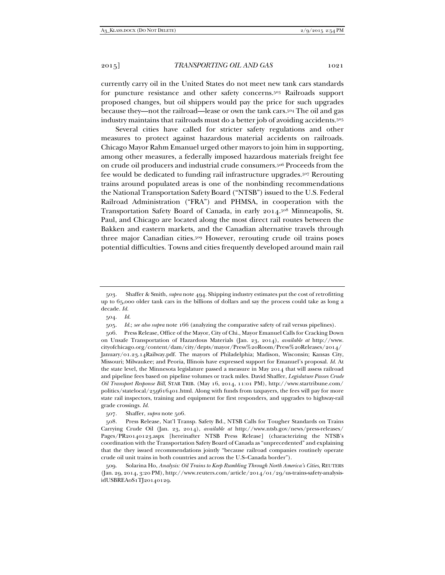currently carry oil in the United States do not meet new tank cars standards for puncture resistance and other safety concerns.<sup>503</sup> Railroads support proposed changes, but oil shippers would pay the price for such upgrades because they—not the railroad—lease or own the tank cars.504 The oil and gas industry maintains that railroads must do a better job of avoiding accidents.505

Several cities have called for stricter safety regulations and other measures to protect against hazardous material accidents on railroads. Chicago Mayor Rahm Emanuel urged other mayors to join him in supporting, among other measures, a federally imposed hazardous materials freight fee on crude oil producers and industrial crude consumers.506 Proceeds from the fee would be dedicated to funding rail infrastructure upgrades.507 Rerouting trains around populated areas is one of the nonbinding recommendations the National Transportation Safety Board ("NTSB") issued to the U.S. Federal Railroad Administration ("FRA") and PHMSA, in cooperation with the Transportation Safety Board of Canada, in early 2014.508 Minneapolis, St. Paul, and Chicago are located along the most direct rail routes between the Bakken and eastern markets, and the Canadian alternative travels through three major Canadian cities.509 However, rerouting crude oil trains poses potential difficulties. Towns and cities frequently developed around main rail

507. Shaffer, *supra* note 506*.* 

 <sup>503.</sup> Shaffer & Smith, *supra* note 494. Shipping industry estimates put the cost of retrofitting up to 65,000 older tank cars in the billions of dollars and say the process could take as long a decade. *Id.* 

 <sup>504.</sup> *Id.* 

 <sup>505.</sup> *Id.*; *see also supra* note 166 (analyzing the comparative safety of rail versus pipelines).

 <sup>506.</sup> Press Release, Office of the Mayor, City of Chi., Mayor Emanuel Calls for Cracking Down on Unsafe Transportation of Hazardous Materials (Jan. 23, 2014), *available at* http://www. cityofchicago.org/content/dam/city/depts/mayor/Press%20Room/Press%20Releases/2014/ January/01.23.14Railway.pdf. The mayors of Philadelphia; Madison, Wisconsin; Kansas City, Missouri; Milwaukee; and Peoria, Illinois have expressed support for Emanuel's proposal. *Id.* At the state level, the Minnesota legislature passed a measure in May 2014 that will assess railroad and pipeline fees based on pipeline volumes or track miles. David Shaffer, *Legislature Passes Crude Oil Transport Response Bill*, STAR TRIB. (May 16, 2014, 11:01 PM), http://www.startribune.com/ politics/statelocal/259616401.html. Along with funds from taxpayers, the fees will pay for more state rail inspectors, training and equipment for first responders, and upgrades to highway-rail grade crossings. *Id.*

 <sup>508.</sup> Press Release, Nat'l Transp. Safety Bd., NTSB Calls for Tougher Standards on Trains Carrying Crude Oil (Jan. 23, 2014), *available at* http://www.ntsb.gov/news/press-releases/ Pages/PR20140123.aspx [hereinafter NTSB Press Release] (characterizing the NTSB's coordination with the Transportation Safety Board of Canada as "unprecedented" and explaining that the they issued recommendations jointly "because railroad companies routinely operate crude oil unit trains in both countries and across the U.S–Canada border").

 <sup>509.</sup> Solarina Ho, *Analysis: Oil Trains to Keep Rumbling Through North America's Cities*, REUTERS (Jan. 29, 2014, 3:20 PM), http://www.reuters.com/article/2014/01/29/us-trains-safety-analysisidUSBREA0S1TJ20140129.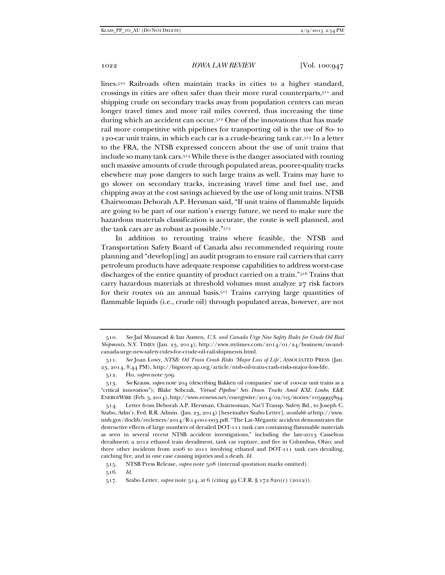lines.510 Railroads often maintain tracks in cities to a higher standard, crossings in cities are often safer than their more rural counterparts,511 and shipping crude on secondary tracks away from population centers can mean longer travel times and more rail miles covered, thus increasing the time during which an accident can occur.512 One of the innovations that has made rail more competitive with pipelines for transporting oil is the use of 80- to 120-car unit trains, in which each car is a crude-bearing tank car.513 In a letter to the FRA, the NTSB expressed concern about the use of unit trains that include so many tank cars.514 While there is the danger associated with routing such massive amounts of crude through populated areas, poorer-quality tracks elsewhere may pose dangers to such large trains as well. Trains may have to go slower on secondary tracks, increasing travel time and fuel use, and chipping away at the cost savings achieved by the use of long unit trains. NTSB Chairwoman Deborah A.P. Hersman said, "If unit trains of flammable liquids are going to be part of our nation's energy future, we need to make sure the hazardous materials classification is accurate, the route is well planned, and the tank cars are as robust as possible."515

In addition to rerouting trains where feasible, the NTSB and Transportation Safety Board of Canada also recommended requiring route planning and "develop[ing] an audit program to ensure rail carriers that carry petroleum products have adequate response capabilities to address worst-case discharges of the entire quantity of product carried on a train."516 Trains that carry hazardous materials at threshold volumes must analyze 27 risk factors for their routes on an annual basis.517 Trains carrying large quantities of flammable liquids (i.e., crude oil) through populated areas, however, are not

 <sup>510.</sup> *See* Jad Mouawad & Ian Austen, *U.S. and Canada Urge New Safety Rules for Crude Oil Rail Shipments*, N.Y. TIMES (Jan. 23, 2014), http://www.nytimes.com/2014/01/24/business/us-andcanada-urge-new-safety-rules-for-crude-oil-rail-shipments.html.

 <sup>511.</sup> *See* Joan Lowy, *NTSB: Oil Train Crash Risks 'Major Loss of Life'*, ASSOCIATED PRESS (Jan. 23, 2014, 8:44 PM), http://bigstory.ap.org/article/ntsb-oil-train-crash-risks-major-loss-life.

 <sup>512.</sup> Ho, *supra* note 509.

 <sup>513.</sup> *See* Krauss, *supra* note 204 (describing Bakken oil companies' use of 100-car unit trains as a "critical innovation"); Blake Sobczak, *'Virtual Pipeline' Sets Down Tracks Amid KXL Limbo*, E&E ENERGYWIRE (Feb. 3, 2014), http://www.eenews.net/energywire/2014/02/03/stories/1059993894.

 <sup>514.</sup> Letter from Deborah A.P. Hersman, Chairwoman, Nat'l Transp. Safety Bd., to Joseph C. Szabo, Adm'r, Fed. R.R. Admin. (Jan. 23, 2014) [hereinafter Szabo Letter], *available at* http://www. ntsb.gov/doclib/recletters/2014/R-14-001-003.pdf. "The Lac-Mégantic accident demonstrates the destructive effects of large numbers of derailed DOT-111 tank cars containing flammable materials as seen in several recent NTSB accident investigations," including the late-2013 Casselton derailment; a 2012 ethanol train derailment, tank car rupture, and fire in Columbus, Ohio; and three other incidents from 2006 to 2011 involving ethanol and DOT-111 tank cars derailing, catching fire, and in one case causing injuries and a death. *Id.* 

 <sup>515.</sup> NTSB Press Release, *supra* note 508 (internal quotation marks omitted).

 <sup>516.</sup> *Id.* 

 <sup>517.</sup> Szabo Letter, *supra* note 514, at 6 (citing 49 C.F.R. § 172.820(c) (2012)).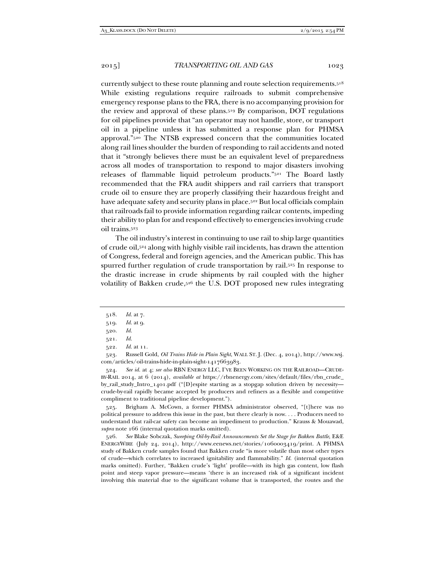currently subject to these route planning and route selection requirements.518 While existing regulations require railroads to submit comprehensive emergency response plans to the FRA, there is no accompanying provision for the review and approval of these plans.519 By comparison, DOT regulations for oil pipelines provide that "an operator may not handle, store, or transport oil in a pipeline unless it has submitted a response plan for PHMSA approval."520 The NTSB expressed concern that the communities located along rail lines shoulder the burden of responding to rail accidents and noted that it "strongly believes there must be an equivalent level of preparedness across all modes of transportation to respond to major disasters involving releases of flammable liquid petroleum products."521 The Board lastly recommended that the FRA audit shippers and rail carriers that transport crude oil to ensure they are properly classifying their hazardous freight and have adequate safety and security plans in place.<sup>522</sup> But local officials complain that railroads fail to provide information regarding railcar contents, impeding their ability to plan for and respond effectively to emergencies involving crude oil trains.523

The oil industry's interest in continuing to use rail to ship large quantities of crude oil,524 along with highly visible rail incidents, has drawn the attention of Congress, federal and foreign agencies, and the American public. This has spurred further regulation of crude transportation by rail.525 In response to the drastic increase in crude shipments by rail coupled with the higher volatility of Bakken crude,526 the U.S. DOT proposed new rules integrating

 523. Russell Gold, *Oil Trains Hide in Plain Sight*, WALL ST. J. (Dec. 4, 2014), http://www.wsj. com/articles/oil-trains-hide-in-plain-sight-1417663983.

 524. *See id.* at 4; *see also* RBN ENERGY LLC, I'VE BEEN WORKING ON THE RAILROAD—CRUDE-BY-RAIL 2014, at 6 (2014), *available at* https://rbnenergy.com/sites/default/files/rbn\_crude\_ by\_rail\_study\_Intro\_1401.pdf ("[D]espite starting as a stopgap solution driven by necessity crude-by-rail rapidly became accepted by producers and refiners as a flexible and competitive compliment to traditional pipeline development.").

 525. Brigham A. McCown, a former PHMSA administrator observed, "[t]here was no political pressure to address this issue in the past, but there clearly is now. . . . Producers need to understand that rail-car safety can become an impediment to production." Krauss & Mouawad, *supra* note 166 (internal quotation marks omitted).

 526. *See* Blake Sobczak, *Sweeping Oil-by-Rail Announcements Set the Stage for Bakken Battle*, E&E ENERGYWIRE (July 24, 2014), http://www.eenews.net/stories/1060003419/print. A PHMSA study of Bakken crude samples found that Bakken crude "is more volatile than most other types of crude—which correlates to increased ignitability and flammability." *Id.* (internal quotation marks omitted). Further, "Bakken crude's 'light' profile—with its high gas content, low flash point and steep vapor pressure—means 'there is an increased risk of a significant incident involving this material due to the significant volume that is transported, the routes and the

 <sup>518.</sup> *Id.* at 7.

 <sup>519.</sup> *Id.* at 9.

 <sup>520.</sup> *Id.* 

 <sup>521.</sup> *Id.* 

 <sup>522.</sup> *Id.* at 11.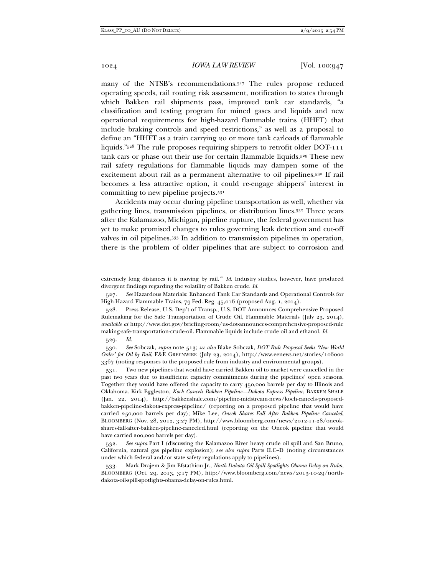many of the NTSB's recommendations.<sup>527</sup> The rules propose reduced operating speeds, rail routing risk assessment, notification to states through which Bakken rail shipments pass, improved tank car standards, "a classification and testing program for mined gases and liquids and new operational requirements for high-hazard flammable trains (HHFT) that include braking controls and speed restrictions," as well as a proposal to define an "HHFT as a train carrying 20 or more tank carloads of flammable liquids."528 The rule proposes requiring shippers to retrofit older DOT-111 tank cars or phase out their use for certain flammable liquids.529 These new rail safety regulations for flammable liquids may dampen some of the excitement about rail as a permanent alternative to oil pipelines.<sup>530</sup> If rail becomes a less attractive option, it could re-engage shippers' interest in committing to new pipeline projects.531

Accidents may occur during pipeline transportation as well, whether via gathering lines, transmission pipelines, or distribution lines.532 Three years after the Kalamazoo, Michigan, pipeline rupture, the federal government has yet to make promised changes to rules governing leak detection and cut-off valves in oil pipelines.533 In addition to transmission pipelines in operation, there is the problem of older pipelines that are subject to corrosion and

 530. *See* Sobczak, *supra* note 513; *see also* Blake Sobczak, *DOT Rule Proposal Seeks 'New World Order' for Oil by Rail*, E&E GREENWIRE (July 23, 2014), http://www.eenews.net/stories/106000 3367 (noting responses to the proposed rule from industry and environmental groups).

 531. Two new pipelines that would have carried Bakken oil to market were cancelled in the past two years due to insufficient capacity commitments during the pipelines' open seasons. Together they would have offered the capacity to carry 450,000 barrels per day to Illinois and Oklahoma. Kirk Eggleston, *Koch Cancels Bakken Pipeline—Dakota Express Pipeline*, BAKKEN SHALE (Jan. 22, 2014), http://bakkenshale.com/pipeline-midstream-news/koch-cancels-proposedbakken-pipeline-dakota-express-pipeline/ (reporting on a proposed pipeline that would have carried 250,000 barrels per day); Mike Lee, *Oneok Shares Fall After Bakken Pipeline Canceled*, BLOOMBERG (Nov. 28, 2012, 3:27 PM), http://www.bloomberg.com/news/2012-11-28/oneokshares-fall-after-bakken-pipeline-canceled.html (reporting on the Oneok pipeline that would have carried 200,000 barrels per day).

 532. *See supra* Part I (discussing the Kalamazoo River heavy crude oil spill and San Bruno, California, natural gas pipeline explosion); s*ee also supra* Parts II.C–D (noting circumstances under which federal and/or state safety regulations apply to pipelines).

 533. Mark Drajem & Jim Efstathiou Jr., *North Dakota Oil Spill Spotlights Obama Delay on Rule*s, BLOOMBERG (Oct. 29, 2013, 3:17 PM), http://www.bloomberg.com/news/2013-10-29/northdakota-oil-spill-spotlights-obama-delay-on-rules.html.

extremely long distances it is moving by rail.'" *Id.* Industry studies, however, have produced divergent findings regarding the volatility of Bakken crude. *Id.* 

 <sup>527.</sup> *See* Hazardous Materials: Enhanced Tank Car Standards and Operational Controls for High-Hazard Flammable Trains, 79 Fed. Reg. 45,016 (proposed Aug. 1, 2014).

 <sup>528.</sup> Press Release, U.S. Dep't of Transp., U.S. DOT Announces Comprehensive Proposed Rulemaking for the Safe Transportation of Crude Oil, Flammable Materials (July 23, 2014), *available at* http://www.dot.gov/briefing-room/us-dot-announces-comprehensive-proposed-rule making-safe-transportation-crude-oil. Flammable liquids include crude oil and ethanol. *Id.* 

 <sup>529.</sup> *Id.*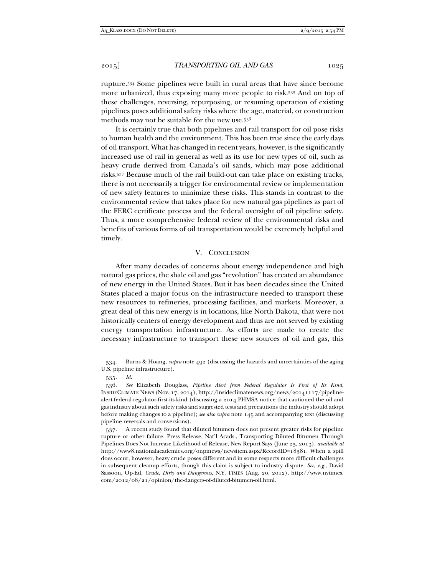rupture.534 Some pipelines were built in rural areas that have since become more urbanized, thus exposing many more people to risk.535 And on top of these challenges, reversing, repurposing, or resuming operation of existing pipelines poses additional safety risks where the age, material, or construction methods may not be suitable for the new use.536

It is certainly true that both pipelines and rail transport for oil pose risks to human health and the environment. This has been true since the early days of oil transport. What has changed in recent years, however, is the significantly increased use of rail in general as well as its use for new types of oil, such as heavy crude derived from Canada's oil sands, which may pose additional risks.537 Because much of the rail build-out can take place on existing tracks, there is not necessarily a trigger for environmental review or implementation of new safety features to minimize these risks. This stands in contrast to the environmental review that takes place for new natural gas pipelines as part of the FERC certificate process and the federal oversight of oil pipeline safety. Thus, a more comprehensive federal review of the environmental risks and benefits of various forms of oil transportation would be extremely helpful and timely.

### V. CONCLUSION

After many decades of concerns about energy independence and high natural gas prices, the shale oil and gas "revolution" has created an abundance of new energy in the United States. But it has been decades since the United States placed a major focus on the infrastructure needed to transport these new resources to refineries, processing facilities, and markets. Moreover, a great deal of this new energy is in locations, like North Dakota, that were not historically centers of energy development and thus are not served by existing energy transportation infrastructure. As efforts are made to create the necessary infrastructure to transport these new sources of oil and gas, this

 <sup>534.</sup> Burns & Hoang, *supra* note 492 (discussing the hazards and uncertainties of the aging U.S. pipeline infrastructure).

 <sup>535.</sup> *Id.* 

 <sup>536.</sup> *See* Elizabeth Douglass, *Pipeline Alert from Federal Regulator Is First of Its Kind*, INSIDECLIMATE NEWS (Nov. 17, 2014), http://insideclimatenews.org/news/20141117/pipelinealert-federal-regulator-first-its-kind (discussing a 2014 PHMSA notice that cautioned the oil and gas industry about such safety risks and suggested tests and precautions the industry should adopt before making changes to a pipeline); *see also supra* note 145 and accompanying text (discussing pipeline reversals and conversions).

 <sup>537.</sup> A recent study found that diluted bitumen does not present greater risks for pipeline rupture or other failure. Press Release, Nat'l Acads., Transporting Diluted Bitumen Through Pipelines Does Not Increase Likelihood of Release, New Report Says (June 25, 2013), *available at* http://www8.nationalacademies.org/onpinews/newsitem.aspx?RecordID=18381. When a spill does occur, however, heavy crude poses different and in some respects more difficult challenges in subsequent cleanup efforts, though this claim is subject to industry dispute. *See, e.g.*, David Sassoon, Op-Ed, *Crude, Dirty and Dangerous*, N.Y. TIMES (Aug. 20, 2012), http://www.nytimes. com/2012/08/21/opinion/the-dangers-of-diluted-bitumen-oil.html.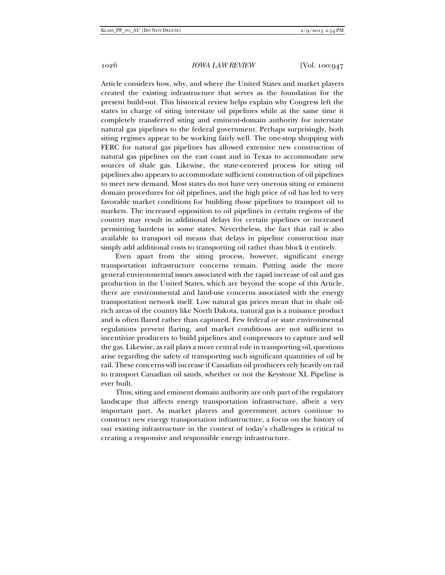Article considers how, why, and where the United States and market players created the existing infrastructure that serves as the foundation for the present build-out. This historical review helps explain why Congress left the states in charge of siting interstate oil pipelines while at the same time it completely transferred siting and eminent-domain authority for interstate natural gas pipelines to the federal government. Perhaps surprisingly, both siting regimes appear to be working fairly well. The one-stop shopping with FERC for natural gas pipelines has allowed extensive new construction of natural gas pipelines on the east coast and in Texas to accommodate new sources of shale gas. Likewise, the state-centered process for siting oil pipelines also appears to accommodate sufficient construction of oil pipelines to meet new demand. Most states do not have very onerous siting or eminent domain procedures for oil pipelines, and the high price of oil has led to very favorable market conditions for building those pipelines to transport oil to markets. The increased opposition to oil pipelines in certain regions of the country may result in additional delays for certain pipelines or increased permitting burdens in some states. Nevertheless, the fact that rail is also available to transport oil means that delays in pipeline construction may simply add additional costs to transporting oil rather than block it entirely.

Even apart from the siting process, however, significant energy transportation infrastructure concerns remain. Putting aside the more general environmental issues associated with the rapid increase of oil and gas production in the United States, which are beyond the scope of this Article, there are environmental and land-use concerns associated with the energy transportation network itself. Low natural gas prices mean that in shale oilrich areas of the country like North Dakota, natural gas is a nuisance product and is often flared rather than captured. Few federal or state environmental regulations prevent flaring, and market conditions are not sufficient to incentivize producers to build pipelines and compressors to capture and sell the gas. Likewise, as rail plays a more central role in transporting oil, questions arise regarding the safety of transporting such significant quantities of oil by rail. These concerns will increase if Canadian oil producers rely heavily on rail to transport Canadian oil sands, whether or not the Keystone XL Pipeline is ever built.

Thus, siting and eminent domain authority are only part of the regulatory landscape that affects energy transportation infrastructure, albeit a very important part. As market players and government actors continue to construct new energy transportation infrastructure, a focus on the history of our existing infrastructure in the context of today's challenges is critical to creating a responsive and responsible energy infrastructure.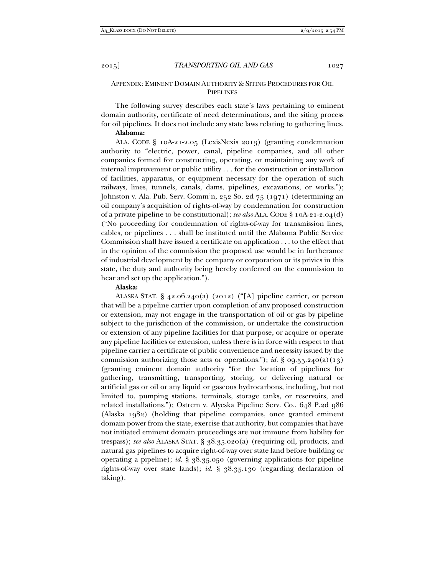# APPENDIX: EMINENT DOMAIN AUTHORITY & SITING PROCEDURES FOR OIL **PIPELINES**

The following survey describes each state's laws pertaining to eminent domain authority, certificate of need determinations, and the siting process for oil pipelines. It does not include any state laws relating to gathering lines.

# **Alabama:**

ALA. CODE § 10A-21-2.05 (LexisNexis 2013) (granting condemnation authority to "electric, power, canal, pipeline companies, and all other companies formed for constructing, operating, or maintaining any work of internal improvement or public utility . . . for the construction or installation of facilities, apparatus, or equipment necessary for the operation of such railways, lines, tunnels, canals, dams, pipelines, excavations, or works."); Johnston v. Ala. Pub. Serv. Comm'n, 252 So. 2d 75 (1971) (determining an oil company's acquisition of rights-of-way by condemnation for construction of a private pipeline to be constitutional); *see also* ALA. CODE § 10A-21-2.04(d) ("No proceeding for condemnation of rights-of-way for transmission lines, cables, or pipelines . . . shall be instituted until the Alabama Public Service Commission shall have issued a certificate on application . . . to the effect that in the opinion of the commission the proposed use would be in furtherance of industrial development by the company or corporation or its privies in this state, the duty and authority being hereby conferred on the commission to hear and set up the application.").

#### **Alaska:**

ALASKA STAT.  $\S$  42.06.240(a) (2012) ("[A] pipeline carrier, or person that will be a pipeline carrier upon completion of any proposed construction or extension, may not engage in the transportation of oil or gas by pipeline subject to the jurisdiction of the commission, or undertake the construction or extension of any pipeline facilities for that purpose, or acquire or operate any pipeline facilities or extension, unless there is in force with respect to that pipeline carrier a certificate of public convenience and necessity issued by the commission authorizing those acts or operations."); *id.* § 09.55.240(a)(13) (granting eminent domain authority "for the location of pipelines for gathering, transmitting, transporting, storing, or delivering natural or artificial gas or oil or any liquid or gaseous hydrocarbons, including, but not limited to, pumping stations, terminals, storage tanks, or reservoirs, and related installations."); Ostrem v. Alyeska Pipeline Serv. Co., 648 P.2d 986 (Alaska 1982) (holding that pipeline companies, once granted eminent domain power from the state, exercise that authority, but companies that have not initiated eminent domain proceedings are not immune from liability for trespass); *see also* ALASKA STAT. § 38.35.020(a) (requiring oil, products, and natural gas pipelines to acquire right-of-way over state land before building or operating a pipeline); *id.* § 38.35.050 (governing applications for pipeline rights-of-way over state lands); *id.* § 38.35.130 (regarding declaration of taking).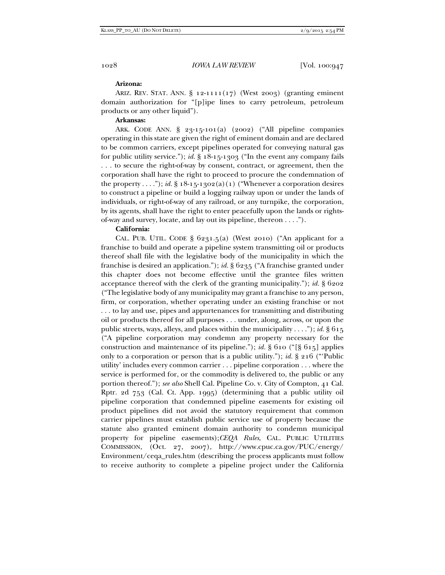# **Arizona:**

ARIZ. REV. STAT. ANN. § 12-1111(17) (West 2003) (granting eminent domain authorization for "[p]ipe lines to carry petroleum, petroleum products or any other liquid").

# **Arkansas:**

ARK. CODE ANN. § 23-15-101(a) (2002) ("All pipeline companies operating in this state are given the right of eminent domain and are declared to be common carriers, except pipelines operated for conveying natural gas for public utility service."); *id.* § 18-15-1303 ("In the event any company fails . . . to secure the right-of-way by consent, contract, or agreement, then the corporation shall have the right to proceed to procure the condemnation of the property . . . ."); *id.* § 18-15-1302(a)(1) ("Whenever a corporation desires to construct a pipeline or build a logging railway upon or under the lands of individuals, or right-of-way of any railroad, or any turnpike, the corporation, by its agents, shall have the right to enter peacefully upon the lands or rightsof-way and survey, locate, and lay out its pipeline, thereon . . . .").

# **California:**

CAL. PUB. UTIL. CODE  $\S$  6231.5(a) (West 2010) ("An applicant for a franchise to build and operate a pipeline system transmitting oil or products thereof shall file with the legislative body of the municipality in which the franchise is desired an application."); *id.* § 6235 ("A franchise granted under this chapter does not become effective until the grantee files written acceptance thereof with the clerk of the granting municipality."); *id.* § 6202 ("The legislative body of any municipality may grant a franchise to any person, firm, or corporation, whether operating under an existing franchise or not . . . to lay and use, pipes and appurtenances for transmitting and distributing oil or products thereof for all purposes . . . under, along, across, or upon the public streets, ways, alleys, and places within the municipality . . . ."); *id.*  $\S 615$ ("A pipeline corporation may condemn any property necessary for the construction and maintenance of its pipeline."); *id.*  $\S$  610 (" $\S$  615] applies only to a corporation or person that is a public utility."); *id.* § 216 ("'Public utility' includes every common carrier . . . pipeline corporation . . . where the service is performed for, or the commodity is delivered to, the public or any portion thereof."); *see also* Shell Cal. Pipeline Co. v. City of Compton, 41 Cal. Rptr. 2d 753 (Cal. Ct. App. 1995) (determining that a public utility oil pipeline corporation that condemned pipeline easements for existing oil product pipelines did not avoid the statutory requirement that common carrier pipelines must establish public service use of property because the statute also granted eminent domain authority to condemn municipal property for pipeline easements);*CEQA Rules*, CAL. PUBLIC UTILITIES COMMISSION, (Oct. 27, 2007), http://www.cpuc.ca.gov/PUC/energy/ Environment/ceqa\_rules.htm (describing the process applicants must follow to receive authority to complete a pipeline project under the California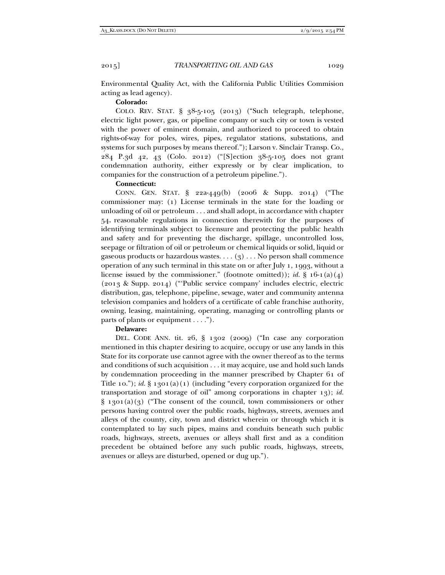Environmental Quality Act, with the California Public Utilities Commision acting as lead agency).

# **Colorado:**

COLO. REV. STAT. § 38-5-105 (2013) ("Such telegraph, telephone, electric light power, gas, or pipeline company or such city or town is vested with the power of eminent domain, and authorized to proceed to obtain rights-of-way for poles, wires, pipes, regulator stations, substations, and systems for such purposes by means thereof."); Larson v. Sinclair Transp. Co., 284 P.3d 42, 43 (Colo. 2012) ("[S]ection 38-5-105 does not grant condemnation authority, either expressly or by clear implication, to companies for the construction of a petroleum pipeline.").

# **Connecticut:**

CONN. GEN. STAT. § 22a-449(b) (2006 & Supp. 2014) ("The commissioner may: (1) License terminals in the state for the loading or unloading of oil or petroleum . . . and shall adopt, in accordance with chapter 54, reasonable regulations in connection therewith for the purposes of identifying terminals subject to licensure and protecting the public health and safety and for preventing the discharge, spillage, uncontrolled loss, seepage or filtration of oil or petroleum or chemical liquids or solid, liquid or gaseous products or hazardous wastes.  $\dots$  (3)  $\dots$  No person shall commence operation of any such terminal in this state on or after July 1, 1993, without a license issued by the commissioner." (footnote omitted)); *id.* §  $16-1(a)(4)$ (2013 & Supp. 2014) ("'Public service company' includes electric, electric distribution, gas, telephone, pipeline, sewage, water and community antenna television companies and holders of a certificate of cable franchise authority, owning, leasing, maintaining, operating, managing or controlling plants or parts of plants or equipment . . . .").

# **Delaware:**

DEL. CODE ANN. tit. 26, § 1302 (2009) ("In case any corporation mentioned in this chapter desiring to acquire, occupy or use any lands in this State for its corporate use cannot agree with the owner thereof as to the terms and conditions of such acquisition . . . it may acquire, use and hold such lands by condemnation proceeding in the manner prescribed by Chapter 61 of Title 10."); *id.* § 1301(a)(1) (including "every corporation organized for the transportation and storage of oil" among corporations in chapter 13); *id.*  $\S$  1301(a)(3) ("The consent of the council, town commissioners or other persons having control over the public roads, highways, streets, avenues and alleys of the county, city, town and district wherein or through which it is contemplated to lay such pipes, mains and conduits beneath such public roads, highways, streets, avenues or alleys shall first and as a condition precedent be obtained before any such public roads, highways, streets, avenues or alleys are disturbed, opened or dug up.").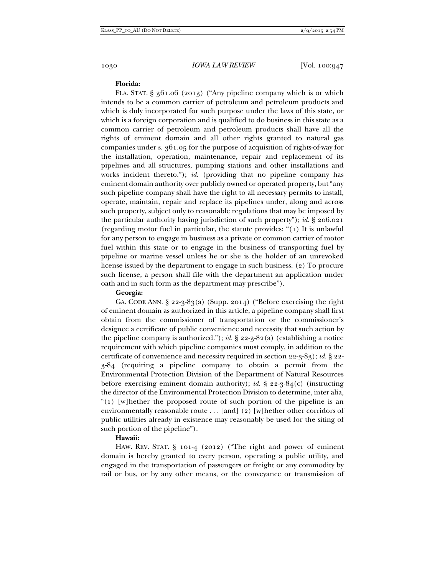### **Florida:**

FLA. STAT. § 361.06 (2013) ("Any pipeline company which is or which intends to be a common carrier of petroleum and petroleum products and which is duly incorporated for such purpose under the laws of this state, or which is a foreign corporation and is qualified to do business in this state as a common carrier of petroleum and petroleum products shall have all the rights of eminent domain and all other rights granted to natural gas companies under s. 361.05 for the purpose of acquisition of rights-of-way for the installation, operation, maintenance, repair and replacement of its pipelines and all structures, pumping stations and other installations and works incident thereto."); *id.* (providing that no pipeline company has eminent domain authority over publicly owned or operated property, but "any such pipeline company shall have the right to all necessary permits to install, operate, maintain, repair and replace its pipelines under, along and across such property, subject only to reasonable regulations that may be imposed by the particular authority having jurisdiction of such property"); *id.* § 206.021 (regarding motor fuel in particular, the statute provides: "(1) It is unlawful for any person to engage in business as a private or common carrier of motor fuel within this state or to engage in the business of transporting fuel by pipeline or marine vessel unless he or she is the holder of an unrevoked license issued by the department to engage in such business. (2) To procure such license, a person shall file with the department an application under oath and in such form as the department may prescribe").

### **Georgia:**

GA. CODE ANN.  $\S$  22-3-83(a) (Supp. 2014) ("Before exercising the right of eminent domain as authorized in this article, a pipeline company shall first obtain from the commissioner of transportation or the commissioner's designee a certificate of public convenience and necessity that such action by the pipeline company is authorized."); *id.*  $\S$  22-3-82(a) (establishing a notice requirement with which pipeline companies must comply, in addition to the certificate of convenience and necessity required in section 22-3-83); *id.* § 22- 3-84 (requiring a pipeline company to obtain a permit from the Environmental Protection Division of the Department of Natural Resources before exercising eminent domain authority); *id.* § 22-3-84(c) (instructing the director of the Environmental Protection Division to determine, inter alia, "(1) [w]hether the proposed route of such portion of the pipeline is an environmentally reasonable route . . . [and] (2) [w]hether other corridors of public utilities already in existence may reasonably be used for the siting of such portion of the pipeline").

# **Hawaii:**

HAW. REV. STAT. § 101-4 (2012) ("The right and power of eminent domain is hereby granted to every person, operating a public utility, and engaged in the transportation of passengers or freight or any commodity by rail or bus, or by any other means, or the conveyance or transmission of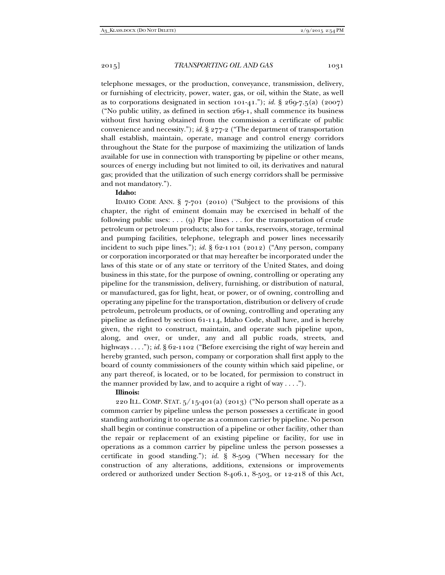telephone messages, or the production, conveyance, transmission, delivery, or furnishing of electricity, power, water, gas, or oil, within the State, as well as to corporations designated in section  $101-41$ ."); *id.* §  $269-7.5$ (a) ( $2007$ ) ("No public utility, as defined in section 269-1, shall commence its business without first having obtained from the commission a certificate of public convenience and necessity."); *id.* § 277-2 ("The department of transportation shall establish, maintain, operate, manage and control energy corridors throughout the State for the purpose of maximizing the utilization of lands available for use in connection with transporting by pipeline or other means, sources of energy including but not limited to oil, its derivatives and natural gas; provided that the utilization of such energy corridors shall be permissive and not mandatory.").

# **Idaho:**

IDAHO CODE ANN. § 7-701 (2010) ("Subject to the provisions of this chapter, the right of eminent domain may be exercised in behalf of the following public uses: . . . (9) Pipe lines . . . for the transportation of crude petroleum or petroleum products; also for tanks, reservoirs, storage, terminal and pumping facilities, telephone, telegraph and power lines necessarily incident to such pipe lines."); *id.*  $\S$  62-1101 (2012) ("Any person, company or corporation incorporated or that may hereafter be incorporated under the laws of this state or of any state or territory of the United States, and doing business in this state, for the purpose of owning, controlling or operating any pipeline for the transmission, delivery, furnishing, or distribution of natural, or manufactured, gas for light, heat, or power, or of owning, controlling and operating any pipeline for the transportation, distribution or delivery of crude petroleum, petroleum products, or of owning, controlling and operating any pipeline as defined by section 61-114, Idaho Code, shall have, and is hereby given, the right to construct, maintain, and operate such pipeline upon, along, and over, or under, any and all public roads, streets, and highways . . . ."); *id*. § 62-1102 ("Before exercising the right of way herein and hereby granted, such person, company or corporation shall first apply to the board of county commissioners of the county within which said pipeline, or any part thereof, is located, or to be located, for permission to construct in the manner provided by law, and to acquire a right of way  $\dots$ ").

# **Illinois:**

220 ILL. COMP. STAT.  $5/15-401(a)$  (2013) ("No person shall operate as a common carrier by pipeline unless the person possesses a certificate in good standing authorizing it to operate as a common carrier by pipeline. No person shall begin or continue construction of a pipeline or other facility, other than the repair or replacement of an existing pipeline or facility, for use in operations as a common carrier by pipeline unless the person possesses a certificate in good standing."); *id.* § 8-509 ("When necessary for the construction of any alterations, additions, extensions or improvements ordered or authorized under Section 8-406.1, 8-503, or 12-218 of this Act,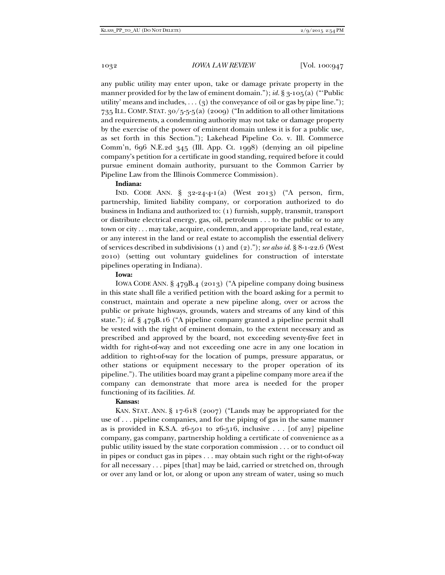any public utility may enter upon, take or damage private property in the manner provided for by the law of eminent domain."); *id*. § 3-105(a) ("Public utility' means and includes, . . . (3) the conveyance of oil or gas by pipe line."); 735 ILL. COMP. STAT. 30/5-5-5(a) (2009) ("In addition to all other limitations and requirements, a condemning authority may not take or damage property by the exercise of the power of eminent domain unless it is for a public use, as set forth in this Section."); Lakehead Pipeline Co. v. Ill. Commerce Comm'n, 696 N.E.2d 345 (Ill. App. Ct. 1998) (denying an oil pipeline company's petition for a certificate in good standing, required before it could pursue eminent domain authority, pursuant to the Common Carrier by Pipeline Law from the Illinois Commerce Commission).

### **Indiana:**

IND. CODE ANN. § 32-24-4-1(a) (West 2013) ("A person, firm, partnership, limited liability company, or corporation authorized to do business in Indiana and authorized to: (1) furnish, supply, transmit, transport or distribute electrical energy, gas, oil, petroleum . . . to the public or to any town or city . . . may take, acquire, condemn, and appropriate land, real estate, or any interest in the land or real estate to accomplish the essential delivery of services described in subdivisions (1) and (2)."); *see also id.* § 8-1-22.6 (West 2010) (setting out voluntary guidelines for construction of interstate pipelines operating in Indiana).

### **Iowa:**

IOWA CODE ANN. § 479B.4 (2013) ("A pipeline company doing business in this state shall file a verified petition with the board asking for a permit to construct, maintain and operate a new pipeline along, over or across the public or private highways, grounds, waters and streams of any kind of this state."); *id.* § 479B.16 ("A pipeline company granted a pipeline permit shall be vested with the right of eminent domain, to the extent necessary and as prescribed and approved by the board, not exceeding seventy-five feet in width for right-of-way and not exceeding one acre in any one location in addition to right-of-way for the location of pumps, pressure apparatus, or other stations or equipment necessary to the proper operation of its pipeline."). The utilities board may grant a pipeline company more area if the company can demonstrate that more area is needed for the proper functioning of its facilities. *Id.*

# **Kansas:**

KAN. STAT. ANN. § 17-618 (2007) ("Lands may be appropriated for the use of . . . pipeline companies, and for the piping of gas in the same manner as is provided in K.S.A.  $26$ -501 to  $26$ -516, inclusive . . . [of any] pipeline company, gas company, partnership holding a certificate of convenience as a public utility issued by the state corporation commission . . . or to conduct oil in pipes or conduct gas in pipes . . . may obtain such right or the right-of-way for all necessary . . . pipes [that] may be laid, carried or stretched on, through or over any land or lot, or along or upon any stream of water, using so much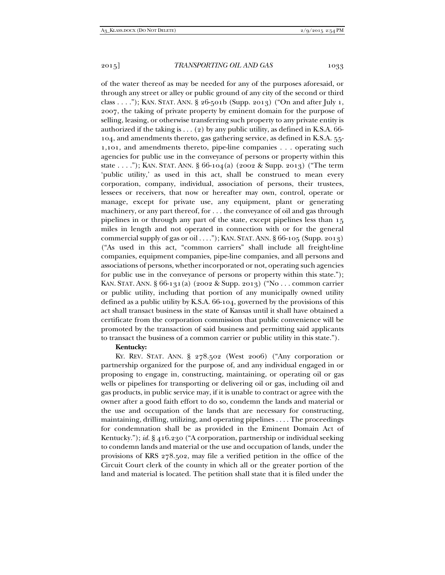of the water thereof as may be needed for any of the purposes aforesaid, or through any street or alley or public ground of any city of the second or third class . . . ."); KAN. STAT. ANN. § 26-501b (Supp. 2013) ("On and after July 1, 2007, the taking of private property by eminent domain for the purpose of selling, leasing, or otherwise transferring such property to any private entity is authorized if the taking is  $\dots$  (2) by any public utility, as defined in K.S.A. 66-104, and amendments thereto, gas gathering service, as defined in K.S.A. 55- 1,101, and amendments thereto, pipe-line companies . . . operating such agencies for public use in the conveyance of persons or property within this state . . . ."); KAN. STAT. ANN.  $\S 66$ -104(a) (2002 & Supp. 2013) ("The term 'public utility,' as used in this act, shall be construed to mean every corporation, company, individual, association of persons, their trustees, lessees or receivers, that now or hereafter may own, control, operate or manage, except for private use, any equipment, plant or generating machinery, or any part thereof, for . . . the conveyance of oil and gas through pipelines in or through any part of the state, except pipelines less than 15 miles in length and not operated in connection with or for the general commercial supply of gas or oil . . . . "); KAN. STAT. ANN.  $\S 66$ -105 (Supp. 2013) ("As used in this act, "common carriers" shall include all freight-line companies, equipment companies, pipe-line companies, and all persons and associations of persons, whether incorporated or not, operating such agencies for public use in the conveyance of persons or property within this state."); KAN. STAT. ANN. § 66-131(a) (2002 & Supp. 2013) ("No . . . common carrier or public utility, including that portion of any municipally owned utility defined as a public utility by K.S.A. 66-104, governed by the provisions of this act shall transact business in the state of Kansas until it shall have obtained a certificate from the corporation commission that public convenience will be promoted by the transaction of said business and permitting said applicants to transact the business of a common carrier or public utility in this state.").

#### **Kentucky:**

KY. REV. STAT. ANN. § 278.502 (West 2006) ("Any corporation or partnership organized for the purpose of, and any individual engaged in or proposing to engage in, constructing, maintaining, or operating oil or gas wells or pipelines for transporting or delivering oil or gas, including oil and gas products, in public service may, if it is unable to contract or agree with the owner after a good faith effort to do so, condemn the lands and material or the use and occupation of the lands that are necessary for constructing, maintaining, drilling, utilizing, and operating pipelines . . . . The proceedings for condemnation shall be as provided in the Eminent Domain Act of Kentucky."); *id.* § 416.230 ("A corporation, partnership or individual seeking to condemn lands and material or the use and occupation of lands, under the provisions of KRS 278.502, may file a verified petition in the office of the Circuit Court clerk of the county in which all or the greater portion of the land and material is located. The petition shall state that it is filed under the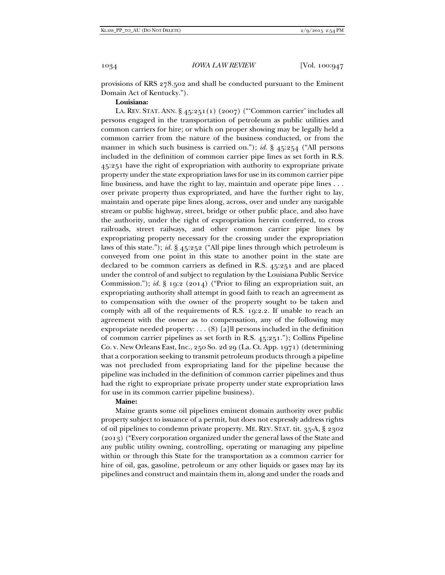provisions of KRS 278.502 and shall be conducted pursuant to the Eminent Domain Act of Kentucky.").

# **Louisiana:**

LA. REV. STAT. ANN. § 45:251(1) (2007) ("'Common carrier' includes all persons engaged in the transportation of petroleum as public utilities and common carriers for hire; or which on proper showing may be legally held a common carrier from the nature of the business conducted, or from the manner in which such business is carried on."); *id.* § 45:254 ("All persons included in the definition of common carrier pipe lines as set forth in R.S. 45:251 have the right of expropriation with authority to expropriate private property under the state expropriation laws for use in its common carrier pipe line business, and have the right to lay, maintain and operate pipe lines . . . over private property thus expropriated, and have the further right to lay, maintain and operate pipe lines along, across, over and under any navigable stream or public highway, street, bridge or other public place, and also have the authority, under the right of expropriation herein conferred, to cross railroads, street railways, and other common carrier pipe lines by expropriating property necessary for the crossing under the expropriation laws of this state."); *id.* § 45:252 ("All pipe lines through which petroleum is conveyed from one point in this state to another point in the state are declared to be common carriers as defined in R.S. 45:251 and are placed under the control of and subject to regulation by the Louisiana Public Service Commission."); *id.* § 19:2 (2014) ("Prior to filing an expropriation suit, an expropriating authority shall attempt in good faith to reach an agreement as to compensation with the owner of the property sought to be taken and comply with all of the requirements of R.S. 19:2.2. If unable to reach an agreement with the owner as to compensation, any of the following may expropriate needed property: . . . (8) [a]ll persons included in the definition of common carrier pipelines as set forth in R.S. 45:251."); Collins Pipeline Co. v. New Orleans East, Inc., 250 So. 2d 29 (La. Ct. App. 1971) (determining that a corporation seeking to transmit petroleum products through a pipeline was not precluded from expropriating land for the pipeline because the pipeline was included in the definition of common carrier pipelines and thus had the right to expropriate private property under state expropriation laws for use in its common carrier pipeline business).

# **Maine:**

Maine grants some oil pipelines eminent domain authority over public property subject to issuance of a permit, but does not expressly address rights of oil pipelines to condemn private property. ME. REV. STAT. tit. 35-A, § 2302 (2013) ("Every corporation organized under the general laws of the State and any public utility owning, controlling, operating or managing any pipeline within or through this State for the transportation as a common carrier for hire of oil, gas, gasoline, petroleum or any other liquids or gases may lay its pipelines and construct and maintain them in, along and under the roads and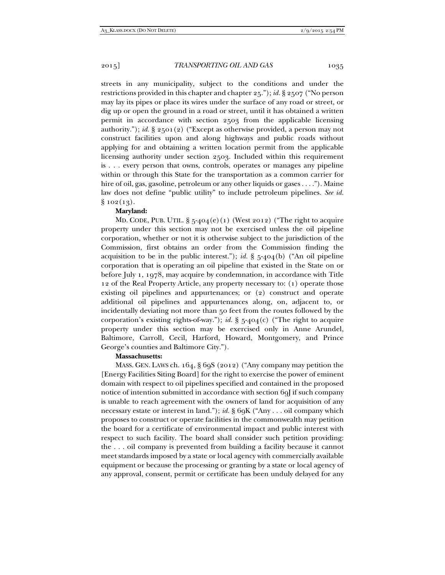streets in any municipality, subject to the conditions and under the restrictions provided in this chapter and chapter 25."); *id.* § 2507 ("No person may lay its pipes or place its wires under the surface of any road or street, or dig up or open the ground in a road or street, until it has obtained a written permit in accordance with section 2503 from the applicable licensing authority."); *id.* § 2501(2) ("Except as otherwise provided, a person may not construct facilities upon and along highways and public roads without applying for and obtaining a written location permit from the applicable licensing authority under section 2503. Included within this requirement is . . . every person that owns, controls, operates or manages any pipeline within or through this State for the transportation as a common carrier for hire of oil, gas, gasoline, petroleum or any other liquids or gases . . . ."). Maine law does not define "public utility" to include petroleum pipelines. *See id.*   $§ 102(13).$ 

### **Maryland:**

MD. CODE, PUB. UTIL.  $\S$  5-404(e)(1) (West 2012) ("The right to acquire property under this section may not be exercised unless the oil pipeline corporation, whether or not it is otherwise subject to the jurisdiction of the Commission, first obtains an order from the Commission finding the acquisition to be in the public interest."); *id.*  $\S$  5-404(b) ("An oil pipeline corporation that is operating an oil pipeline that existed in the State on or before July 1, 1978, may acquire by condemnation, in accordance with Title 12 of the Real Property Article, any property necessary to: (1) operate those existing oil pipelines and appurtenances; or (2) construct and operate additional oil pipelines and appurtenances along, on, adjacent to, or incidentally deviating not more than 50 feet from the routes followed by the corporation's existing rights-of-way."); *id.*  $\S$  5-404(c) ("The right to acquire property under this section may be exercised only in Anne Arundel, Baltimore, Carroll, Cecil, Harford, Howard, Montgomery, and Prince George's counties and Baltimore City.").

# **Massachusetts:**

MASS. GEN. LAWS ch. 164, § 69S (2012) ("Any company may petition the [Energy Facilities Siting Board] for the right to exercise the power of eminent domain with respect to oil pipelines specified and contained in the proposed notice of intention submitted in accordance with section 69 I if such company is unable to reach agreement with the owners of land for acquisition of any necessary estate or interest in land."); *id.* § 69K ("Any . . . oil company which proposes to construct or operate facilities in the commonwealth may petition the board for a certificate of environmental impact and public interest with respect to such facility. The board shall consider such petition providing: the . . . oil company is prevented from building a facility because it cannot meet standards imposed by a state or local agency with commercially available equipment or because the processing or granting by a state or local agency of any approval, consent, permit or certificate has been unduly delayed for any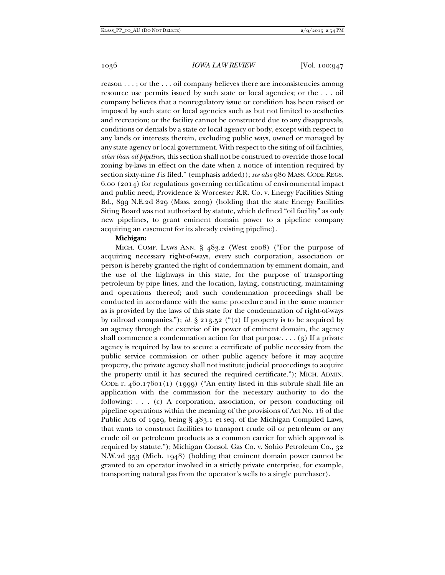reason . . . ; or the . . . oil company believes there are inconsistencies among resource use permits issued by such state or local agencies; or the . . . oil company believes that a nonregulatory issue or condition has been raised or imposed by such state or local agencies such as but not limited to aesthetics and recreation; or the facility cannot be constructed due to any disapprovals, conditions or denials by a state or local agency or body, except with respect to any lands or interests therein, excluding public ways, owned or managed by any state agency or local government. With respect to the siting of oil facilities, *other than oil pipelines*, this section shall not be construed to override those local zoning by-laws in effect on the date when a notice of intention required by section sixty-nine *I* is filed." (emphasis added)); *see also* 980 MASS. CODE REGS. 6.00 (2014) for regulations governing certification of environmental impact and public need; Providence & Worcester R.R. Co. v. Energy Facilities Siting Bd., 899 N.E.2d 829 (Mass. 2009) (holding that the state Energy Facilities Siting Board was not authorized by statute, which defined "oil facility" as only new pipelines, to grant eminent domain power to a pipeline company acquiring an easement for its already existing pipeline).

# **Michigan:**

MICH. COMP. LAWS ANN. § 483.2 (West 2008) ("For the purpose of acquiring necessary right-of-ways, every such corporation, association or person is hereby granted the right of condemnation by eminent domain, and the use of the highways in this state, for the purpose of transporting petroleum by pipe lines, and the location, laying, constructing, maintaining and operations thereof; and such condemnation proceedings shall be conducted in accordance with the same procedure and in the same manner as is provided by the laws of this state for the condemnation of right-of-ways by railroad companies."); *id.* § 213.52 ("(2) If property is to be acquired by an agency through the exercise of its power of eminent domain, the agency shall commence a condemnation action for that purpose....  $(g)$  If a private agency is required by law to secure a certificate of public necessity from the public service commission or other public agency before it may acquire property, the private agency shall not institute judicial proceedings to acquire the property until it has secured the required certificate."); MICH. ADMIN. CODE r. 460.17601(1) (1999) ("An entity listed in this subrule shall file an application with the commission for the necessary authority to do the following: . . . (c) A corporation, association, or person conducting oil pipeline operations within the meaning of the provisions of Act No. 16 of the Public Acts of 1929, being § 483.1 et seq. of the Michigan Compiled Laws, that wants to construct facilities to transport crude oil or petroleum or any crude oil or petroleum products as a common carrier for which approval is required by statute."); Michigan Consol. Gas Co. v. Sohio Petroleum Co., 32 N.W.2d 353 (Mich. 1948) (holding that eminent domain power cannot be granted to an operator involved in a strictly private enterprise, for example, transporting natural gas from the operator's wells to a single purchaser).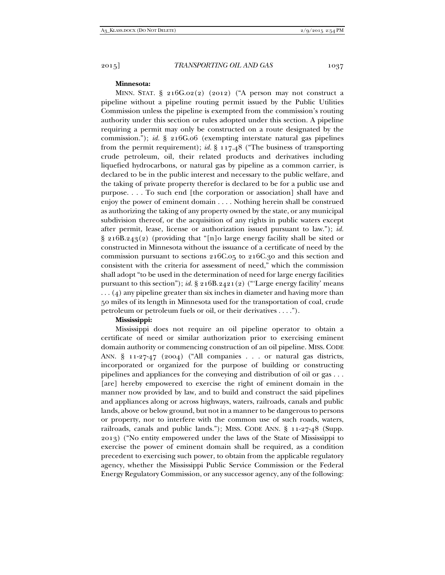#### **Minnesota:**

MINN. STAT.  $\S$  216G.02(2) (2012) ("A person may not construct a pipeline without a pipeline routing permit issued by the Public Utilities Commission unless the pipeline is exempted from the commission's routing authority under this section or rules adopted under this section. A pipeline requiring a permit may only be constructed on a route designated by the commission."); *id.* § 216G.06 (exempting interstate natural gas pipelines from the permit requirement); *id.* § 117.48 ("The business of transporting crude petroleum, oil, their related products and derivatives including liquefied hydrocarbons, or natural gas by pipeline as a common carrier, is declared to be in the public interest and necessary to the public welfare, and the taking of private property therefor is declared to be for a public use and purpose. . . . To such end [the corporation or association] shall have and enjoy the power of eminent domain . . . . Nothing herein shall be construed as authorizing the taking of any property owned by the state, or any municipal subdivision thereof, or the acquisition of any rights in public waters except after permit, lease, license or authorization issued pursuant to law."); *id.* § 216B.243(2) (providing that "[n]o large energy facility shall be sited or constructed in Minnesota without the issuance of a certificate of need by the commission pursuant to sections 216C.05 to 216C.30 and this section and consistent with the criteria for assessment of need," which the commission shall adopt "to be used in the determination of need for large energy facilities pursuant to this section"); *id.* § 216B.2421(2) ("'Large energy facility' means . . . (4) any pipeline greater than six inches in diameter and having more than 50 miles of its length in Minnesota used for the transportation of coal, crude petroleum or petroleum fuels or oil, or their derivatives . . . .").

### **Mississippi:**

Mississippi does not require an oil pipeline operator to obtain a certificate of need or similar authorization prior to exercising eminent domain authority or commencing construction of an oil pipeline. MISS. CODE ANN. § 11-27-47 (2004) ("All companies . . . or natural gas districts, incorporated or organized for the purpose of building or constructing pipelines and appliances for the conveying and distribution of oil or gas . . . [are] hereby empowered to exercise the right of eminent domain in the manner now provided by law, and to build and construct the said pipelines and appliances along or across highways, waters, railroads, canals and public lands, above or below ground, but not in a manner to be dangerous to persons or property, nor to interfere with the common use of such roads, waters, railroads, canals and public lands."); MISS. CODE ANN. § 11-27-48 (Supp. 2013) ("No entity empowered under the laws of the State of Mississippi to exercise the power of eminent domain shall be required, as a condition precedent to exercising such power, to obtain from the applicable regulatory agency, whether the Mississippi Public Service Commission or the Federal Energy Regulatory Commission, or any successor agency, any of the following: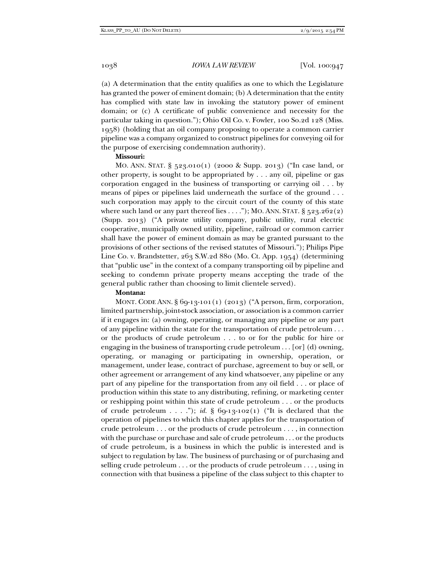(a) A determination that the entity qualifies as one to which the Legislature has granted the power of eminent domain; (b) A determination that the entity has complied with state law in invoking the statutory power of eminent domain; or (c) A certificate of public convenience and necessity for the particular taking in question."); Ohio Oil Co. v. Fowler, 100 So.2d 128 (Miss. 1958) (holding that an oil company proposing to operate a common carrier pipeline was a company organized to construct pipelines for conveying oil for the purpose of exercising condemnation authority).

### **Missouri:**

MO. ANN. STAT. § 523.010(1) (2000 & Supp. 2013) ("In case land, or other property, is sought to be appropriated by . . . any oil, pipeline or gas corporation engaged in the business of transporting or carrying oil . . . by means of pipes or pipelines laid underneath the surface of the ground . . . such corporation may apply to the circuit court of the county of this state where such land or any part thereof lies  $\dots$ "); MO. ANN. STAT. § 523.262(2) (Supp. 2013) ("A private utility company, public utility, rural electric cooperative, municipally owned utility, pipeline, railroad or common carrier shall have the power of eminent domain as may be granted pursuant to the provisions of other sections of the revised statutes of Missouri."); Philips Pipe Line Co. v. Brandstetter, 263 S.W.2d 880 (Mo. Ct. App. 1954) (determining that "public use" in the context of a company transporting oil by pipeline and seeking to condemn private property means accepting the trade of the general public rather than choosing to limit clientele served).

#### **Montana:**

MONT. CODE ANN.  $\S 6q-13-101(1) (2013)$  ("A person, firm, corporation, limited partnership, joint-stock association, or association is a common carrier if it engages in: (a) owning, operating, or managing any pipeline or any part of any pipeline within the state for the transportation of crude petroleum . . . or the products of crude petroleum . . . to or for the public for hire or engaging in the business of transporting crude petroleum . . . [or] (d) owning, operating, or managing or participating in ownership, operation, or management, under lease, contract of purchase, agreement to buy or sell, or other agreement or arrangement of any kind whatsoever, any pipeline or any part of any pipeline for the transportation from any oil field . . . or place of production within this state to any distributing, refining, or marketing center or reshipping point within this state of crude petroleum . . . or the products of crude petroleum . . . ."); *id.* § 69-13-102(1) ("It is declared that the operation of pipelines to which this chapter applies for the transportation of crude petroleum . . . or the products of crude petroleum . . . , in connection with the purchase or purchase and sale of crude petroleum . . . or the products of crude petroleum, is a business in which the public is interested and is subject to regulation by law. The business of purchasing or of purchasing and selling crude petroleum . . . or the products of crude petroleum . . . , using in connection with that business a pipeline of the class subject to this chapter to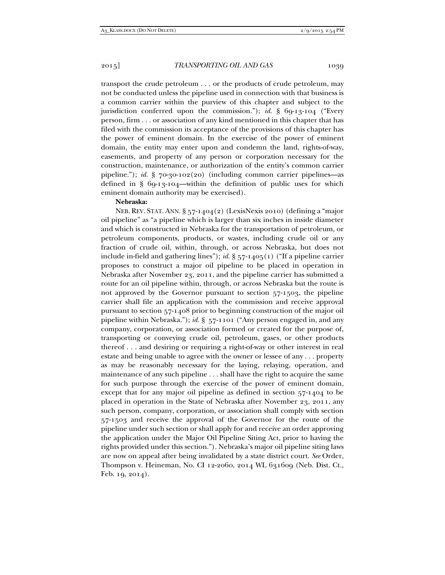transport the crude petroleum . . . or the products of crude petroleum, may not be conducted unless the pipeline used in connection with that business is a common carrier within the purview of this chapter and subject to the jurisdiction conferred upon the commission."); *id.* § 69-13-104 ("Every person, firm . . . or association of any kind mentioned in this chapter that has filed with the commission its acceptance of the provisions of this chapter has the power of eminent domain. In the exercise of the power of eminent domain, the entity may enter upon and condemn the land, rights-of-way, easements, and property of any person or corporation necessary for the construction, maintenance, or authorization of the entity's common carrier pipeline."); *id.* § 70-30-102(20) (including common carrier pipelines—as defined in § 69-13-104—within the definition of public uses for which eminent domain authority may be exercised).

# **Nebraska:**

NEB. REV. STAT. ANN. § 57-1404(2) (LexisNexis 2010) (defining a "major oil pipeline" as "a pipeline which is larger than six inches in inside diameter and which is constructed in Nebraska for the transportation of petroleum, or petroleum components, products, or wastes, including crude oil or any fraction of crude oil, within, through, or across Nebraska, but does not include in-field and gathering lines"); *id.* § 57-1405(1) ("If a pipeline carrier proposes to construct a major oil pipeline to be placed in operation in Nebraska after November 23, 2011, and the pipeline carrier has submitted a route for an oil pipeline within, through, or across Nebraska but the route is not approved by the Governor pursuant to section 57-1503, the pipeline carrier shall file an application with the commission and receive approval pursuant to section 57-1408 prior to beginning construction of the major oil pipeline within Nebraska."); *id.* § 57-1101 ("Any person engaged in, and any company, corporation, or association formed or created for the purpose of, transporting or conveying crude oil, petroleum, gases, or other products thereof . . . and desiring or requiring a right-of-way or other interest in real estate and being unable to agree with the owner or lessee of any . . . property as may be reasonably necessary for the laying, relaying, operation, and maintenance of any such pipeline . . . shall have the right to acquire the same for such purpose through the exercise of the power of eminent domain, except that for any major oil pipeline as defined in section 57-1404 to be placed in operation in the State of Nebraska after November 23, 2011, any such person, company, corporation, or association shall comply with section 57-1503 and receive the approval of the Governor for the route of the pipeline under such section or shall apply for and receive an order approving the application under the Major Oil Pipeline Siting Act, prior to having the rights provided under this section."). Nebraska's major oil pipeline siting laws are now on appeal after being invalidated by a state district court. *See* Order, Thompson v. Heineman, No. CI 12-2060, 2014 WL 631609 (Neb. Dist. Ct., Feb. 19, 2014).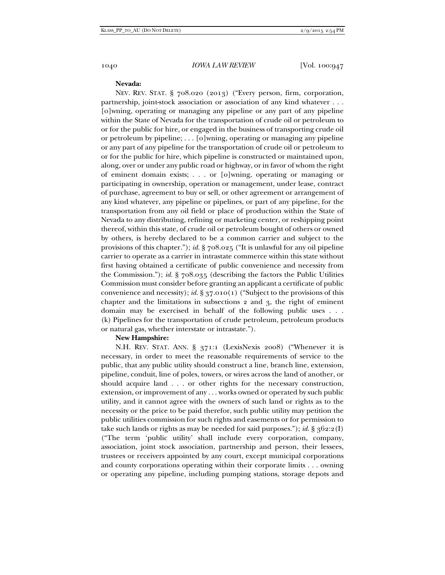### **Nevada:**

NEV. REV. STAT. § 708.020 (2013) ("Every person, firm, corporation, partnership, joint-stock association or association of any kind whatever . . . [o]wning, operating or managing any pipeline or any part of any pipeline within the State of Nevada for the transportation of crude oil or petroleum to or for the public for hire, or engaged in the business of transporting crude oil or petroleum by pipeline; . . . [o]wning, operating or managing any pipeline or any part of any pipeline for the transportation of crude oil or petroleum to or for the public for hire, which pipeline is constructed or maintained upon, along, over or under any public road or highway, or in favor of whom the right of eminent domain exists; . . . or [o]wning, operating or managing or participating in ownership, operation or management, under lease, contract of purchase, agreement to buy or sell, or other agreement or arrangement of any kind whatever, any pipeline or pipelines, or part of any pipeline, for the transportation from any oil field or place of production within the State of Nevada to any distributing, refining or marketing center, or reshipping point thereof, within this state, of crude oil or petroleum bought of others or owned by others, is hereby declared to be a common carrier and subject to the provisions of this chapter."); *id.* § 708.025 ("It is unlawful for any oil pipeline carrier to operate as a carrier in intrastate commerce within this state without first having obtained a certificate of public convenience and necessity from the Commission."); *id.* § 708.035 (describing the factors the Public Utilities Commission must consider before granting an applicant a certificate of public convenience and necessity); *id.* § 37.010(1) ("Subject to the provisions of this chapter and the limitations in subsections 2 and 3, the right of eminent domain may be exercised in behalf of the following public uses . . . (k) Pipelines for the transportation of crude petroleum, petroleum products or natural gas, whether interstate or intrastate.").

#### **New Hampshire:**

N.H. REV. STAT. ANN. § 371:1 (LexisNexis 2008) ("Whenever it is necessary, in order to meet the reasonable requirements of service to the public, that any public utility should construct a line, branch line, extension, pipeline, conduit, line of poles, towers, or wires across the land of another, or should acquire land . . . or other rights for the necessary construction, extension, or improvement of any . . . works owned or operated by such public utility, and it cannot agree with the owners of such land or rights as to the necessity or the price to be paid therefor, such public utility may petition the public utilities commission for such rights and easements or for permission to take such lands or rights as may be needed for said purposes."); *id.* § 362:2(I) ("The term 'public utility' shall include every corporation, company, association, joint stock association, partnership and person, their lessees, trustees or receivers appointed by any court, except municipal corporations and county corporations operating within their corporate limits . . . owning or operating any pipeline, including pumping stations, storage depots and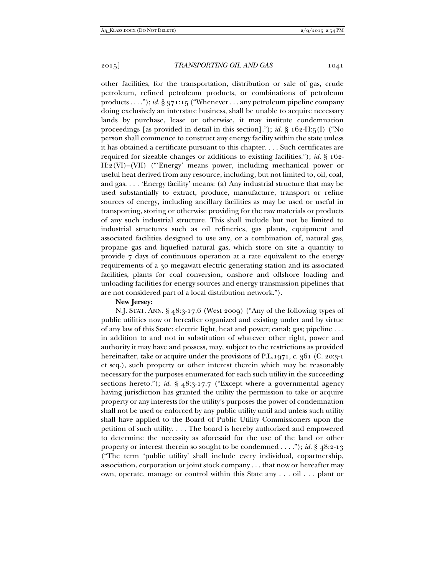other facilities, for the transportation, distribution or sale of gas, crude petroleum, refined petroleum products, or combinations of petroleum products . . . ."); *id.* § 371:15 ("Whenever . . . any petroleum pipeline company doing exclusively an interstate business, shall be unable to acquire necessary lands by purchase, lease or otherwise, it may institute condemnation proceedings [as provided in detail in this section]."); *id.* § 162-H:5(I) ("No person shall commence to construct any energy facility within the state unless it has obtained a certificate pursuant to this chapter. . . . Such certificates are required for sizeable changes or additions to existing facilities."); *id.* § 162- H:2(VI)–(VII) ("'Energy' means power, including mechanical power or useful heat derived from any resource, including, but not limited to, oil, coal, and gas. . . . 'Energy facility' means: (a) Any industrial structure that may be used substantially to extract, produce, manufacture, transport or refine sources of energy, including ancillary facilities as may be used or useful in transporting, storing or otherwise providing for the raw materials or products of any such industrial structure. This shall include but not be limited to industrial structures such as oil refineries, gas plants, equipment and associated facilities designed to use any, or a combination of, natural gas, propane gas and liquefied natural gas, which store on site a quantity to provide 7 days of continuous operation at a rate equivalent to the energy requirements of a 30 megawatt electric generating station and its associated facilities, plants for coal conversion, onshore and offshore loading and unloading facilities for energy sources and energy transmission pipelines that are not considered part of a local distribution network.").

# **New Jersey:**

N.J. STAT. ANN. § 48:3-17.6 (West 2009) ("Any of the following types of public utilities now or hereafter organized and existing under and by virtue of any law of this State: electric light, heat and power; canal; gas; pipeline . . . in addition to and not in substitution of whatever other right, power and authority it may have and possess, may, subject to the restrictions as provided hereinafter, take or acquire under the provisions of P.L.1971, c. 361 (C. 20:3-1 et seq.), such property or other interest therein which may be reasonably necessary for the purposes enumerated for each such utility in the succeeding sections hereto."); *id.* § 48:3-17.7 ("Except where a governmental agency having jurisdiction has granted the utility the permission to take or acquire property or any interests for the utility's purposes the power of condemnation shall not be used or enforced by any public utility until and unless such utility shall have applied to the Board of Public Utility Commissioners upon the petition of such utility. . . . The board is hereby authorized and empowered to determine the necessity as aforesaid for the use of the land or other property or interest therein so sought to be condemned . . . ."); *id.* § 48:2-13 ("The term 'public utility' shall include every individual, copartnership, association, corporation or joint stock company . . . that now or hereafter may own, operate, manage or control within this State any . . . oil . . . plant or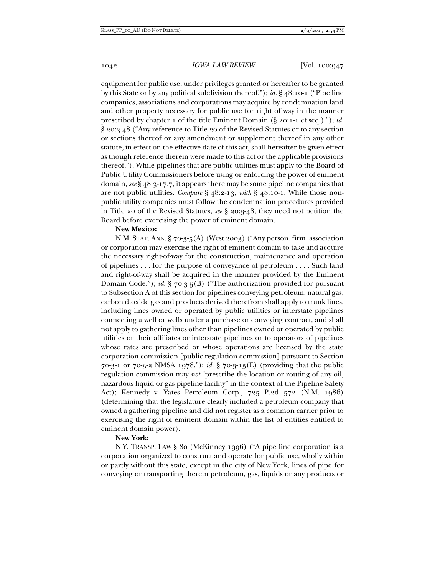1042 *IOWA LAW REVIEW* [Vol. 100:047]

equipment for public use, under privileges granted or hereafter to be granted by this State or by any political subdivision thereof."); *id.* § 48:10-1 ("Pipe line companies, associations and corporations may acquire by condemnation land and other property necessary for public use for right of way in the manner prescribed by chapter 1 of the title Eminent Domain (§ 20:1-1 et seq.)."); *id.*  § 20:3-48 ("Any reference to Title 20 of the Revised Statutes or to any section or sections thereof or any amendment or supplement thereof in any other statute, in effect on the effective date of this act, shall hereafter be given effect as though reference therein were made to this act or the applicable provisions thereof."). While pipelines that are public utilities must apply to the Board of Public Utility Commissioners before using or enforcing the power of eminent domain, *see* § 48:3-17.7, it appears there may be some pipeline companies that are not public utilities. *Compare* § 48:2-13, *with* § 48:10-1. While those nonpublic utility companies must follow the condemnation procedures provided in Title 20 of the Revised Statutes, *see* § 20:3-48, they need not petition the Board before exercising the power of eminent domain.

#### **New Mexico:**

N.M. STAT. ANN. § 70-3-5(A) (West 2003) ("Any person, firm, association or corporation may exercise the right of eminent domain to take and acquire the necessary right-of-way for the construction, maintenance and operation of pipelines . . . for the purpose of conveyance of petroleum . . . . Such land and right-of-way shall be acquired in the manner provided by the Eminent Domain Code."); *id.* § 70-3-5(B) ("The authorization provided for pursuant to Subsection A of this section for pipelines conveying petroleum, natural gas, carbon dioxide gas and products derived therefrom shall apply to trunk lines, including lines owned or operated by public utilities or interstate pipelines connecting a well or wells under a purchase or conveying contract, and shall not apply to gathering lines other than pipelines owned or operated by public utilities or their affiliates or interstate pipelines or to operators of pipelines whose rates are prescribed or whose operations are licensed by the state corporation commission [public regulation commission] pursuant to Section 70-3-1 or 70-3-2 NMSA 1978."); *id.* § 70-3-13(E) (providing that the public regulation commission may *not* "prescribe the location or routing of any oil, hazardous liquid or gas pipeline facility" in the context of the Pipeline Safety Act); Kennedy v. Yates Petroleum Corp., 725 P.2d 572 (N.M. 1986) (determining that the legislature clearly included a petroleum company that owned a gathering pipeline and did not register as a common carrier prior to exercising the right of eminent domain within the list of entities entitled to eminent domain power).

# **New York:**

N.Y. TRANSP. LAW § 80 (McKinney 1996) ("A pipe line corporation is a corporation organized to construct and operate for public use, wholly within or partly without this state, except in the city of New York, lines of pipe for conveying or transporting therein petroleum, gas, liquids or any products or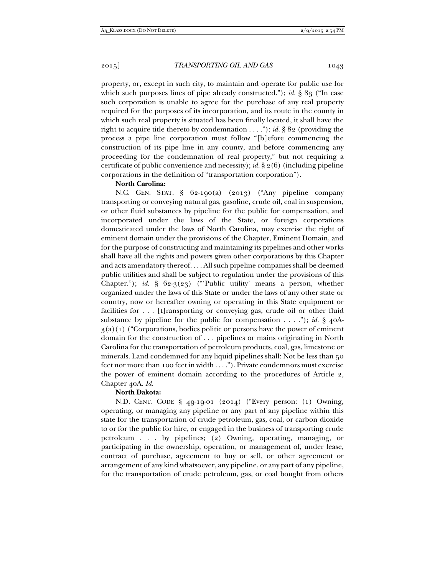property, or, except in such city, to maintain and operate for public use for which such purposes lines of pipe already constructed."); *id.* § 83 ("In case such corporation is unable to agree for the purchase of any real property required for the purposes of its incorporation, and its route in the county in which such real property is situated has been finally located, it shall have the right to acquire title thereto by condemnation . . . ."); *id.* § 82 (providing the process a pipe line corporation must follow "[b]efore commencing the construction of its pipe line in any county, and before commencing any proceeding for the condemnation of real property," but not requiring a certificate of public convenience and necessity); *id.* § 2(6) (including pipeline corporations in the definition of "transportation corporation").

#### **North Carolina:**

N.C. GEN. STAT. § 62-190(a) (2013) ("Any pipeline company transporting or conveying natural gas, gasoline, crude oil, coal in suspension, or other fluid substances by pipeline for the public for compensation, and incorporated under the laws of the State, or foreign corporations domesticated under the laws of North Carolina, may exercise the right of eminent domain under the provisions of the Chapter, Eminent Domain, and for the purpose of constructing and maintaining its pipelines and other works shall have all the rights and powers given other corporations by this Chapter and acts amendatory thereof. . . . All such pipeline companies shall be deemed public utilities and shall be subject to regulation under the provisions of this Chapter."); *id.* § 62-3(23) ("'Public utility' means a person, whether organized under the laws of this State or under the laws of any other state or country, now or hereafter owning or operating in this State equipment or facilities for . . . [t]ransporting or conveying gas, crude oil or other fluid substance by pipeline for the public for compensation . . . ."); *id.* § 40A- $3(a)(1)$  ("Corporations, bodies politic or persons have the power of eminent domain for the construction of . . . pipelines or mains originating in North Carolina for the transportation of petroleum products, coal, gas, limestone or minerals. Land condemned for any liquid pipelines shall: Not be less than 50 feet nor more than 100 feet in width . . . ."). Private condemnors must exercise the power of eminent domain according to the procedures of Article 2, Chapter 40A. *Id.*

# **North Dakota:**

N.D. CENT. CODE § 49-19-01 (2014) ("Every person: (1) Owning, operating, or managing any pipeline or any part of any pipeline within this state for the transportation of crude petroleum, gas, coal, or carbon dioxide to or for the public for hire, or engaged in the business of transporting crude petroleum . . . by pipelines; (2) Owning, operating, managing, or participating in the ownership, operation, or management of, under lease, contract of purchase, agreement to buy or sell, or other agreement or arrangement of any kind whatsoever, any pipeline, or any part of any pipeline, for the transportation of crude petroleum, gas, or coal bought from others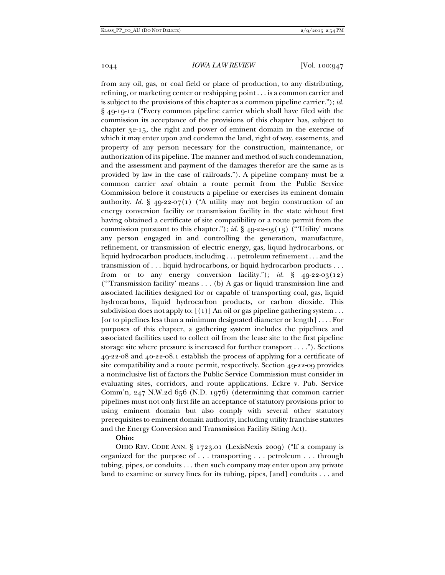from any oil, gas, or coal field or place of production, to any distributing, refining, or marketing center or reshipping point . . . is a common carrier and is subject to the provisions of this chapter as a common pipeline carrier."); *id.*  § 49-19-12 ("Every common pipeline carrier which shall have filed with the commission its acceptance of the provisions of this chapter has, subject to chapter 32-15, the right and power of eminent domain in the exercise of which it may enter upon and condemn the land, right of way, easements, and property of any person necessary for the construction, maintenance, or authorization of its pipeline. The manner and method of such condemnation, and the assessment and payment of the damages therefor are the same as is provided by law in the case of railroads."). A pipeline company must be a common carrier *and* obtain a route permit from the Public Service Commission before it constructs a pipeline or exercises its eminent domain authority. *Id.*  $\S$  49-22-07(1) ("A utility may not begin construction of an energy conversion facility or transmission facility in the state without first having obtained a certificate of site compatibility or a route permit from the commission pursuant to this chapter."); *id.*  $\S$  49-22-03(13) ("Utility' means any person engaged in and controlling the generation, manufacture, refinement, or transmission of electric energy, gas, liquid hydrocarbons, or liquid hydrocarbon products, including . . . petroleum refinement . . . and the transmission of . . . liquid hydrocarbons, or liquid hydrocarbon products . . . from or to any energy conversion facility."); *id.*  $\S$  49-22-03(12) ("'Transmission facility' means . . . (b) A gas or liquid transmission line and associated facilities designed for or capable of transporting coal, gas, liquid hydrocarbons, liquid hydrocarbon products, or carbon dioxide. This subdivision does not apply to:  $[(1)]$  An oil or gas pipeline gathering system ... [or to pipelines less than a minimum designated diameter or length] . . . . For purposes of this chapter, a gathering system includes the pipelines and associated facilities used to collect oil from the lease site to the first pipeline storage site where pressure is increased for further transport . . . ."). Sections 49-22-08 and 40-22-08.1 establish the process of applying for a certificate of site compatibility and a route permit, respectively. Section 49-22-09 provides a noninclusive list of factors the Public Service Commission must consider in evaluating sites, corridors, and route applications. Eckre v. Pub. Service Comm'n, 247 N.W.2d 656 (N.D. 1976) (determining that common carrier pipelines must not only first file an acceptance of statutory provisions prior to using eminent domain but also comply with several other statutory prerequisites to eminent domain authority, including utility franchise statutes and the Energy Conversion and Transmission Facility Siting Act).

#### **Ohio:**

OHIO REV. CODE ANN. § 1723.01 (LexisNexis 2009) ("If a company is organized for the purpose of . . . transporting . . . petroleum . . . through tubing, pipes, or conduits . . . then such company may enter upon any private land to examine or survey lines for its tubing, pipes, [and] conduits . . . and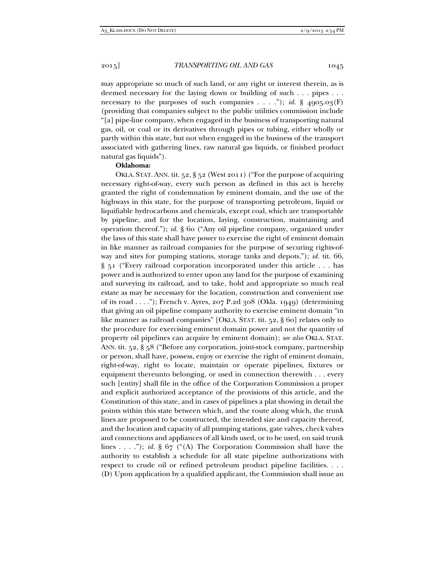may appropriate so much of such land, or any right or interest therein, as is deemed necessary for the laying down or building of such . . . pipes . . . necessary to the purposes of such companies . . . ."); *id.* § 4905.03(F) (providing that companies subject to the public utilities commission include "[a] pipe-line company, when engaged in the business of transporting natural gas, oil, or coal or its derivatives through pipes or tubing, either wholly or partly within this state, but not when engaged in the business of the transport associated with gathering lines, raw natural gas liquids, or finished product natural gas liquids").

# **Oklahoma:**

OKLA. STAT.ANN. tit. 52, § 52 (West 2011) ("For the purpose of acquiring necessary right-of-way, every such person as defined in this act is hereby granted the right of condemnation by eminent domain, and the use of the highways in this state, for the purpose of transporting petroleum, liquid or liquifiable hydrocarbons and chemicals, except coal, which are transportable by pipeline, and for the location, laying, construction, maintaining and operation thereof."); *id.* § 60 ("Any oil pipeline company, organized under the laws of this state shall have power to exercise the right of eminent domain in like manner as railroad companies for the purpose of securing rights-ofway and sites for pumping stations, storage tanks and depots."); *id.* tit. 66, § 51 ("Every railroad corporation incorporated under this article . . . has power and is authorized to enter upon any land for the purpose of examining and surveying its railroad, and to take, hold and appropriate so much real estate as may be necessary for the location, construction and convenient use of its road . . . ."); French v. Ayres, 207 P.2d 308 (Okla. 1949) (determining that giving an oil pipeline company authority to exercise eminent domain "in like manner as railroad companies" [OKLA. STAT. tit. 52, § 60] relates only to the procedure for exercising eminent domain power and not the quantity of property oil pipelines can acquire by eminent domain); *see also* OKLA. STAT. ANN. tit. 52, § 58 ("Before any corporation, joint-stock company, partnership or person, shall have, possess, enjoy or exercise the right of eminent domain, right-of-way, right to locate, maintain or operate pipelines, fixtures or equipment thereunto belonging, or used in connection therewith . . . every such [entity] shall file in the office of the Corporation Commission a proper and explicit authorized acceptance of the provisions of this article, and the Constitution of this state, and in cases of pipelines a plat showing in detail the points within this state between which, and the route along which, the trunk lines are proposed to be constructed, the intended size and capacity thereof, and the location and capacity of all pumping stations, gate valves, check valves and connections and appliances of all kinds used, or to be used, on said trunk lines . . . ."); *id.* § 67 ("(A) The Corporation Commission shall have the authority to establish a schedule for all state pipeline authorizations with respect to crude oil or refined petroleum product pipeline facilities. . . . (D) Upon application by a qualified applicant, the Commission shall issue an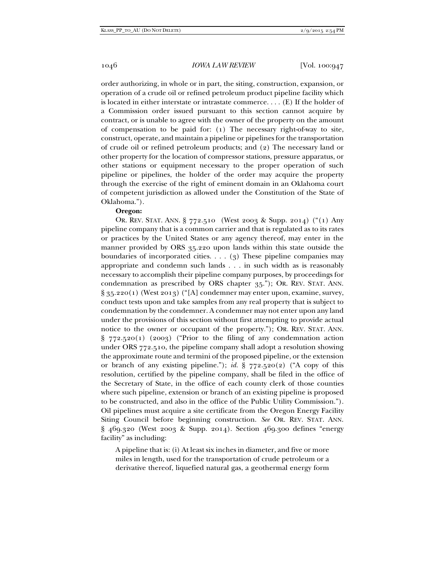1046 *IOWA LAW REVIEW* [Vol. 100:947

order authorizing, in whole or in part, the siting, construction, expansion, or operation of a crude oil or refined petroleum product pipeline facility which is located in either interstate or intrastate commerce. . . . (E) If the holder of a Commission order issued pursuant to this section cannot acquire by contract, or is unable to agree with the owner of the property on the amount of compensation to be paid for: (1) The necessary right-of-way to site, construct, operate, and maintain a pipeline or pipelines for the transportation of crude oil or refined petroleum products; and (2) The necessary land or other property for the location of compressor stations, pressure apparatus, or other stations or equipment necessary to the proper operation of such pipeline or pipelines, the holder of the order may acquire the property through the exercise of the right of eminent domain in an Oklahoma court of competent jurisdiction as allowed under the Constitution of the State of Oklahoma.").

### **Oregon:**

OR. REV. STAT. ANN. § 772.510 (West 2003 & Supp. 2014) ("(1) Any pipeline company that is a common carrier and that is regulated as to its rates or practices by the United States or any agency thereof, may enter in the manner provided by ORS 35.220 upon lands within this state outside the boundaries of incorporated cities.  $\ldots$  (3) These pipeline companies may appropriate and condemn such lands . . . in such width as is reasonably necessary to accomplish their pipeline company purposes, by proceedings for condemnation as prescribed by ORS chapter 35."); OR. REV. STAT. ANN.  $\S 35.220(1)$  (West 2013) ("[A] condemner may enter upon, examine, survey, conduct tests upon and take samples from any real property that is subject to condemnation by the condemner. A condemner may not enter upon any land under the provisions of this section without first attempting to provide actual notice to the owner or occupant of the property."); OR. REV. STAT. ANN.  $\S$  772.520(1) (2003) ("Prior to the filing of any condemnation action under ORS 772.510, the pipeline company shall adopt a resolution showing the approximate route and termini of the proposed pipeline, or the extension or branch of any existing pipeline."); *id.*  $\S$  772.520(2) ("A copy of this resolution, certified by the pipeline company, shall be filed in the office of the Secretary of State, in the office of each county clerk of those counties where such pipeline, extension or branch of an existing pipeline is proposed to be constructed, and also in the office of the Public Utility Commission."). Oil pipelines must acquire a site certificate from the Oregon Energy Facility Siting Council before beginning construction. *See* OR. REV. STAT. ANN. § 469.320 (West 2003 & Supp. 2014). Section 469.300 defines "energy facility" as including:

A pipeline that is: (i) At least six inches in diameter, and five or more miles in length, used for the transportation of crude petroleum or a derivative thereof, liquefied natural gas, a geothermal energy form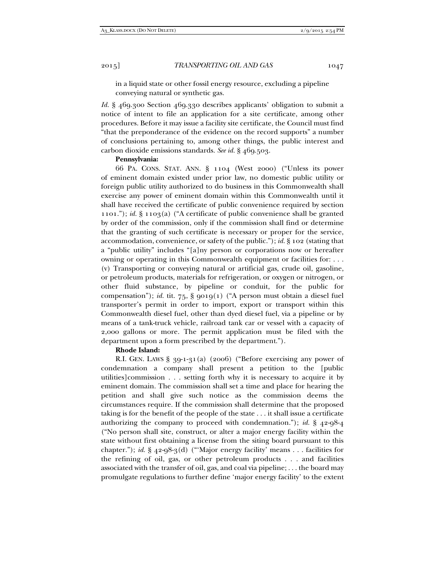in a liquid state or other fossil energy resource, excluding a pipeline conveying natural or synthetic gas.

*Id.* § 469.300 Section 469.330 describes applicants' obligation to submit a notice of intent to file an application for a site certificate, among other procedures. Before it may issue a facility site certificate, the Council must find "that the preponderance of the evidence on the record supports" a number of conclusions pertaining to, among other things, the public interest and carbon dioxide emissions standards. *See id.* § 469.503.

### **Pennsylvania:**

66 PA. CONS. STAT. ANN. § 1104 (West 2000) ("Unless its power of eminent domain existed under prior law, no domestic public utility or foreign public utility authorized to do business in this Commonwealth shall exercise any power of eminent domain within this Commonwealth until it shall have received the certificate of public convenience required by section 1101."); *id.* § 1103(a) ("A certificate of public convenience shall be granted by order of the commission, only if the commission shall find or determine that the granting of such certificate is necessary or proper for the service, accommodation, convenience, or safety of the public."); *id.* § 102 (stating that a "public utility" includes "[a]ny person or corporations now or hereafter owning or operating in this Commonwealth equipment or facilities for: . . . (v) Transporting or conveying natural or artificial gas, crude oil, gasoline, or petroleum products, materials for refrigeration, or oxygen or nitrogen, or other fluid substance, by pipeline or conduit, for the public for compensation"); *id.* tit. 75, § 9019(1) ("A person must obtain a diesel fuel transporter's permit in order to import, export or transport within this Commonwealth diesel fuel, other than dyed diesel fuel, via a pipeline or by means of a tank-truck vehicle, railroad tank car or vessel with a capacity of 2,000 gallons or more. The permit application must be filed with the department upon a form prescribed by the department.").

# **Rhode Island:**

R.I. GEN. LAWS § 39-1-31(a) (2006) ("Before exercising any power of condemnation a company shall present a petition to the [public utilities]commission . . . setting forth why it is necessary to acquire it by eminent domain. The commission shall set a time and place for hearing the petition and shall give such notice as the commission deems the circumstances require. If the commission shall determine that the proposed taking is for the benefit of the people of the state . . . it shall issue a certificate authorizing the company to proceed with condemnation."); *id.* § 42-98-4 ("No person shall site, construct, or alter a major energy facility within the state without first obtaining a license from the siting board pursuant to this chapter."); *id.* § 42-98-3(d) ("'Major energy facility' means . . . facilities for the refining of oil, gas, or other petroleum products . . . and facilities associated with the transfer of oil, gas, and coal via pipeline; . . . the board may promulgate regulations to further define 'major energy facility' to the extent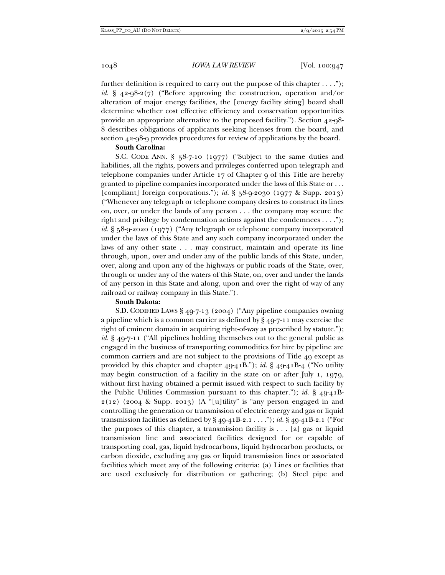further definition is required to carry out the purpose of this chapter  $\dots$ ."); *id.* § 42-98-2(7) ("Before approving the construction, operation and/or alteration of major energy facilities, the [energy facility siting] board shall determine whether cost effective efficiency and conservation opportunities provide an appropriate alternative to the proposed facility."). Section 42-98- 8 describes obligations of applicants seeking licenses from the board, and section 42-98-9 provides procedures for review of applications by the board.

# **South Carolina:**

S.C. CODE ANN. § 58-7-10 (1977) ("Subject to the same duties and liabilities, all the rights, powers and privileges conferred upon telegraph and telephone companies under Article 17 of Chapter 9 of this Title are hereby granted to pipeline companies incorporated under the laws of this State or . . . [compliant] foreign corporations."); *id.* § 58-9-2030 (1977 & Supp. 2013) ("Whenever any telegraph or telephone company desires to construct its lines on, over, or under the lands of any person . . . the company may secure the right and privilege by condemnation actions against the condemnees . . . ."); *id.* § 58-9-2020 (1977) ("Any telegraph or telephone company incorporated under the laws of this State and any such company incorporated under the laws of any other state . . . may construct, maintain and operate its line through, upon, over and under any of the public lands of this State, under, over, along and upon any of the highways or public roads of the State, over, through or under any of the waters of this State, on, over and under the lands of any person in this State and along, upon and over the right of way of any railroad or railway company in this State.").

# **South Dakota:**

S.D. CODIFIED LAWS § 49-7-13 (2004) ("Any pipeline companies owning a pipeline which is a common carrier as defined by § 49-7-11 may exercise the right of eminent domain in acquiring right-of-way as prescribed by statute."); *id.* § 49-7-11 ("All pipelines holding themselves out to the general public as engaged in the business of transporting commodities for hire by pipeline are common carriers and are not subject to the provisions of Title 49 except as provided by this chapter and chapter 49-41B."); *id.* § 49-41B-4 ("No utility may begin construction of a facility in the state on or after July 1, 1979, without first having obtained a permit issued with respect to such facility by the Public Utilities Commission pursuant to this chapter."); *id.* § 49-41B- $2(12)$  (2004 & Supp. 2013) (A "[u]tility" is "any person engaged in and controlling the generation or transmission of electric energy and gas or liquid transmission facilities as defined by § 49-41B-2.1 . . . ."); *id.* § 49-41B-2.1 ("For the purposes of this chapter, a transmission facility is . . . [a] gas or liquid transmission line and associated facilities designed for or capable of transporting coal, gas, liquid hydrocarbons, liquid hydrocarbon products, or carbon dioxide, excluding any gas or liquid transmission lines or associated facilities which meet any of the following criteria: (a) Lines or facilities that are used exclusively for distribution or gathering; (b) Steel pipe and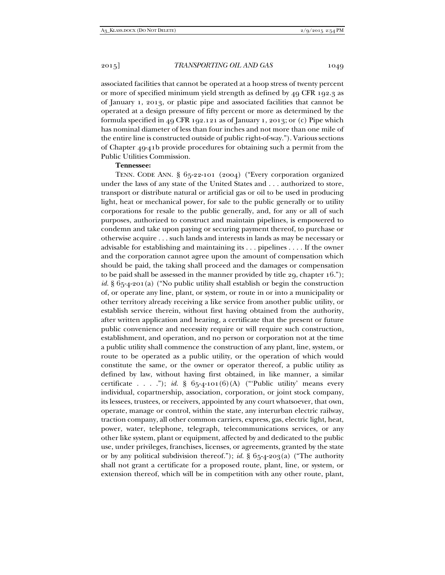associated facilities that cannot be operated at a hoop stress of twenty percent or more of specified minimum yield strength as defined by 49 CFR 192.3 as of January 1, 2013, or plastic pipe and associated facilities that cannot be operated at a design pressure of fifty percent or more as determined by the formula specified in 49 CFR 192.121 as of January 1, 2013; or (c) Pipe which has nominal diameter of less than four inches and not more than one mile of the entire line is constructed outside of public right-of-way."). Various sections of Chapter 49-41b provide procedures for obtaining such a permit from the Public Utilities Commission.

#### **Tennessee:**

TENN. CODE ANN. § 65-22-101 (2004) ("Every corporation organized under the laws of any state of the United States and . . . authorized to store, transport or distribute natural or artificial gas or oil to be used in producing light, heat or mechanical power, for sale to the public generally or to utility corporations for resale to the public generally, and, for any or all of such purposes, authorized to construct and maintain pipelines, is empowered to condemn and take upon paying or securing payment thereof, to purchase or otherwise acquire . . . such lands and interests in lands as may be necessary or advisable for establishing and maintaining its . . . pipelines . . . . If the owner and the corporation cannot agree upon the amount of compensation which should be paid, the taking shall proceed and the damages or compensation to be paid shall be assessed in the manner provided by title 29, chapter 16."); *id.* § 65-4-201(a) ("No public utility shall establish or begin the construction of, or operate any line, plant, or system, or route in or into a municipality or other territory already receiving a like service from another public utility, or establish service therein, without first having obtained from the authority, after written application and hearing, a certificate that the present or future public convenience and necessity require or will require such construction, establishment, and operation, and no person or corporation not at the time a public utility shall commence the construction of any plant, line, system, or route to be operated as a public utility, or the operation of which would constitute the same, or the owner or operator thereof, a public utility as defined by law, without having first obtained, in like manner, a similar certificate . . . ."); *id.*  $\S$  65-4-101(6)(A) ("Public utility' means every individual, copartnership, association, corporation, or joint stock company, its lessees, trustees, or receivers, appointed by any court whatsoever, that own, operate, manage or control, within the state, any interurban electric railway, traction company, all other common carriers, express, gas, electric light, heat, power, water, telephone, telegraph, telecommunications services, or any other like system, plant or equipment, affected by and dedicated to the public use, under privileges, franchises, licenses, or agreements, granted by the state or by any political subdivision thereof."); *id.* § 65-4-203(a) ("The authority shall not grant a certificate for a proposed route, plant, line, or system, or extension thereof, which will be in competition with any other route, plant,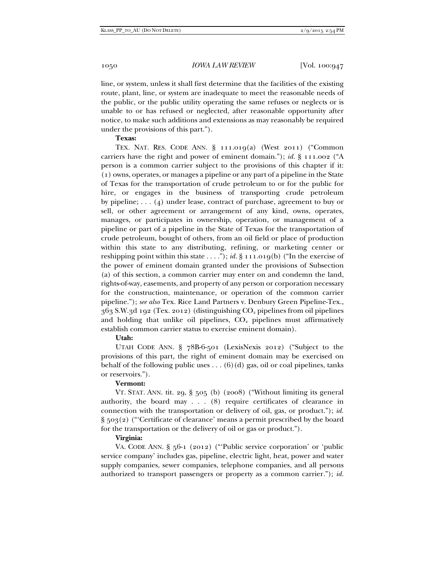line, or system, unless it shall first determine that the facilities of the existing route, plant, line, or system are inadequate to meet the reasonable needs of the public, or the public utility operating the same refuses or neglects or is unable to or has refused or neglected, after reasonable opportunity after notice, to make such additions and extensions as may reasonably be required under the provisions of this part.").

#### **Texas:**

TEX. NAT. RES. CODE ANN. § 111.019(a) (West 2011) ("Common carriers have the right and power of eminent domain."); *id.* § 111.002 ("A person is a common carrier subject to the provisions of this chapter if it: (1) owns, operates, or manages a pipeline or any part of a pipeline in the State of Texas for the transportation of crude petroleum to or for the public for hire, or engages in the business of transporting crude petroleum by pipeline; . . . (4) under lease, contract of purchase, agreement to buy or sell, or other agreement or arrangement of any kind, owns, operates, manages, or participates in ownership, operation, or management of a pipeline or part of a pipeline in the State of Texas for the transportation of crude petroleum, bought of others, from an oil field or place of production within this state to any distributing, refining, or marketing center or reshipping point within this state . . . ."); *id.* § 111.019(b) ("In the exercise of the power of eminent domain granted under the provisions of Subsection (a) of this section, a common carrier may enter on and condemn the land, rights-of-way, easements, and property of any person or corporation necessary for the construction, maintenance, or operation of the common carrier pipeline."); *see also* Tex. Rice Land Partners v. Denbury Green Pipeline-Tex.,  $363$  S.W.3d 192 (Tex. 2012) (distinguishing  $CO<sub>2</sub>$  pipelines from oil pipelines and holding that unlike oil pipelines,  $CO<sub>2</sub>$  pipelines must affirmatively establish common carrier status to exercise eminent domain).

# **Utah:**

UTAH CODE ANN. § 78B-6-501 (LexisNexis 2012) ("Subject to the provisions of this part, the right of eminent domain may be exercised on behalf of the following public uses . . .  $(6)(d)$  gas, oil or coal pipelines, tanks or reservoirs.").

#### **Vermont:**

VT. STAT. ANN. tit. 29, § 505 (b) (2008) ("Without limiting its general authority, the board may  $\ldots$  (8) require certificates of clearance in connection with the transportation or delivery of oil, gas, or product."); *id.* § 503(2) ("'Certificate of clearance' means a permit prescribed by the board for the transportation or the delivery of oil or gas or product.").

#### **Virginia:**

VA. CODE ANN. § 56-1 (2012) ("'Public service corporation' or 'public service company' includes gas, pipeline, electric light, heat, power and water supply companies, sewer companies, telephone companies, and all persons authorized to transport passengers or property as a common carrier."); *id.*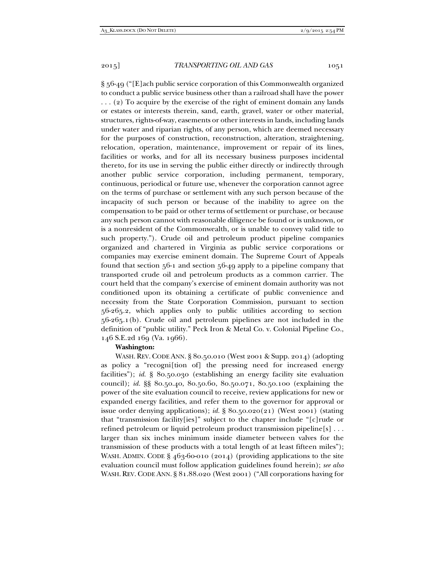§ 56-49 ("[E]ach public service corporation of this Commonwealth organized to conduct a public service business other than a railroad shall have the power . . . (2) To acquire by the exercise of the right of eminent domain any lands or estates or interests therein, sand, earth, gravel, water or other material, structures, rights-of-way, easements or other interests in lands, including lands under water and riparian rights, of any person, which are deemed necessary for the purposes of construction, reconstruction, alteration, straightening, relocation, operation, maintenance, improvement or repair of its lines, facilities or works, and for all its necessary business purposes incidental thereto, for its use in serving the public either directly or indirectly through another public service corporation, including permanent, temporary, continuous, periodical or future use, whenever the corporation cannot agree on the terms of purchase or settlement with any such person because of the incapacity of such person or because of the inability to agree on the compensation to be paid or other terms of settlement or purchase, or because any such person cannot with reasonable diligence be found or is unknown, or is a nonresident of the Commonwealth, or is unable to convey valid title to such property."). Crude oil and petroleum product pipeline companies organized and chartered in Virginia as public service corporations or companies may exercise eminent domain. The Supreme Court of Appeals found that section 56-1 and section 56-49 apply to a pipeline company that transported crude oil and petroleum products as a common carrier. The court held that the company's exercise of eminent domain authority was not conditioned upon its obtaining a certificate of public convenience and necessity from the State Corporation Commission, pursuant to section 56-265.2, which applies only to public utilities according to section 56-265.1(b). Crude oil and petroleum pipelines are not included in the definition of "public utility." Peck Iron & Metal Co. v. Colonial Pipeline Co., 146 S.E.2d 169 (Va. 1966).

### **Washington:**

WASH. REV. CODE ANN. § 80.50.010 (West 2001 & Supp. 2014) (adopting as policy a "recogni[tion of] the pressing need for increased energy facilities"); *id.* § 80.50.030 (establishing an energy facility site evaluation council); *id.* §§ 80.50.40, 80.50.60, 80.50.071, 80.50.100 (explaining the power of the site evaluation council to receive, review applications for new or expanded energy facilities, and refer them to the governor for approval or issue order denying applications); *id.* § 80.50.020(21) (West 2001) (stating that "transmission facility[ies]" subject to the chapter include "[c]rude or refined petroleum or liquid petroleum product transmission pipeline[s] . . . larger than six inches minimum inside diameter between valves for the transmission of these products with a total length of at least fifteen miles"); WASH. ADMIN. CODE § 463-60-010 (2014) (providing applications to the site evaluation council must follow application guidelines found herein); *see also* WASH. REV. CODE ANN. § 81.88.020 (West 2001) ("All corporations having for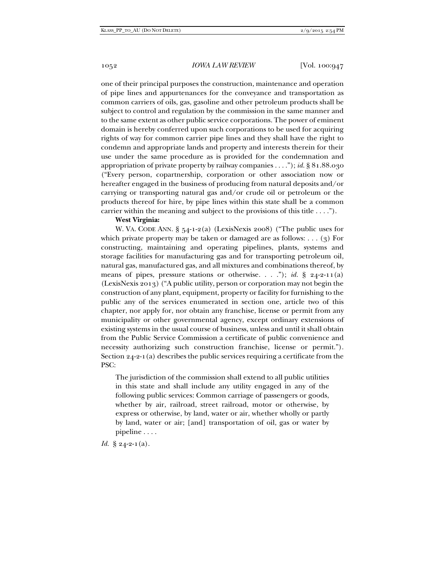one of their principal purposes the construction, maintenance and operation of pipe lines and appurtenances for the conveyance and transportation as common carriers of oils, gas, gasoline and other petroleum products shall be subject to control and regulation by the commission in the same manner and to the same extent as other public service corporations. The power of eminent domain is hereby conferred upon such corporations to be used for acquiring rights of way for common carrier pipe lines and they shall have the right to condemn and appropriate lands and property and interests therein for their use under the same procedure as is provided for the condemnation and appropriation of private property by railway companies . . . ."); *id.* § 81.88.030 ("Every person, copartnership, corporation or other association now or hereafter engaged in the business of producing from natural deposits and/or carrying or transporting natural gas and/or crude oil or petroleum or the products thereof for hire, by pipe lines within this state shall be a common carrier within the meaning and subject to the provisions of this title . . . .").

### **West Virginia:**

W. VA. CODE ANN. § 54-1-2(a) (LexisNexis 2008) ("The public uses for which private property may be taken or damaged are as follows: . . . (3) For constructing, maintaining and operating pipelines, plants, systems and storage facilities for manufacturing gas and for transporting petroleum oil, natural gas, manufactured gas, and all mixtures and combinations thereof, by means of pipes, pressure stations or otherwise. . . ."); *id.* § 24-2-11(a) (LexisNexis 2013) ("A public utility, person or corporation may not begin the construction of any plant, equipment, property or facility for furnishing to the public any of the services enumerated in section one, article two of this chapter, nor apply for, nor obtain any franchise, license or permit from any municipality or other governmental agency, except ordinary extensions of existing systems in the usual course of business, unless and until it shall obtain from the Public Service Commission a certificate of public convenience and necessity authorizing such construction franchise, license or permit."). Section 24-2-1(a) describes the public services requiring a certificate from the PSC:

The jurisdiction of the commission shall extend to all public utilities in this state and shall include any utility engaged in any of the following public services: Common carriage of passengers or goods, whether by air, railroad, street railroad, motor or otherwise, by express or otherwise, by land, water or air, whether wholly or partly by land, water or air; [and] transportation of oil, gas or water by pipeline . . . .

*Id.* § 24-2-1(a).